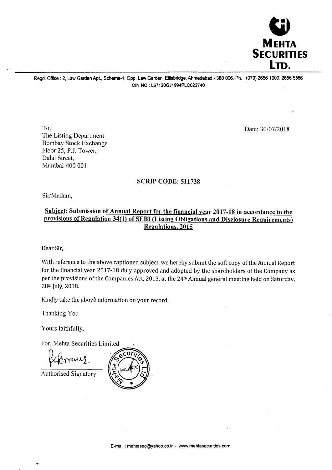

Regd. Office : 2, Law Garden Apt., Scheme-1, Opp. Law Garden, Ellisbridge, Ahmedabad - 380 006. Ph. : (079) 2656 1000, 2656 5566 CIN NO : L67120GJ1994PLC022740

To, The Listing Department Bombay Stock Exchange Floor 25, P.J. Tower, Dalal Street, Mumbai-4OO 001

Date:30/07/2018

## SCRIP CODE: 511738

Sir/Madam,

## Subiect: Submission of Annual Report for the financial vear 2017-18 in accordance to the provisions of Regulation 34(1) of SEBI (Listing Obligations and Disclosure Requirements) Regulations, 2015

Dear Sir,

With reference to the above captioned subject, we hereby submit the soft copy of the Annual Report for the financial year 2017-18 duly approved and adopted by the shareholders of the Company as per the provisions of the Companies Act, 2013, at the 24<sup>th</sup> Annual general meeting held on Saturday, 28<sup>th</sup> July, 2018.

Kindly take the above information on your record.

Thanking You

Yours faithfully,

For, Mehta Securities Limited

mmis

Authorised Signatory

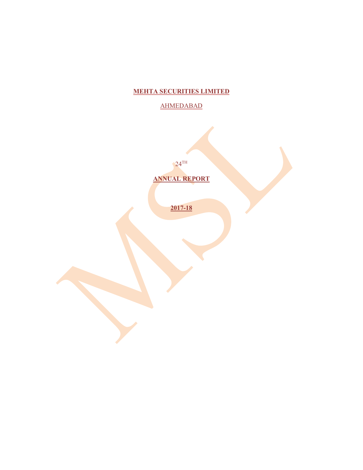# **MEHTA SECURITIES LIMITED**

# AHMEDABAD

 $24^{\text{TH}}$ 

**ANNUAL REPORT** 

**2017-18**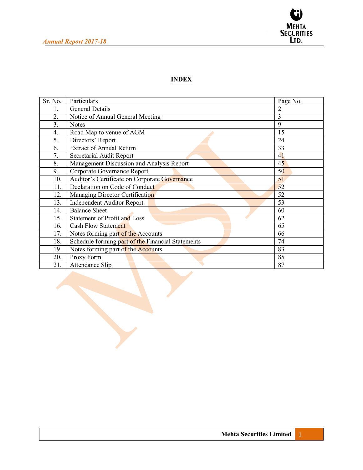

# **INDEX**

| Sr. No. | Particulars                                       | Page No. |
|---------|---------------------------------------------------|----------|
| 1.      | General Details                                   | 2        |
| 2.      | Notice of Annual General Meeting                  | 3        |
| 3.      | <b>Notes</b>                                      | 9        |
| 4.      | Road Map to venue of AGM                          | 15       |
| 5.      | Directors' Report                                 | 24       |
| 6.      | <b>Extract of Annual Return</b>                   | 33       |
| 7.      | Secretarial Audit Report                          | 41       |
| 8.      | Management Discussion and Analysis Report         | 45       |
| 9.      | Corporate Governance Report                       | 50       |
| 10.     | Auditor's Certificate on Corporate Governance     | 51       |
| 11.     | Declaration on Code of Conduct                    | 52       |
| 12.     | Managing Director Certification                   | 52       |
| 13.     | <b>Independent Auditor Report</b>                 | 53       |
| 14.     | <b>Balance Sheet</b>                              | 60       |
| 15.     | Statement of Profit and Loss                      | 62       |
| 16.     | <b>Cash Flow Statement</b>                        | 65       |
| 17.     | Notes forming part of the Accounts                | 66       |
| 18.     | Schedule forming part of the Financial Statements | 74       |
| 19.     | Notes forming part of the Accounts                | 83       |
| 20.     | Proxy Form                                        | 85       |
| 21.     | Attendance Slip                                   | 87       |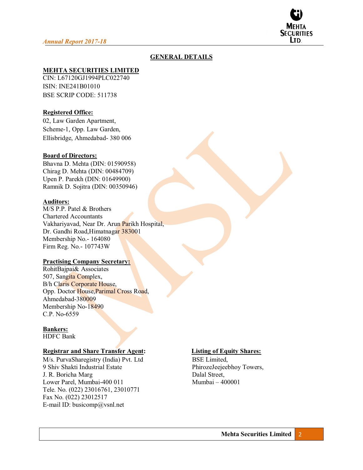

## **GENERAL DETAILS**

## **MEHTA SECURITIES LIMITED**

CIN: L67120GJ1994PLC022740 ISIN: INE241B01010 BSE SCRIP CODE: 511738

## **Registered Office:**

02, Law Garden Apartment, Scheme-1, Opp. Law Garden, Ellisbridge, Ahmedabad- 380 006

#### **Board of Directors:**

Bhavna D. Mehta (DIN: 01590958) Chirag D. Mehta (DIN: 00484709) Upen P. Parekh (DIN: 01649900) Ramnik D. Sojitra (DIN: 00350946)

#### **Auditors:**

M/S P.P. Patel & Brothers Chartered Accountants Vakhariyavad, Near Dr. Arun Parikh Hospital, Dr. Gandhi Road,Himatnagar 383001 Membership No.- 164080 Firm Reg. No.- 107743W

#### **Practising Company Secretary:**

RohitBajpai& Associates 507, Sangita Complex, B/h Claris Corporate House, Opp. Doctor House,Parimal Cross Road, Ahmedabad-380009 Membership No-18490 C.P. No-6559

## **Bankers:**

HDFC Bank

#### **Registrar and Share Transfer Agent: Listing of Equity Shares:**

M/s. PurvaSharegistry (India) Pvt. LtdBSE Limited, 9 Shiv Shakti Industrial Estate PhirozeJeejeebhoy Towers, J. R. Boricha Marg Dalal Street, Lower Parel, Mumbai-400 011 Mumbai  $-400001$ Tele. No. (022) 23016761, 23010771 Fax No. (022) 23012517 E-mail ID: busicomp@vsnl.net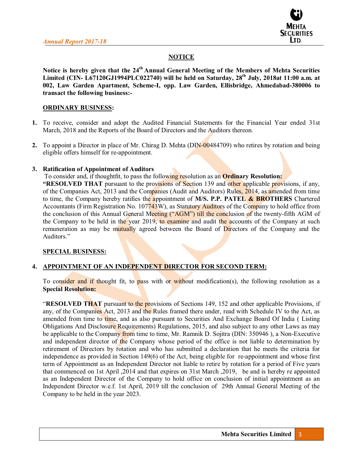

## **NOTICE**

Notice is hereby given that the 24<sup>th</sup> Annual General Meeting of the Members of Mehta Securities Limited (CIN- L67120GJ1994PLC022740) will be held on Saturday, 28<sup>th</sup> July, 2018at 11:00 a.m. at **002, Law Garden Apartment, Scheme-I, opp. Law Garden, Ellisbridge, Ahmedabad-380006 to transact the following business:-** 

#### **ORDINARY BUSINESS:**

- **1.** To receive, consider and adopt the Audited Financial Statements for the Financial Year ended 31st March, 2018 and the Reports of the Board of Directors and the Auditors thereon.
- **2.** To appoint a Director in place of Mr. Chirag D. Mehta (DIN-00484709) who retires by rotation and being eligible offers himself for re-appointment.

## **3.** Ratification of Appointment of Auditors

To consider and, if thoughtfit, to pass the following resolution as an **Ordinary Resolution:** 

**EXEIVED THAT** pursuant to the provisions of Section 139 and other applicable provisions, if any, of the Companies Act, 2013 and the Companies (Audit and Auditors) Rules, 2014, as amended from time to time, the Company hereby ratifies the appointment of M/S. P.P. PATEL & BROTHERS Chartered Accountants (Firm Registration No. 107743W), as Statutory Auditors of the Company to hold office from the conclusion of this Annual General Meeting ("AGM") till the conclusion of the twenty-fifth AGM of the Company to be held in the year 2019, to examine and audit the accounts of the Company at such remuneration as may be mutually agreed between the Board of Directors of the Company and the Auditors."

#### **SPECIAL BUSINESS:**

## **4. APPOINTMENT OF AN INDEPENDENT DIRECTOR FOR SECOND TERM:**

To consider and if thought fit, to pass with or without modification(s), the following resolution as a **Special Resolution:** 

**RESOLVED THAT** pursuant to the provisions of Sections 149, 152 and other applicable Provisions, if any, of the Companies Act, 2013 and the Rules framed there under, read with Schedule IV to the Act, as amended from time to time, and as also pursuant to Securities And Exchange Board Of India ( Listing Obligations And Disclosure Requirements) Regulations, 2015, and also subject to any other Laws as may be applicable to the Company from time to time, Mr. Ramnik D. Sojitra (DIN: 350946 ), a Non-Executive and independent director of the Company whose period of the office is not liable to determination by retirement of Directors by rotation and who has submitted a declaration that he meets the criteria for independence as provided in Section 149(6) of the Act, being eligible for re-appointment and whose first term of Appointment as an Independent Director not liable to retire by rotation for a period of Five years that commenced on 1st April ,2014 and that expires on 31st March ,2019, be and is hereby re appointed as an Independent Director of the Company to hold office on conclusion of initial appointment as an Independent Director w.e.f. 1st April, 2019 till the conclusion of 29th Annual General Meeting of the Company to be held in the year 2023.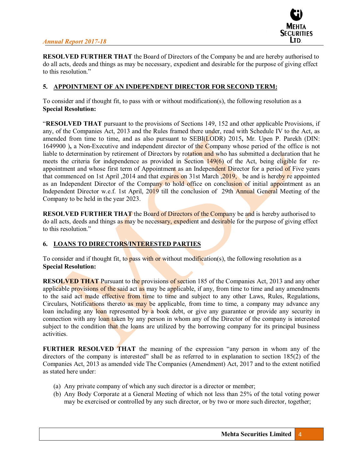

**RESOLVED FURTHER THAT** the Board of Directors of the Company be and are hereby authorised to do all acts, deeds and things as may be necessary, expedient and desirable for the purpose of giving effect to this resolution."

#### **5. APPOINTMENT OF AN INDEPENDENT DIRECTOR FOR SECOND TERM:**

To consider and if thought fit, to pass with or without modification(s), the following resolution as a **Special Resolution:** 

³**RESOLVED THAT** pursuant to the provisions of Sections 149, 152 and other applicable Provisions, if any, of the Companies Act, 2013 and the Rules framed there under, read with Schedule IV to the Act, as amended from time to time, and as also pursuant to SEBI(LODR) 2015**,** Mr. Upen P. Parekh (DIN: 1649900 )**,** a Non-Executive and independent director of the Company whose period of the office is not liable to determination by retirement of Directors by rotation and who has submitted a declaration that he meets the criteria for independence as provided in Section 149(6) of the Act, being eligible for reappointment and whose first term of Appointment as an Independent Director for a period of Five years that commenced on 1st April ,2014 and that expires on 31st March ,2019, be and is hereby re appointed as an Independent Director of the Company to hold office on conclusion of initial appointment as an Independent Director w.e.f. 1st April, 2019 till the conclusion of 29th Annual General Meeting of the Company to be held in the year 2023.

**RESOLVED FURTHER THAT** the Board of Directors of the Company be and is hereby authorised to do all acts, deeds and things as may be necessary, expedient and desirable for the purpose of giving effect to this resolution."

#### **6. LOANS TO DIRECTORS/INTERESTED PARTIES**

To consider and if thought fit, to pass with or without modification(s), the following resolution as a **Special Resolution:** 

**RESOLVED THAT** Pursuant to the provisions of section 185 of the Companies Act, 2013 and any other applicable provisions of the said act as may be applicable, if any, from time to time and any amendments to the said act made effective from time to time and subject to any other Laws, Rules, Regulations, Circulars, Notifications thereto as may be applicable, from time to time, a company may advance any loan including any loan represented by a book debt, or give any guarantee or provide any security in connection with any loan taken by any person in whom any of the Director of the company is interested subject to the condition that the loans are utilized by the borrowing company for its principal business activities.

**FURTHER RESOLVED THAT** the meaning of the expression "any person in whom any of the directors of the company is interested" shall be as referred to in explanation to section  $185(2)$  of the Companies Act, 2013 as amended vide The Companies (Amendment) Act, 2017 and to the extent notified as stated here under:

- (a) Any private company of which any such director is a director or member;
- (b) Any Body Corporate at a General Meeting of which not less than 25% of the total voting power may be exercised or controlled by any such director, or by two or more such director, together;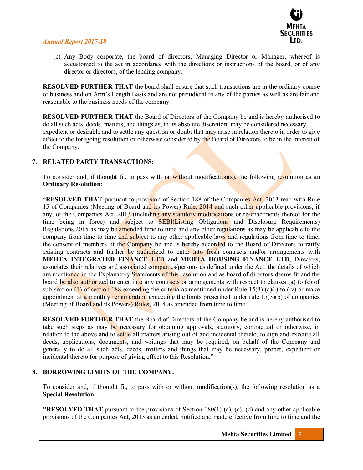

(c) Any Body corporate, the board of directors, Managing Director or Manager, whereof is accustomed to the act in accordance with the directions or instructions of the board, or of any director or directors, of the lending company.

**RESOLVED FURTHER THAT** the board shall ensure that such transactions are in the ordinary course of business and on Arm's Length Basis and are not prejudicial to any of the parties as well as are fair and reasonable to the business needs of the company.

**RESOLVED FURTHER THAT** the Board of Directors of the Company be and is hereby authorised to do all such acts, deeds, matters, and things as, in its absolute discretion, may be considered necessary, expedient or desirable and to settle any question or doubt that may arise in relation thereto in order to give effect to the foregoing resolution or otherwise considered by the Board of Directors to be in the interest of the Company.

## **7. RELATED PARTY TRANSACTIONS:**

To consider and, if thought fit, to pass with or without modification(s), the following resolution as an **Ordinary Resolution**:

**RESOLVED THAT** pursuant to provision of Section 188 of the Companies Act, 2013 read with Rule 15 of Companies (Meeting of Board and its Power) Rule, 2014 and such other applicable provisions, if any, of the Companies Act, 2013 (including any statutory modifications or re-enactments thereof for the time being in force) and subject to **SEBI(Listing Obligations** and Disclosure Requirements) Regulations,2015 as may be amended time to time and any other regulations as may be applicable to the company from time to time and subject to any other applicable laws and regulations from time to time, the consent of members of the Company be and is hereby accorded to the Board of Directors to ratify existing contracts and further be authorized to enter into fresh contracts and/or arrangements with **MEHTA INTEGRATED FINANCE LTD** and **MEHTA HOUSING FINANCE LTD**, Directors, associates their relatives and associated companies/persons as defined under the Act, the details of which are mentioned in the Explanatory Statements of this resolution and as board of directors deems fit and the board be also authorized to enter into any contracts or arrangements with respect to clauses (a) to (e) of sub-section (1) of section 188 exceeding the criteria as mentioned under Rule 15(3) (a)(i) to (iv) or make appointment at a monthly remuneration exceeding the limits prescribed under rule  $15(3)(b)$  of companies (Meeting of Board and its Powers) Rules, 2014 as amended from time to time.

**RESOLVED FURTHER THAT** the Board of Directors of the Company be and is hereby authorised to take such steps as may be necessary for obtaining approvals, statutory, contractual or otherwise, in relation to the above and to settle all matters arising out of and incidental thereto, to sign and execute all deeds, applications, documents, and writings that may be required, on behalf of the Company and generally to do all such acts, deeds, matters and things that may be necessary, proper, expedient or incidental thereto for purpose of giving effect to this Resolution."

## **8. BORROWING LIMITS OF THE COMPANY.**

To consider and, if thought fit, to pass with or without modification(s), the following resolution as a **Special Resolution:**

**"RESOLVED THAT** pursuant to the provisions of Section 180(1) (a), (c), (d) and any other applicable provisions of the Companies Act, 2013 as amended, notified and made effective from time to time and the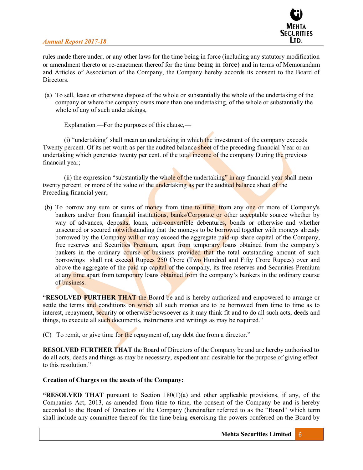

rules made there under, or any other laws for the time being in force (including any statutory modification or amendment thereto or re-enactment thereof for the time being in force) and in terms of Memorandum and Articles of Association of the Company, the Company hereby accords its consent to the Board of **Directors** 

(a) To sell, lease or otherwise dispose of the whole or substantially the whole of the undertaking of the company or where the company owns more than one undertaking, of the whole or substantially the whole of any of such undertakings,

Explanation.—For the purposes of this clause,—

(i) "undertaking" shall mean an undertaking in which the investment of the company exceeds Twenty percent. Of its net worth as per the audited balance sheet of the preceding financial Year or an undertaking which generates twenty per cent. of the total income of the company During the previous financial year;

(ii) the expression "substantially the whole of the undertaking" in any financial year shall mean twenty percent. or more of the value of the undertaking as per the audited balance sheet of the Preceding financial year;

(b) To borrow any sum or sums of money from time to time, from any one or more of Company's bankers and/or from financial institutions, banks/Corporate or other acceptable source whether by way of advances, deposits, loans, non-convertible debentures, bonds or otherwise and whether unsecured or secured not withstanding that the moneys to be borrowed together with moneys already borrowed by the Company will or may exceed the aggregate paid-up share capital of the Company, free reserves and Securities Premium, apart from temporary loans obtained from the company's bankers in the ordinary course of business provided that the total outstanding amount of such borrowings shall not exceed Rupees 250 Crore (Two Hundred and Fifty Crore Rupees) over and above the aggregate of the paid up capital of the company, its free reserves and Securities Premium at any time apart from temporary loans obtained from the company's bankers in the ordinary course of business.

**RESOLVED FURTHER THAT** the Board be and is hereby authorized and empowered to arrange or settle the terms and conditions on which all such monies are to be borrowed from time to time as to interest, repayment, security or otherwise howsoever as it may think fit and to do all such acts, deeds and things, to execute all such documents, instruments and writings as may be required."

(C) To remit, or give time for the repayment of, any debt due from a director."

**RESOLVED FURTHER THAT** the Board of Directors of the Company be and are hereby authorised to do all acts, deeds and things as may be necessary, expedient and desirable for the purpose of giving effect to this resolution."

#### **Creation of Charges on the assets of the Company:**

**"RESOLVED THAT** pursuant to Section  $180(1)(a)$  and other applicable provisions, if any, of the Companies Act, 2013, as amended from time to time, the consent of the Company be and is hereby accorded to the Board of Directors of the Company (hereinafter referred to as the "Board" which term shall include any committee thereof for the time being exercising the powers conferred on the Board by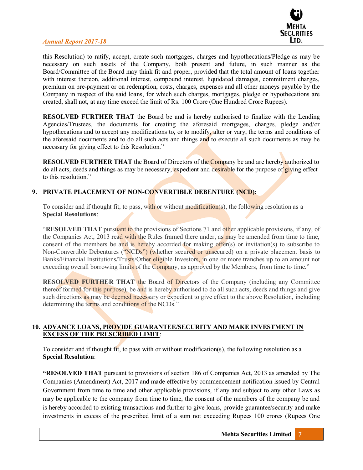

this Resolution) to ratify, accept, create such mortgages, charges and hypothecations/Pledge as may be necessary on such assets of the Company, both present and future, in such manner as the Board/Committee of the Board may think fit and proper, provided that the total amount of loans together with interest thereon, additional interest, compound interest, liquidated damages, commitment charges, premium on pre-payment or on redemption, costs, charges, expenses and all other moneys payable by the Company in respect of the said loans, for which such charges, mortgages, pledge or hypothecations are created, shall not, at any time exceed the limit of Rs. 100 Crore (One Hundred Crore Rupees).

**RESOLVED FURTHER THAT** the Board be and is hereby authorised to finalize with the Lending Agencies/Trustees, the documents for creating the aforesaid mortgages, charges, pledge and/or hypothecations and to accept any modifications to, or to modify, alter or vary, the terms and conditions of the aforesaid documents and to do all such acts and things and to execute all such documents as may be necessary for giving effect to this Resolution."

**RESOLVED FURTHER THAT** the Board of Directors of the Company be and are hereby authorized to do all acts, deeds and things as may be necessary, expedient and desirable for the purpose of giving effect to this resolution."

## **9. PRIVATE PLACEMENT OF NON-CONVERTIBLE DEBENTURE (NCD):**

To consider and if thought fit, to pass, with or without modification(s), the following resolution as a **Special Resolutions**:

**RESOLVED THAT** pursuant to the provisions of Sections 71 and other applicable provisions, if any, of the Companies Act, 2013 read with the Rules framed there under, as may be amended from time to time, consent of the members be and is hereby accorded for making offer $(s)$  or invitation $(s)$  to subscribe to Non-Convertible Debentures ("NCDs") (whether secured or unsecured) on a private placement basis to Banks/Financial Institutions/Trusts/Other eligible Investors, in one or more tranches up to an amount not exceeding overall borrowing limits of the Company, as approved by the Members, from time to time."

**RESOLVED FURTHER THAT the Board of Directors of the Company (including any Committee)** thereof formed for this purpose), be and is hereby authorised to do all such acts, deeds and things and give such directions as may be deemed necessary or expedient to give effect to the above Resolution, including determining the terms and conditions of the NCDs."

#### **10. ADVANCE LOANS, PROVIDE GUARANTEE/SECURITY AND MAKE INVESTMENT IN EXCESS OF THE PRESCRIBED LIMIT**:

To consider and if thought fit, to pass with or without modification(s), the following resolution as a **Special Resolution**:

**EXECUTED THAT** pursuant to provisions of section 186 of Companies Act, 2013 as amended by The Companies (Amendment) Act, 2017 and made effective by commencement notification issued by Central Government from time to time and other applicable provisions, if any and subject to any other Laws as may be applicable to the company from time to time, the consent of the members of the company be and is hereby accorded to existing transactions and further to give loans, provide guarantee/security and make investments in excess of the prescribed limit of a sum not exceeding Rupees 100 crores (Rupees One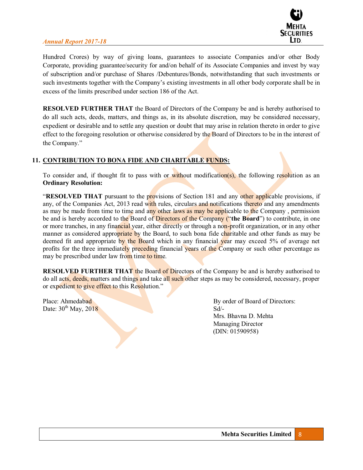

Hundred Crores) by way of giving loans, guarantees to associate Companies and/or other Body Corporate, providing guarantee/security for and/on behalf of its Associate Companies and invest by way of subscription and/or purchase of Shares /Debentures/Bonds, notwithstanding that such investments or such investments together with the Company's existing investments in all other body corporate shall be in excess of the limits prescribed under section 186 of the Act.

**RESOLVED FURTHER THAT** the Board of Directors of the Company be and is hereby authorised to do all such acts, deeds, matters, and things as, in its absolute discretion, may be considered necessary, expedient or desirable and to settle any question or doubt that may arise in relation thereto in order to give effect to the foregoing resolution or otherwise considered by the Board of Directors to be in the interest of the Company."

## **11. CONTRIBUTION TO BONA FIDE AND CHARITABLE FUNDS:**

To consider and, if thought fit to pass with or without modification(s), the following resolution as an **Ordinary Resolution:** 

**RESOLVED THAT** pursuant to the provisions of Section 181 and any other applicable provisions, if any, of the Companies Act, 2013 read with rules, circulars and notifications thereto and any amendments as may be made from time to time and any other laws as may be applicable to the Company, permission be and is hereby accorded to the Board of Directors of the Company ("the Board") to contribute, in one or more tranches, in any financial year, either directly or through a non-profit organization, or in any other manner as considered appropriate by the Board, to such bona fide charitable and other funds as may be deemed fit and appropriate by the Board which in any financial year may exceed 5% of average net profits for the three immediately preceding financial years of the Company or such other percentage as may be prescribed under law from time to time.

**RESOLVED FURTHER THAT** the Board of Directors of the Company be and is hereby authorised to do all acts, deeds, matters and things and take all such other steps as may be considered, necessary, proper or expedient to give effect to this Resolution."

Date:  $30^{th}$  May,  $2018$  Sd<sup>/-</sup>

Place: Ahmedabad By order of Board of Directors: Mrs. Bhavna D. Mehta Managing Director (DIN: 01590958)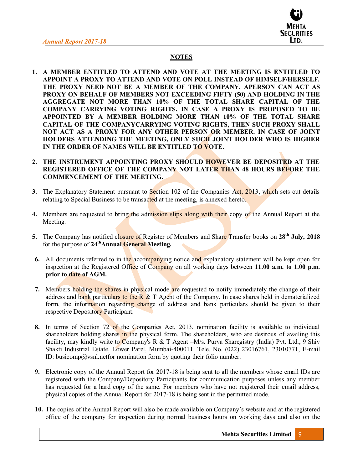

# **NOTES**

- **1. A MEMBER ENTITLED TO ATTEND AND VOTE AT THE MEETING IS ENTITLED TO APPOINT A PROXY TO ATTEND AND VOTE ON POLL INSTEAD OF HIMSELF/HERSELF. THE PROXY NEED NOT BE A MEMBER OF THE COMPANY. APERSON CAN ACT AS PROXY ON BEHALF OF MEMBERS NOT EXCEEDING FIFTY (50) AND HOLDING IN THE AGGREGATE NOT MORE THAN 10% OF THE TOTAL SHARE CAPITAL OF THE COMPANY CARRYING VOTING RIGHTS. IN CASE A PROXY IS PROPOSED TO BE APPOINTED BY A MEMBER HOLDING MORE THAN 10% OF THE TOTAL SHARE CAPITAL OF THE COMPANYCARRYING VOTING RIGHTS, THEN SUCH PROXY SHALL NOT ACT AS A PROXY FOR ANY OTHER PERSON OR MEMBER. IN CASE OF JOINT HOLDERS ATTENDING THE MEETING, ONLY SUCH JOINT HOLDER WHO IS HIGHER IN THE ORDER OF NAMES WILL BE ENTITLED TO VOTE.**
- **2. THE INSTRUMENT APPOINTING PROXY SHOULD HOWEVER BE DEPOSITED AT THE REGISTERED OFFICE OF THE COMPANY NOT LATER THAN 48 HOURS BEFORE THE COMMENCEMENT OF THE MEETING.**
- **3.** The Explanatory Statement pursuant to Section 102 of the Companies Act, 2013, which sets out details relating to Special Business to be transacted at the meeting, is annexed hereto.
- **4.** Members are requested to bring the admission slips along with their copy of the Annual Report at the Meeting.
- **5.** The Company has notified closure of Register of Members and Share Transfer books on **28th July, 2018**  for the purpose of **24thAnnual General Meeting.**
- **6.** All documents referred to in the accompanying notice and explanatory statement will be kept open for inspection at the Registered Office of Company on all working days between **11.00 a.m. to 1.00 p.m. prior to date of AGM.**
- **7.** Members holding the shares in physical mode are requested to notify immediately the change of their address and bank particulars to the R  $\&$  T Agent of the Company. In case shares held in dematerialized form, the information regarding change of address and bank particulars should be given to their respective Depository Participant.
- **8.** In terms of Section 72 of the Companies Act, 2013, nomination facility is available to individual shareholders holding shares in the physical form. The shareholders, who are desirous of availing this facility, may kindly write to Company's R & T Agent  $-M/s$ . Purva Sharegistry (India) Pvt. Ltd., 9 Shiv Shakti Industrial Estate, Lower Parel, Mumbai-400011. Tele. No. (022) 23016761, 23010771, E-mail ID: busicomp@vsnl.netfor nomination form by quoting their folio number.
- **9.** Electronic copy of the Annual Report for 2017-18 is being sent to all the members whose email IDs are registered with the Company/Depository Participants for communication purposes unless any member has requested for a hard copy of the same. For members who have not registered their email address, physical copies of the Annual Report for 2017-18 is being sent in the permitted mode.
- **10.** The copies of the Annual Report will also be made available on Company's website and at the registered office of the company for inspection during normal business hours on working days and also on the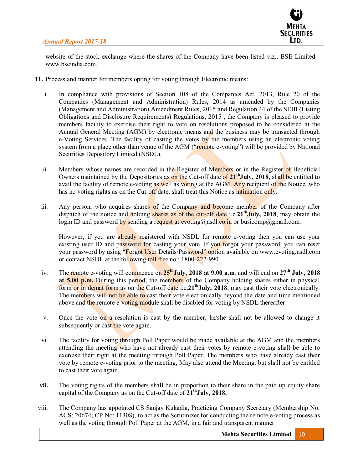

website of the stock exchange where the shares of the Company have been listed viz., BSE Limited www.bseindia.com.

- **11.** Process and manner for members opting for voting through Electronic means:
	- i. In compliance with provisions of Section 108 of the Companies Act, 2013, Rule 20 of the Companies (Management and Administration) Rules, 2014 as amended by the Companies (Management and Administration) Amendment Rules, 2015 and Regulation 44 of the SEBI (Listing Obligations and Disclosure Requirements) Regulations, 2015 , the Company is pleased to provide members facility to exercise their right to vote on resolutions proposed to be considered at the Annual General Meeting (AGM) by electronic means and the business may be transacted through e-Voting Services. The facility of casting the votes by the members using an electronic voting system from a place other than venue of the AGM ("remote e-voting") will be provided by National Securities Depository Limited (NSDL).
	- ii. Members whose names are recorded in the Register of Members or in the Register of Beneficial Owners maintained by the Depositories as on the Cut-off date of 2<sup>1th</sup>July, 2018, shall be entitled to avail the facility of remote e-voting as well as voting at the AGM. Any recipient of the Notice, who has no voting rights as on the Cut-off date, shall treat this Notice as intimation only.
	- iii. Any person, who acquires shares of the Company and become member of the Company after dispatch of the notice and holding shares as of the cut-off date i.e.21<sup>th</sup> July, 2018, may obtain the login ID and password by sending a request at evoting@nsdl.co.in or busicomp@gmail.com.

However, if you are already registered with NSDL for remote e-voting then you can use your existing user ID and password for casting your vote. If you forgot your password, you can reset your password by using "Forgot User Details/Password" option available on www.evoting.nsdl.com or contact NSDL at the following toll free no.: 1800-222-990.

- iv. The remote e-voting will commence on **25thJuly, 2018 at 9.00 a.m**. and will end on **27th July, 2018 at 5.00 p.m.** During this period, the members of the Company holding shares either in physical form or in demat form as on the Cut-off date i.e.21<sup>th</sup>July, 2018, may cast their vote electronically. The members will not be able to cast their vote electronically beyond the date and time mentioned above and the remote e-voting module shall be disabled for voting by NSDL thereafter.
- v. Once the vote on a resolution is cast by the member, he/she shall not be allowed to change it subsequently or cast the vote again.
- vi. The facility for voting through Poll Paper would be made available at the AGM and the members attending the meeting who have not already cast their votes by remote e-voting shall be able to exercise their right at the meeting through Poll Paper. The members who have already cast their vote by remote e-voting prior to the meeting, May also attend the Meeting, but shall not be entitled to cast their vote again.
- **vii.** The voting rights of the members shall be in proportion to their share in the paid up equity share capital of the Company as on the Cut-off date of  $21<sup>th</sup>$ **July, 2018.**
- viii. The Company has appointed CS Sanjay Kukadia, Practicing Company Secretary (Membership No. ACS: 20674; CP No: 11308), to act as the Scrutinizer for conducting the remote e-voting process as well as the voting through Poll Paper at the AGM, in a fair and transparent manner.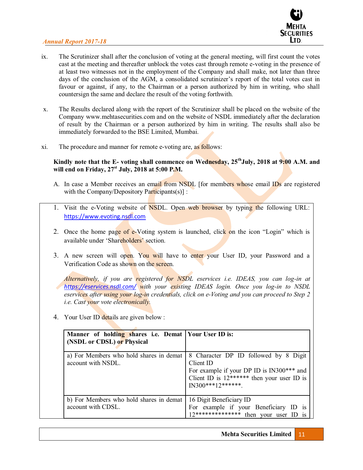

- ix. The Scrutinizer shall after the conclusion of voting at the general meeting, will first count the votes cast at the meeting and thereafter unblock the votes cast through remote e-voting in the presence of at least two witnesses not in the employment of the Company and shall make, not later than three days of the conclusion of the AGM, a consolidated scrutinizer's report of the total votes cast in favour or against, if any, to the Chairman or a person authorized by him in writing, who shall countersign the same and declare the result of the voting forthwith.
- x. The Results declared along with the report of the Scrutinizer shall be placed on the website of the Company www.mehtasecurities.com and on the website of NSDL immediately after the declaration of result by the Chairman or a person authorized by him in writing. The results shall also be immediately forwarded to the BSE Limited, Mumbai.
- xi. The procedure and manner for remote e-voting are, as follows:

#### **Kindly note that the E- voting shall commence on Wednesday, 25thJuly, 2018 at 9:00 A.M. and will end on Friday, 27st July, 2018 at 5:00 P.M.**

- A. In case a Member receives an email from NSDL [for members whose email IDs are registered with the Company/Depository Participants(s)] :
- 1. Visit the e-Voting website of NSDL. Open web browser by typing the following URL: https://www.evoting.nsdl.com
- 2. Once the home page of e-Voting system is launched, click on the icon "Login" which is available under 'Shareholders' section.
- 3. A new screen will open. You will have to enter your User ID, your Password and a Verification Code as shown on the screen.

*Alternatively, if you are registered for NSDL eservices i.e. IDEAS, you can log-in at https://eservices.nsdl.com/ with your existing IDEAS login. Once you log-in to NSDL eservices after using your log-in credentials, click on e-Voting and you can proceed to Step 2 i.e. Cast your vote electronically.* 

4. Your User ID details are given below :

| Manner of holding shares i.e. Demat   Your User ID is:<br>(NSDL or CDSL) or Physical |                                                                                                                                                                       |
|--------------------------------------------------------------------------------------|-----------------------------------------------------------------------------------------------------------------------------------------------------------------------|
| a) For Members who hold shares in demat<br>account with NSDL.                        | 8 Character DP ID followed by 8 Digit<br>Client ID<br>For example if your DP ID is IN300*** and<br>Client ID is $12******$ then your user ID is<br>$IN300***12******$ |
| b) For Members who hold shares in demat<br>account with CDSL.                        | 16 Digit Beneficiary ID<br>For example if your Beneficiary ID<br><sup>1</sup> S<br>12************** then your user ID<br>1S                                           |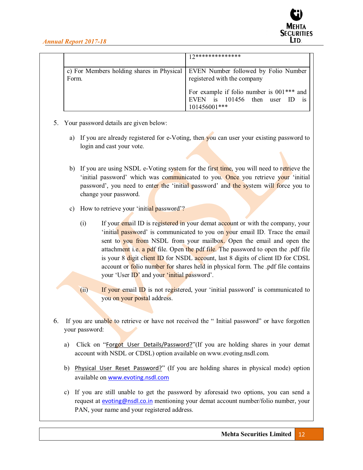|       | <b>0**************</b>                                                                                                                                         |
|-------|----------------------------------------------------------------------------------------------------------------------------------------------------------------|
| Form. | c) For Members holding shares in Physical   EVEN Number followed by Folio Number<br>registered with the company<br>For example if folio number is $001***$ and |
|       | 101456<br>then user<br>EVEN is<br>1S<br>101456001***                                                                                                           |

- 5. Your password details are given below:
	- a) If you are already registered for e-Voting, then you can user your existing password to login and cast your vote.
	- b) If you are using NSDL e-Voting system for the first time, you will need to retrieve the 'initial password' which was communicated to you. Once you retrieve your 'initial password', you need to enter the 'initial password' and the system will force you to change your password.
	- c) How to retrieve your 'initial password'?
		- $(i)$  If your email ID is registered in your demat account or with the company, your 'initial password' is communicated to you on your email ID. Trace the email sent to you from NSDL from your mailbox. Open the email and open the attachment i.e. a pdf file. Open the pdf file. The password to open the .pdf file is your 8 digit client ID for NSDL account, last 8 digits of client ID for CDSL account or **folio** number for shares held in physical form. The .pdf file contains your 'User ID' and your 'initial password'.
		- (ii) If your email  $ID$  is not registered, your 'initial password' is communicated to you on your postal address.
- 6. If you are unable to retrieve or have not received the "Initial password" or have forgotten your password:
	- a) Click on "Forgot User Details/Password?"(If you are holding shares in your demat account with NSDL or CDSL) option available on www.evoting.nsdl.com.
	- b) Physical User Reset Password?" (If you are holding shares in physical mode) option available on www.evoting.nsdl.com
	- c) If you are still unable to get the password by aforesaid two options, you can send a request at evoting@nsdl.co.in mentioning your demat account number/folio number, your PAN, your name and your registered address.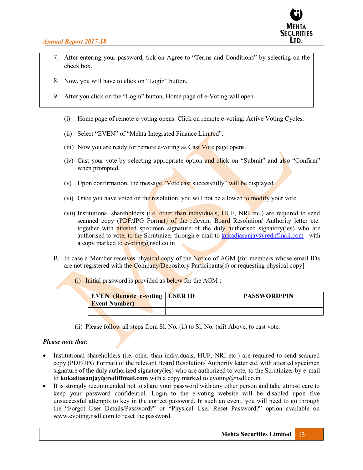

- 7. After entering your password, tick on Agree to "Terms and Conditions" by selecting on the check box.
- 8. Now, you will have to click on "Login" button.
- 9. After you click on the "Login" button, Home page of e-Voting will open.
	- (i) Home page of remote e-voting opens. Click on remote e-voting: Active Voting Cycles.
	- (ii) Select "EVEN" of "Mehta Integrated Finance Limited".
	- (iii) Now you are ready for remote e-voting as Cast Vote page opens.
	- (iv) Cast your vote by selecting appropriate option and click on "Submit" and also "Confirm" when prompted.
	- (v) Upon confirmation, the message "Vote cast successfully" will be displayed.
	- (vi) Once you have voted on the resolution, you will not be allowed to modify your vote.
	- (vii) Institutional shareholders (i.e. other than individuals, HUF, NRI etc.) are required to send scanned copy (PDF/JPG Format) of the relevant Board Resolution/ Authority letter etc. together with **attested** specimen signature of the duly authorised signatory(ies) who are authorised to vote, to the Scrutinizer through e-mail to kukadiasanjay@rediffmail.com with a copy marked to evoting@nsdl.co.in
- B. In case a Member receives physical copy of the Notice of AGM [for members whose email IDs are not registered with the Company/Depository Participants(s) or requesting physical copy] :
	- (i) Initial password is provided as below for the AGM :

| <b>EVEN</b> (Remote e-voting <b>USER ID</b><br><b>Event Number</b> ) | <b>PASSWORD/PIN</b> |
|----------------------------------------------------------------------|---------------------|
|                                                                      |                     |

(ii) Please follow all steps from Sl. No. (ii) to Sl. No. (xii) Above, to cast vote.

#### *Please note that:*

- Institutional shareholders (i.e. other than individuals, HUF, NRI etc.) are required to send scanned copy (PDF/JPG Format) of the relevant Board Resolution/ Authority letter etc. with attested specimen signature of the duly authorized signatory(ies) who are authorized to vote, to the Scrutinizer by e-mail to **kukadiasanjay@rediffmail.com** with a copy marked to evoting@nsdl.co.in.
- It is strongly recommended not to share your password with any other person and take utmost care to keep your password confidential. Login to the e-voting website will be disabled upon five unsuccessful attempts to key in the correct password. In such an event, you will need to go through the "Forgot User Details/Password?" or "Physical User Reset Password?" option available on www.evoting.nsdl.com to reset the password.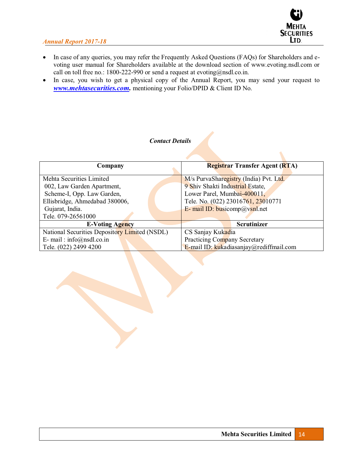

- In case of any queries, you may refer the Frequently Asked Questions (FAQs) for Shareholders and evoting user manual for Shareholders available at the download section of www.evoting.nsdl.com or call on toll free no.: 1800-222-990 or send a request at evoting@nsdl.co.in.
- In case, you wish to get a physical copy of the Annual Report, you may send your request to *www.mehtasecurities.com.* mentioning your Folio/DPID & Client ID No.

| <b>Contact Details</b> |  |
|------------------------|--|
|------------------------|--|

| Company                                       | <b>Registrar Transfer Agent (RTA)</b>   |  |
|-----------------------------------------------|-----------------------------------------|--|
|                                               |                                         |  |
| Mehta Securities Limited                      | M/s PurvaSharegistry (India) Pvt. Ltd.  |  |
| 002, Law Garden Apartment,                    | 9 Shiv Shakti Industrial Estate,        |  |
| Scheme-I, Opp. Law Garden,                    | Lower Parel, Mumbai-400011,             |  |
| Ellisbridge, Ahmedabad 380006,                | Tele. No. (022) 23016761, 23010771      |  |
| Gujarat, India.                               | E- mail ID: busicomp@ysnl.net           |  |
| Tele. 079-26561000                            |                                         |  |
| <b>E-Voting Agency</b>                        | <b>Scrutinizer</b>                      |  |
| National Securities Depository Limited (NSDL) | CS Sanjay Kukadia                       |  |
| E- mail: $info(\hat{\omega})$ nsdl.co.in      | Practicing Company Secretary            |  |
| Tele. (022) 2499 4200                         | E-mail ID: kukadiasanjay@rediffmail.com |  |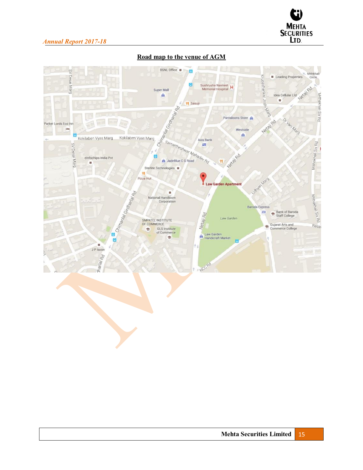

| SV Desai Marg                                           | BSNL Office<br>Super Mall<br>â                                                                                         | Sushrusha Navneet<br>Memorial Hospital                                                   | Krupashankar Joshi Na <sup>69</sup><br>Leading Properties<br>NetailRd<br>Idea Cellular Ltd<br>鹽              | Mithkhali<br>Circle.      |
|---------------------------------------------------------|------------------------------------------------------------------------------------------------------------------------|------------------------------------------------------------------------------------------|--------------------------------------------------------------------------------------------------------------|---------------------------|
| Parker Lords Eco Inn<br>÷h (<br>Kokilaben Vyas Marg     | Chinantaria Granden de Ra<br>Kokilaben Vyas Marg                                                                       | <b>PI</b> Sasuji<br>Pantaloons Store<br>Westside<br>A                                    | Or Vani Marg<br>Nerailpo                                                                                     | Aithakhail Six Rd         |
| SV Desai Marg<br>elnfochips India Pvt<br>羂              | JadeBlue C G Road<br>Sterlite Technologies<br>Pizza Hut                                                                | Samartheshwar Mahadey Rd<br>Newlyon<br><b>Law Garden Apartment</b>                       | Udright Marg                                                                                                 | Mithakhali Six Rd         |
| <b>B. B.</b> Chimanian Girdinary<br>ø<br>Ø<br>J P Iscon | National Handloom<br>Corporation<br>SMPATEL INSTITUTE<br>OF COMMERCE<br><b>GLS Institute</b><br>÷<br>of Commerce<br>Ŵ, | Netaji Rd<br>Law Garden<br>Law Garden<br>ê<br><b>Handicraft Market</b><br>$\blacksquare$ | <b>Baroda Express</b><br>Bank of Baroda<br>ATM<br>÷<br>Staff College<br>Gujarat Arts and<br>Commerce College | Mithakhali Six Rd<br>Rasa |
| tharlal Rd                                              |                                                                                                                        | NCCRO                                                                                    |                                                                                                              |                           |

# **Road map to the venue of AGM**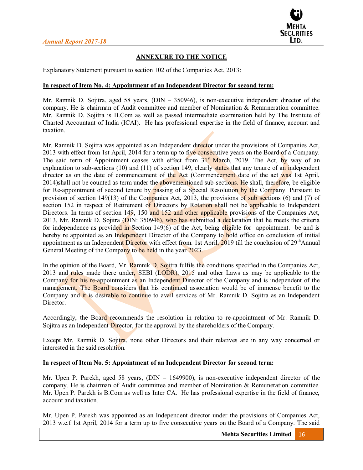

## **ANNEXURE TO THE NOTICE**

Explanatory Statement pursuant to section 102 of the Companies Act, 2013:

#### **In respect of Item No. 4: Appointment of an Independent Director for second term:**

Mr. Ramnik D. Sojitra, aged 58 years,  $(DIN - 350946)$ , is non-executive independent director of the company. He is chairman of Audit committee and member of Nomination & Remuneration committee. Mr. Ramnik D. Sojitra is B.Com as well as passed intermediate examination held by The Institute of Charted Accountant of India (ICAI). He has professional expertise in the field of finance, account and taxation.

Mr. Ramnik D. Sojitra was appointed as an Independent director under the provisions of Companies Act, 2013 with effect from 1st April, 2014 for a term up to five consecutive years on the Board of a Company. The said term of Appointment ceases with effect from  $31<sup>st</sup>$  March, 2019. The Act, by way of an explanation to sub-sections  $(10)$  and  $(11)$  of section 149, clearly states that any tenure of an independent director as on the date of commencement of the Act (Commencement date of the act was 1st April, 2014)shall not be counted as term under the abovementioned sub-sections. He shall, therefore, be eligible for Re-appointment of second tenure by passing of a Special Resolution by the Company. Pursuant to provision of section 149(13) of the Companies Act, 2013, the provisions of sub sections (6) and (7) of section 152 in respect of Retirement of Directors by Rotation shall not be applicable to Independent Directors. In terms of section 149, 150 and 152 and other applicable provisions of the Companies Act, 2013, Mr. Ramnik D. Sojitra (DIN: 350946), who has submitted a declaration that he meets the criteria for independence as provided in Section 149(6) of the Act, being eligible for appointment. be and is hereby re appointed as an Independent Director of the Company to hold office on conclusion of initial appointment as an Independent Director with effect from. 1st April,  $2019$  till the conclusion of  $29<sup>th</sup>$ Annual General Meeting of the Company to be held in the year 2023.

In the opinion of the Board, Mr. Ramnik D. Sojitra fulfils the conditions specified in the Companies Act, 2013 and rules made there under, SEBI (LODR), 2015 and other Laws as may be applicable to the Company for his re-appointment as an Independent Director of the Company and is independent of the management. The Board considers that his continued association would be of immense benefit to the Company and it is desirable to continue to avail services of Mr. Ramnik D. Sojitra as an Independent Director.

Accordingly, the Board recommends the resolution in relation to re-appointment of Mr. Ramnik D. Sojitra as an Independent Director, for the approval by the shareholders of the Company.

Except Mr. Ramnik D. Sojitra, none other Directors and their relatives are in any way concerned or interested in the said resolution.

## **In respect of Item No. 5: Appointment of an Independent Director for second term:**

Mr. Upen P. Parekh, aged 58 years,  $(DIN - 1649900)$ , is non-executive independent director of the company. He is chairman of Audit committee and member of Nomination & Remuneration committee. Mr. Upen P. Parekh is B.Com as well as Inter CA. He has professional expertise in the field of finance, account and taxation.

Mr. Upen P. Parekh was appointed as an Independent director under the provisions of Companies Act, 2013 w.e.f 1st April, 2014 for a term up to five consecutive years on the Board of a Company. The said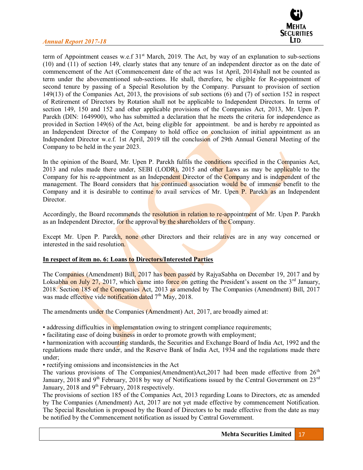

term of Appointment ceases w.e.f 31<sup>st</sup> March, 2019. The Act, by way of an explanation to sub-sections (10) and (11) of section 149, clearly states that any tenure of an independent director as on the date of commencement of the Act (Commencement date of the act was 1st April, 2014)shall not be counted as term under the abovementioned sub-sections. He shall, therefore, be eligible for Re-appointment of second tenure by passing of a Special Resolution by the Company. Pursuant to provision of section 149(13) of the Companies Act, 2013, the provisions of sub sections (6) and (7) of section 152 in respect of Retirement of Directors by Rotation shall not be applicable to Independent Directors. In terms of section 149, 150 and 152 and other applicable provisions of the Companies Act, 2013, Mr. Upen P. Parekh (DIN: 1649900), who has submitted a declaration that he meets the criteria for independence as provided in Section 149(6) of the Act, being eligible for appointment. be and is hereby re appointed as an Independent Director of the Company to hold office on conclusion of initial appointment as an Independent Director w.e.f. 1st April, 2019 till the conclusion of 29th Annual General Meeting of the Company to be held in the year 2023.

In the opinion of the Board, Mr. Upen P. Parekh fulfils the conditions specified in the Companies Act, 2013 and rules made there under, SEBI (LODR), 2015 and other Laws as may be applicable to the Company for his re-appointment as an Independent Director of the Company and is independent of the management. The Board considers that his continued association would be of immense benefit to the Company and it is desirable to continue to avail services of Mr. Upen P. Parekh as an Independent Director.

Accordingly, the Board recommends the resolution in relation to re-appointment of Mr. Upen P. Parekh as an Independent Director, for the approval by the shareholders of the Company.

Except Mr. Upen P. Parekh, none other Directors and their relatives are in any way concerned or interested in the said resolution.

#### **In respect of item no. 6: Loans to Directors/Interested Parties**

The Companies (Amendment) Bill, 2017 has been passed by RajyaSabha on December 19, 2017 and by Loksabha on July 27, 2017, which came into force on getting the President's assent on the  $3<sup>rd</sup>$  January, 2018. Section 185 of the Companies Act, 2013 as amended by The Companies (Amendment) Bill, 2017 was made effective vide notification dated 7<sup>th</sup> May, 2018.

The amendments under the Companies (Amendment) Act, 2017, are broadly aimed at:

• addressing difficulties in implementation owing to stringent compliance requirements;

• facilitating ease of doing business in order to promote growth with employment;

• harmonization with accounting standards, the Securities and Exchange Board of India Act, 1992 and the regulations made there under, and the Reserve Bank of India Act, 1934 and the regulations made there under;

• rectifying omissions and inconsistencies in the Act

The various provisions of The Companies(Amendment)Act, 2017 had been made effective from 26<sup>th</sup> January, 2018 and 9<sup>th</sup> February, 2018 by way of Notifications issued by the Central Government on  $23<sup>rd</sup>$ January, 2018 and 9<sup>th</sup> February, 2018 respectively.

The provisions of section 185 of the Companies Act, 2013 regarding Loans to Directors, etc as amended by The Companies (Amendment) Act, 2017 are not yet made effective by commencement Notification. The Special Resolution is proposed by the Board of Directors to be made effective from the date as may be notified by the Commencement notification as issued by Central Government.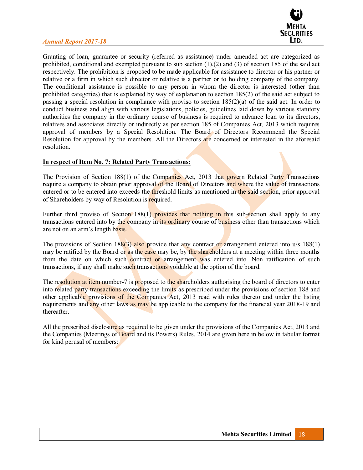

Granting of loan, guarantee or security (referred as assistance) under amended act are categorized as prohibited, conditional and exempted pursuant to sub section (1),(2) and (3) of section 185 of the said act respectively. The prohibition is proposed to be made applicable for assistance to director or his partner or relative or a firm in which such director or relative is a partner or to holding company of the company. The conditional assistance is possible to any person in whom the director is interested (other than prohibited categories) that is explained by way of explanation to section 185(2) of the said act subject to passing a special resolution in compliance with proviso to section 185(2)(a) of the said act. In order to conduct business and align with various legislations, policies, guidelines laid down by various statutory authorities the company in the ordinary course of business is required to advance loan to its directors, relatives and associates directly or indirectly as per section 185 of Companies Act, 2013 which requires approval of members by a Special Resolution. The Board of Directors Recommend the Special Resolution for approval by the members. All the Directors are concerned or interested in the aforesaid resolution.

#### **In respect of Item No. 7: Related Party Transactions:**

The Provision of Section 188(1) of the Companies Act, 2013 that govern Related Party Transactions require a company to obtain prior approval of the Board of Directors and where the value of transactions entered or to be entered into exceeds the **threshold** limits as mentioned in the said section, prior approval of Shareholders by way of Resolution is required.

Further third proviso of Section 188(1) provides that nothing in this sub-section shall apply to any transactions entered into by the company in its ordinary course of business other than transactions which are not on an arm's length basis.

The provisions of Section 188(3) also provide that any contract or arrangement entered into  $u/s$  188(1) may be ratified by the Board or as the case may be, by the shareholders at a meeting within three months from the date on which such contract or arrangement was entered into. Non ratification of such transactions, if any shall make such transactions voidable at the option of the board.

The resolution at item number-7 is proposed to the shareholders authorising the board of directors to enter into related party transactions exceeding the limits as prescribed under the provisions of section 188 and other applicable provisions of the Companies Act, 2013 read with rules thereto and under the listing requirements and any other laws as may be applicable to the company for the financial year 2018-19 and thereafter.

All the prescribed disclosure as required to be given under the provisions of the Companies Act, 2013 and the Companies (Meetings of Board and its Powers) Rules, 2014 are given here in below in tabular format for kind perusal of members: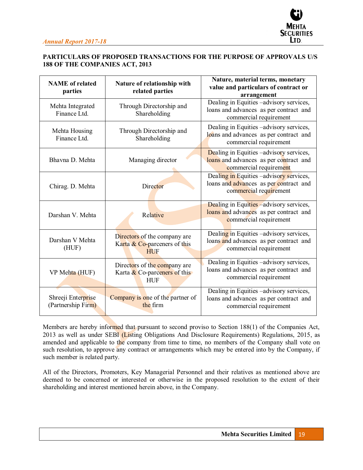

## **PARTICULARS OF PROPOSED TRANSACTIONS FOR THE PURPOSE OF APPROVALS U/S 188 OF THE COMPANIES ACT, 2013**

| <b>NAME</b> of related<br>parties                                         | Nature of relationship with<br>related parties                             | Nature, material terms, monetary<br>value and particulars of contract or<br>arrangement                      |
|---------------------------------------------------------------------------|----------------------------------------------------------------------------|--------------------------------------------------------------------------------------------------------------|
| Mehta Integrated<br>Finance Ltd.                                          | Through Directorship and<br>Shareholding                                   | Dealing in Equities -advisory services,<br>loans and advances as per contract and<br>commercial requirement  |
| Through Directorship and<br>Mehta Housing<br>Finance Ltd.<br>Shareholding |                                                                            | Dealing in Equities -advisory services,<br>loans and advances as per contract and<br>commercial requirement  |
| Bhavna D. Mehta<br>Managing director                                      |                                                                            | Dealing in Equities -advisory services,<br>loans and advances as per contract and<br>commercial requirement  |
| Chirag. D. Mehta                                                          | Director                                                                   | Dealing in Equities -advisory services,<br>loans and advances as per contract and<br>commercial requirement  |
| Darshan V. Mehta                                                          | Relative                                                                   | Dealing in Equities - advisory services,<br>loans and advances as per contract and<br>commercial requirement |
| Darshan V Mehta<br>(HUF)                                                  | Directors of the company are<br>Karta & Co-parceners of this<br><b>HUF</b> | Dealing in Equities -advisory services,<br>loans and advances as per contract and<br>commercial requirement  |
| VP Mehta (HUF)                                                            | Directors of the company are<br>Karta & Co-parceners of this<br><b>HUF</b> | Dealing in Equities -advisory services,<br>loans and advances as per contract and<br>commercial requirement  |
| Shreeji Enterprise<br>(Partnership Firm)                                  | Company is one of the partner of<br>the firm                               | Dealing in Equities -advisory services,<br>loans and advances as per contract and<br>commercial requirement  |

Members are hereby informed that pursuant to second proviso to Section 188(1) of the Companies Act, 2013 as well as under SEBI (Listing Obligations And Disclosure Requirements) Regulations, 2015, as amended and applicable to the company from time to time, no members of the Company shall vote on such resolution, to approve any contract or arrangements which may be entered into by the Company, if such member is related party.

All of the Directors, Promoters, Key Managerial Personnel and their relatives as mentioned above are deemed to be concerned or interested or otherwise in the proposed resolution to the extent of their shareholding and interest mentioned herein above, in the Company.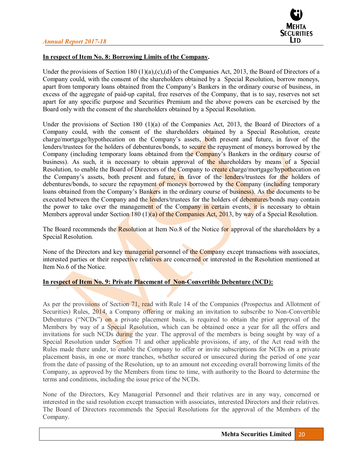

## **In respect of Item No. 8: Borrowing Limits of the Company.**

Under the provisions of Section 180 (1)(a),(c),(d) of the Companies Act, 2013, the Board of Directors of a Company could, with the consent of the shareholders obtained by a Special Resolution, borrow moneys, apart from temporary loans obtained from the Company's Bankers in the ordinary course of business, in excess of the aggregate of paid-up capital, free reserves of the Company, that is to say, reserves not set apart for any specific purpose and Securities Premium and the above powers can be exercised by the Board only with the consent of the shareholders obtained by a Special Resolution.

Under the provisions of Section 180 (1)(a) of the Companies Act, 2013, the Board of Directors of a Company could, with the consent of the shareholders obtained by a Special Resolution, create charge/mortgage/hypothecation on the Company's assets, both present and future, in favor of the lenders/trustees for the holders of debentures/bonds, to secure the repayment of moneys borrowed by the Company (including temporary loans obtained from the Company's Bankers in the ordinary course of business). As such, it is necessary to obtain approval of the shareholders by means of a Special Resolution, to enable the Board of Directors of the Company to create charge/mortgage/hypothecation on the Company's assets, both present and future, in favor of the lenders/trustees for the holders of debentures/bonds, to secure the repayment of moneys borrowed by the Company (including temporary loans obtained from the Company's Bankers in the ordinary course of business). As the documents to be executed between the Company and the lenders/trustees for the holders of debentures/bonds may contain the power to take over the management of the Company in certain events, it is necessary to obtain Members approval under Section 180 (1)(a) of the Companies Act, 2013, by way of a Special Resolution.

The Board recommends the Resolution at Item No.8 of the Notice for approval of the shareholders by a Special Resolution.

None of the Directors and key managerial personnel of the Company except transactions with associates, interested parties or their respective relatives are concerned or interested in the Resolution mentioned at Item No.6 of the Notice.

## **In respect of Item No. 9: Private Placement of Non-Convertible Debenture (NCD):**

As per the provisions of Section 71, read with Rule 14 of the Companies (Prospectus and Allotment of Securities) Rules, 2014, a Company offering or making an invitation to subscribe to Non-Convertible Debentures ("NCDs") on a private placement basis, is required to obtain the prior approval of the Members by way of a Special Resolution, which can be obtained once a year for all the offers and invitations for such NCDs during the year. The approval of the members is being sought by way of a Special Resolution under Section 71 and other applicable provisions, if any, of the Act read with the Rules made there under, to enable the Company to offer or invite subscriptions for NCDs on a private placement basis, in one or more tranches, whether secured or unsecured during the period of one year from the date of passing of the Resolution, up to an amount not exceeding overall borrowing limits of the Company, as approved by the Members from time to time, with authority to the Board to determine the terms and conditions, including the issue price of the NCDs.

None of the Directors, Key Managerial Personnel and their relatives are in any way, concerned or interested in the said resolution except transaction with associates, interested Directors and their relatives. The Board of Directors recommends the Special Resolutions for the approval of the Members of the Company.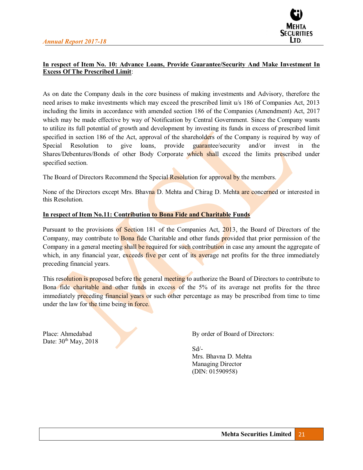

## **In respect of Item No. 10: Advance Loans, Provide Guarantee/Security And Make Investment In Excess Of The Prescribed Limit**:

As on date the Company deals in the core business of making investments and Advisory, therefore the need arises to make investments which may exceed the prescribed limit u/s 186 of Companies Act, 2013 including the limits in accordance with amended section 186 of the Companies (Amendment) Act, 2017 which may be made effective by way of Notification by Central Government. Since the Company wants to utilize its full potential of growth and development by investing its funds in excess of prescribed limit specified in section 186 of the Act, approval of the shareholders of the Company is required by way of Special Resolution to give loans, provide guarantee/security and/or invest in the Shares/Debentures/Bonds of other Body Corporate which shall exceed the limits prescribed under specified section.

The Board of Directors Recommend the Special Resolution for approval by the members.

None of the Directors except Mrs. Bhavna D. Mehta and Chirag D. Mehta are concerned or interested in this Resolution.

#### **In respect of Item No.11: Contribution to Bona Fide and Charitable Funds**

Pursuant to the provisions of Section 181 of the Companies Act, 2013, the Board of Directors of the Company, may contribute to **Bona fide** Charitable and other funds provided that prior permission of the Company in a general meeting shall be required for such contribution in case any amount the aggregate of which, in any financial year, exceeds five per cent of its average net profits for the three immediately preceding financial years.

This resolution is proposed before the general meeting to authorize the Board of Directors to contribute to Bona fide charitable and other funds in excess of the 5% of its average net profits for the three immediately preceding financial years or such other percentage as may be prescribed from time to time under the law for the time being in force.

Date:  $30<sup>th</sup>$  May, 2018

Place: Ahmedabad By order of Board of Directors:

Sd/- Mrs. Bhavna D. Mehta Managing Director (DIN: 01590958)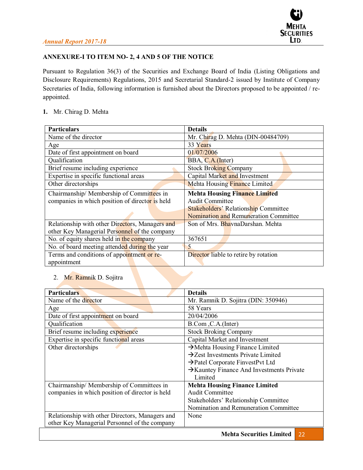## **ANNEXURE-I TO ITEM NO- 2, 4 AND 5 OF THE NOTICE**

Pursuant to Regulation 36(3) of the Securities and Exchange Board of India (Listing Obligations and Disclosure Requirements) Regulations, 2015 and Secretarial Standard-2 issued by Institute of Company Secretaries of India, following information is furnished about the Directors proposed to be appointed / reappointed.

## **1.** Mr. Chirag D. Mehta

| <b>Particulars</b>                              | <b>Details</b>                               |  |
|-------------------------------------------------|----------------------------------------------|--|
| Name of the director                            | Mr. Chirag D. Mehta (DIN-00484709)           |  |
| Age                                             | 33 Years                                     |  |
| Date of first appointment on board              | 01/07/2006                                   |  |
| Qualification                                   | BBA, C.A.(Inter)                             |  |
| Brief resume including experience               | <b>Stock Broking Company</b>                 |  |
| Expertise in specific functional areas          | Capital Market and Investment                |  |
| Other directorships                             | Mehta Housing Finance Limited                |  |
| Chairmanship/Membership of Committees in        | <b>Mehta Housing Finance Limited</b>         |  |
| companies in which position of director is held | <b>Audit Committee</b>                       |  |
|                                                 | <b>Stakeholders' Relationship Committee</b>  |  |
|                                                 | <b>Nomination and Remuneration Committee</b> |  |
| Relationship with other Directors, Managers and | Son of Mrs. BhavnaDarshan. Mehta             |  |
| other Key Managerial Personnel of the company   |                                              |  |
| No. of equity shares held in the company        | 367651                                       |  |
| No. of board meeting attended during the year   | 5                                            |  |
| Terms and conditions of appointment or re-      | Director liable to retire by rotation        |  |
| appointment                                     |                                              |  |

## 2. Mr. Ramnik D. Sojitra

| <b>Particulars</b>                              | <b>Details</b>                                     |
|-------------------------------------------------|----------------------------------------------------|
| Name of the director                            | Mr. Ramnik D. Sojitra (DIN: 350946)                |
| Age                                             | 58 Years                                           |
| Date of first appointment on board              | 20/04/2006                                         |
| Qualification                                   | B.Com, C.A.(Inter)                                 |
| Brief resume including experience               | <b>Stock Broking Company</b>                       |
| Expertise in specific functional areas          | Capital Market and Investment                      |
| Other directorships                             | $\rightarrow$ Mehta Housing Finance Limited        |
|                                                 | $\rightarrow$ Zest Investments Private Limited     |
|                                                 | $\rightarrow$ Patel Corporate FinvestPvt Ltd       |
|                                                 | >Kauntey Finance And Investments Private           |
|                                                 | Limited                                            |
| Chairmanship/Membership of Committees in        | <b>Mehta Housing Finance Limited</b>               |
| companies in which position of director is held | <b>Audit Committee</b>                             |
|                                                 | Stakeholders' Relationship Committee               |
|                                                 | Nomination and Remuneration Committee              |
| Relationship with other Directors, Managers and | None                                               |
| other Key Managerial Personnel of the company   |                                                    |
|                                                 | $M_0$ kto Cognuitica I imitad $\blacksquare$<br>ാറ |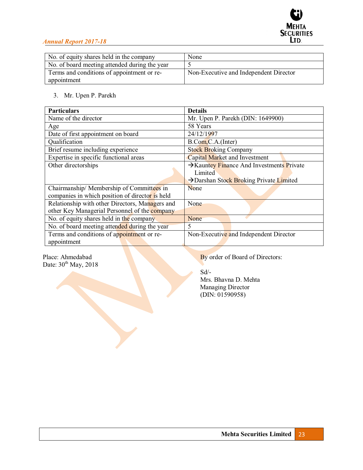

| No. of equity shares held in the company      | None                                   |
|-----------------------------------------------|----------------------------------------|
| No. of board meeting attended during the year |                                        |
| Terms and conditions of appointment or re-    | Non-Executive and Independent Director |
| appointment                                   |                                        |

## 3. Mr. Upen P. Parekh

| <b>Particulars</b>                              | <b>Details</b>                                        |
|-------------------------------------------------|-------------------------------------------------------|
| Name of the director                            | Mr. Upen P. Parekh (DIN: 1649900)                     |
| Age                                             | 58 Years                                              |
| Date of first appointment on board              | 24/12/1997                                            |
| Qualification                                   | B.Com, C.A. (Inter)                                   |
| Brief resume including experience               | <b>Stock Broking Company</b>                          |
| Expertise in specific functional areas          | Capital Market and Investment                         |
| Other directorships                             | $\rightarrow$ Kauntey Finance And Investments Private |
|                                                 | Limited                                               |
|                                                 | >Darshan Stock Broking Private Limited                |
| Chairmanship/Membership of Committees in        | None                                                  |
| companies in which position of director is held |                                                       |
| Relationship with other Directors, Managers and | None                                                  |
| other Key Managerial Personnel of the company   |                                                       |
| No. of equity shares held in the company        | None                                                  |
| No. of board meeting attended during the year   | 5                                                     |
| Terms and conditions of appointment or re-      | Non-Executive and Independent Director                |
| appointment                                     |                                                       |

Place: Ahmedabad<br>Date:  $30^{\text{th}}$  May, 2018

By order of Board of Directors:

 Sd/- Mrs. Bhavna D. Mehta Managing Director (DIN: 01590958)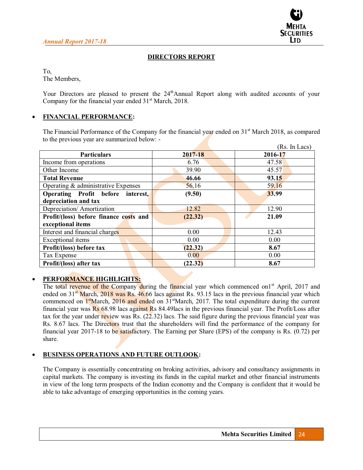

## **DIRECTORS REPORT**

To,

The Members,

Your Directors are pleased to present the 24<sup>th</sup>Annual Report along with audited accounts of your Company for the financial year ended  $31<sup>st</sup>$  March, 2018.

## x **FINANCIAL PERFORMANCE:**

The Financial Performance of the Company for the financial year ended on  $31<sup>st</sup>$  March 2018, as compared to the previous year are summarized below: -

|                                        |             | (Rs. In Lacs) |
|----------------------------------------|-------------|---------------|
| <b>Particulars</b>                     | $2017 - 18$ | 2016-17       |
| Income from operations                 | 6.76        | 47.58         |
| Other Income                           | 39.90       | 45.57         |
| <b>Total Revenue</b>                   | 46.66       | 93.15         |
| Operating $\&$ administrative Expenses | 56.16       | 59.16         |
| Operating Profit before interest,      | (9.50)      | 33.99         |
| depreciation and tax                   |             |               |
| Depreciation/Amortization              | 12.82       | 12.90         |
| Profit/(loss) before finance costs and | (22.32)     | 21.09         |
| exceptional items                      |             |               |
| Interest and financial charges         | 0.00        | 12.43         |
| Exceptional items                      | 0.00        | 0.00          |
| Profit/(loss) before tax               | (22.32)     | 8.67          |
| Tax Expense                            | 0.00        | 0.00          |
| Profit/(loss) after tax                | (22.32)     | 8.67          |

## x **PERFORMANCE HIGHLIGHTS:**

The total revenue of the Company during the financial year which commenced on<sup>1st</sup> April, 2017 and ended on  $31<sup>st</sup>$  March, 2018 was Rs. 46.66 lacs against Rs. 93.15 lacs in the previous financial year which commenced on  $1<sup>st</sup>March$ , 2016 and ended on  $31<sup>st</sup>March$ , 2017. The total expenditure during the current financial year was Rs 68.98 lacs against Rs 84.49lacs in the previous financial year. The Profit/Loss after tax for the year under review was Rs. (22.32) lacs. The said figure during the previous financial year was Rs. 8.67 lacs. The Directors trust that the shareholders will find the performance of the company for financial year 2017-18 to be satisfactory. The Earning per Share (EPS) of the company is Rs. (0.72) per share.

## x **BUSINESS OPERATIONS AND FUTURE OUTLOOK:**

The Company is essentially concentrating on broking activities, advisory and consultancy assignments in capital markets. The company is investing its funds in the capital market and other financial instruments in view of the long term prospects of the Indian economy and the Company is confident that it would be able to take advantage of emerging opportunities in the coming years.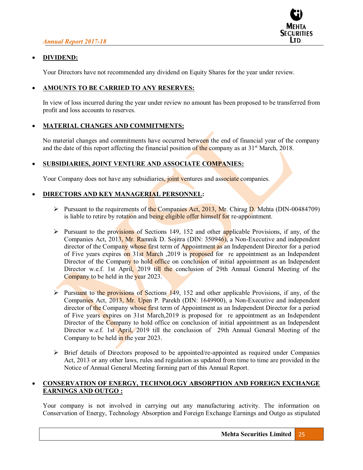

## x **DIVIDEND:**

Your Directors have not recommended any dividend on Equity Shares for the year under review.

## x **AMOUNTS TO BE CARRIED TO ANY RESERVES:**

In view of loss incurred during the year under review no amount has been proposed to be transferred from profit and loss accounts to reserves.

## x **MATERIAL CHANGES AND COMMITMENTS:**

No material changes and commitments have occurred between the end of financial year of the company and the date of this report affecting the financial position of the company as at  $31<sup>st</sup>$  March, 2018.

## x **SUBSIDIARIES, JOINT VENTURE AND ASSOCIATE COMPANIES:**

Your Company does not have any subsidiaries, joint ventures and associate companies.

## x **DIRECTORS AND KEY MANAGERIAL PERSONNEL:**

- $\triangleright$  Pursuant to the requirements of the Companies Act, 2013, Mr. Chirag D. Mehta (DIN-00484709) is liable to retire by rotation and being eligible offer himself for re-appointment.
- $\triangleright$  Pursuant to the provisions of Sections 149, 152 and other applicable Provisions, if any, of the Companies Act, 2013, Mr. Ramnik D. Sojitra (DIN: 350946), a Non-Executive and independent director of the Company whose first term of Appointment as an Independent Director for a period of Five years expires on 31st March ,2019 is proposed for re appointment as an Independent Director of the Company to hold office on conclusion of initial appointment as an Independent Director w.e.f. 1st April, 2019 till the conclusion of 29th Annual General Meeting of the Company to be held in the year 2023.
- $\triangleright$  Pursuant to the provisions of Sections 149, 152 and other applicable Provisions, if any, of the Companies Act, 2013, Mr. Upen P. Parekh (DIN: 1649900), a Non-Executive and independent director of the Company whose first term of Appointment as an Independent Director for a period of Five years expires on 31st March,2019 is proposed for re appointment as an Independent Director of the Company to hold office on conclusion of initial appointment as an Independent Director w.e.f. 1st April, 2019 till the conclusion of 29th Annual General Meeting of the Company to be held in the year 2023.
- $\triangleright$  Brief details of Directors proposed to be appointed/re-appointed as required under Companies Act, 2013 or any other laws, rules and regulation as updated from time to time are provided in the Notice of Annual General Meeting forming part of this Annual Report.

## x **CONSERVATION OF ENERGY, TECHNOLOGY ABSORPTION AND FOREIGN EXCHANGE EARNINGS AND OUTGO :**

Your company is not involved in carrying out any manufacturing activity. The information on Conservation of Energy, Technology Absorption and Foreign Exchange Earnings and Outgo as stipulated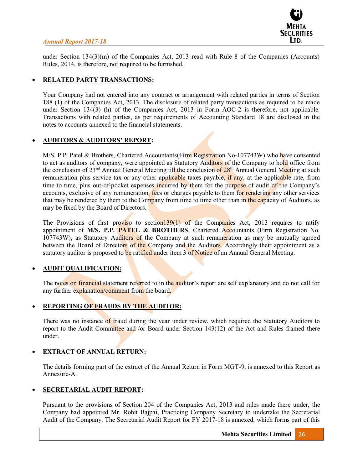

under Section 134(3)(m) of the Companies Act, 2013 read with Rule 8 of the Companies (Accounts) Rules, 2014, is therefore, not required to be furnished.

## x **RELATED PARTY TRANSACTIONS:**

Your Company had not entered into any contract or arrangement with related parties in terms of Section 188 (1) of the Companies Act, 2013. The disclosure of related party transactions as required to be made under Section 134(3) (h) of the Companies Act, 2013 in Form AOC-2 is therefore, not applicable. Transactions with related parties, as per requirements of Accounting Standard 18 are disclosed in the notes to accounts annexed to the financial statements.

## **AUDITORS & AUDITORS' REPORT:**

M/S. P.P. Patel & Brothers, Chartered Accountants(Firm Registration No-107743W) who have consented to act as auditors of company, were appointed as Statutory Auditors of the Company to hold office from the conclusion of 23<sup>nd</sup> Annual General Meeting till the conclusion of 28<sup>th</sup> Annual General Meeting at such remuneration plus service tax or any other applicable taxes payable, if any, at the applicable rate, from time to time, plus out-of-pocket expenses incurred by them for the purpose of audit of the Company's accounts, exclusive of any remuneration, fees or charges payable to them for rendering any other services that may be rendered by them to the Company from time to time other than in the capacity of Auditors, as may be fixed by the Board of Directors.

The Provisions of first proviso to section  $139(1)$  of the Companies Act, 2013 requires to ratify appointment of **M/S. P.P. PATEL & BROTHERS**, Chartered Accountants (Firm Registration No. 107743W), as Statutory Auditors of the Company at such remuneration as may be mutually agreed between the Board of Directors of the Company and the Auditors. Accordingly their appointment as a statutory auditor is proposed to be ratified under item 3 of Notice of an Annual General Meeting.

#### x **AUDIT QUALIFICATION:**

The notes on financial statement referred to in the auditor's report are self explanatory and do not call for any further explanation/comment from the board.

## x **REPORTING OF FRAUDS BY THE AUDITOR:**

There was no instance of fraud during the year under review, which required the Statutory Auditors to report to the Audit Committee and /or Board under Section 143(12) of the Act and Rules framed there under.

#### x **EXTRACT OF ANNUAL RETURN:**

The details forming part of the extract of the Annual Return in Form MGT-9, is annexed to this Report as Annexure-A.

#### x **SECRETARIAL AUDIT REPORT:**

Pursuant to the provisions of Section 204 of the Companies Act, 2013 and rules made there under, the Company had appointed Mr. Rohit Bajpai, Practicing Company Secretary to undertake the Secretarial Audit of the Company. The Secretarial Audit Report for FY 2017-18 is annexed, which forms part of this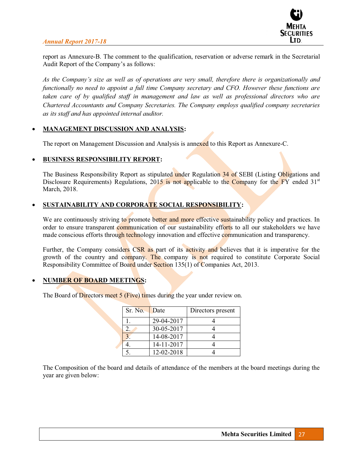

report as Annexure-B. The comment to the qualification, reservation or adverse remark in the Secretarial Audit Report of the Company's as follows:

As the Company's size as well as of operations are very small, therefore there is organizationally and *functionally no need to appoint a full time Company secretary and CFO. However these functions are taken care of by qualified staff in management and law as well as professional directors who are Chartered Accountants and Company Secretaries. The Company employs qualified company secretaries as its staff and has appointed internal auditor.* 

#### x **MANAGEMENT DISCUSSION AND ANALYSIS:**

The report on Management Discussion and Analysis is annexed to this Report as Annexure-C.

#### x **BUSINESS RESPONSIBILITY REPORT:**

The Business Responsibility Report as stipulated under Regulation 34 of SEBI (Listing Obligations and Disclosure Requirements) Regulations, 2015 is not applicable to the Company for the FY ended 31<sup>st</sup> March, 2018.

## x **SUSTAINABILITY AND CORPORATE SOCIAL RESPONSIBILITY:**

We are continuously striving to promote better and more effective sustainability policy and practices. In order to ensure transparent communication of our sustainability efforts to all our stakeholders we have made conscious efforts through technology innovation and effective communication and transparency.

Further, the Company considers CSR as part of its activity and believes that it is imperative for the growth of the country and company. The company is not required to constitute Corporate Social Responsibility Committee of Board under Section 135(1) of Companies Act, 2013.

## x **NUMBER OF BOARD MEETINGS:**

The Board of Directors meet 5 (Five) times during the year under review on.

| Sr. No. | Date       | Directors present |
|---------|------------|-------------------|
|         | 29-04-2017 |                   |
|         | 30-05-2017 |                   |
|         | 14-08-2017 |                   |
|         | 14-11-2017 |                   |
|         | 12-02-2018 |                   |

The Composition of the board and details of attendance of the members at the board meetings during the year are given below: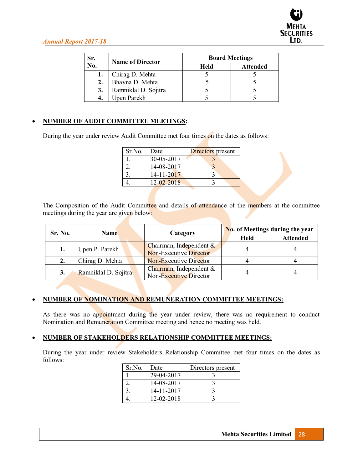| Sr. | <b>Name of Director</b> | <b>Board Meetings</b> |                 |  |  |
|-----|-------------------------|-----------------------|-----------------|--|--|
| No. |                         | <b>Held</b>           | <b>Attended</b> |  |  |
| ı.  | Chirag D. Mehta         |                       |                 |  |  |
| 2.  | Bhavna D. Mehta         |                       |                 |  |  |
| 3.  | Ramniklal D. Sojitra    |                       |                 |  |  |
|     | Upen Parekh             |                       |                 |  |  |

## x **NUMBER OF AUDIT COMMITTEE MEETINGS:**

During the year under review Audit Committee met four times on the dates as follows:

| Sr.No. | Date       | Directors present |
|--------|------------|-------------------|
|        | 30-05-2017 |                   |
|        | 14-08-2017 |                   |
|        | 14-11-2017 |                   |
|        | 12-02-2018 |                   |

The Composition of the Audit Committee and details of attendance of the members at the committee meetings during the year are given below:

| Sr. No. | <b>Name</b>          |  | Category                                                 | No. of Meetings during the year |                 |  |
|---------|----------------------|--|----------------------------------------------------------|---------------------------------|-----------------|--|
|         |                      |  |                                                          | <b>Held</b>                     | <b>Attended</b> |  |
| 1.      | Upen P. Parekh       |  | Chairman, Independent &<br><b>Non-Executive Director</b> |                                 |                 |  |
| 2.      | Chirag D. Mehta      |  | <b>Non-Executive Director</b>                            |                                 |                 |  |
| 3.      | Ramniklal D. Sojitra |  | Chairman, Independent &<br>Non-Executive Director        |                                 |                 |  |

## x **NUMBER OF NOMINATION AND REMUNERATION COMMITTEE MEETINGS:**

As there was no appointment during the year under review, there was no requirement to conduct Nomination and Remuneration Committee meeting and hence no meeting was held.

## x **NUMBER OF STAKEHOLDERS RELATIONSHIP COMMITTEE MEETINGS:**

During the year under review Stakeholders Relationship Committee met four times on the dates as follows:

| Sr.No. | Date       | Directors present |
|--------|------------|-------------------|
|        | 29-04-2017 |                   |
|        | 14-08-2017 |                   |
|        | 14-11-2017 |                   |
|        | 12-02-2018 |                   |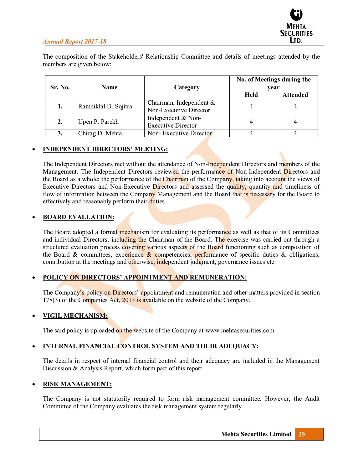The composition of the Stakeholders' Relationship Committee and details of meetings attended by the members are given below:

| Sr. No. | <b>Name</b>          | Category                                             | No. of Meetings during the<br>vear |                 |  |
|---------|----------------------|------------------------------------------------------|------------------------------------|-----------------|--|
|         |                      |                                                      | <b>Held</b>                        | <b>Attended</b> |  |
| 1.      | Ramniklal D. Sojitra | Chairman, Independent $\&$<br>Non-Executive Director | 4                                  |                 |  |
| 2.      | Upen P. Parekh       | Independent & Non-<br><b>Executive Director</b>      |                                    |                 |  |
| 3.      | Chirag D. Mehta      | Non-Executive Director                               |                                    |                 |  |

## **INDEPENDENT DIRECTORS' MEETING:**

The Independent Directors met without the attendance of Non-Independent Directors and members of the Management. The Independent Directors reviewed the performance of Non-Independent Directors and the Board as a whole; the performance of the Chairman of the Company, taking into account the views of Executive Directors and Non-Executive Directors and assessed the quality, quantity and timeliness of flow of information between the Company Management and the Board that is necessary for the Board to effectively and reasonably perform their duties.

## **BOARD EVALUATION:**

The Board adopted a formal mechanism for evaluating its performance as well as that of its Committees and individual Directors, including the Chairman of the Board. The exercise was carried out through a structured evaluation process covering various aspects of the Board functioning such as composition of the Board & committees, experience  $\&$  competencies, performance of specific duties  $\&$  obligations, contribution at the meetings and otherwise, independent judgment, governance issues etc.

## POLICY ON DIRECTORS' APPOINTMENT AND REMUNERATION:

The Company's policy on Directors' appointment and remuneration and other matters provided in section 178(3) of the Companies Act, 2013 is available on the website of the Company.

## x **VIGIL MECHANISM:**

The said policy is uploaded on the website of the Company at www.mehtasecurities.com

## x **INTERNAL FINANCIAL CONTROL SYSTEM AND THEIR ADEQUACY:**

The details in respect of internal financial control and their adequacy are included in the Management Discussion & Analysis Report, which form part of this report.

#### x **RISK MANAGEMENT:**

The Company is not statutorily required to form risk management committee. However, the Audit Committee of the Company evaluates the risk management system regularly.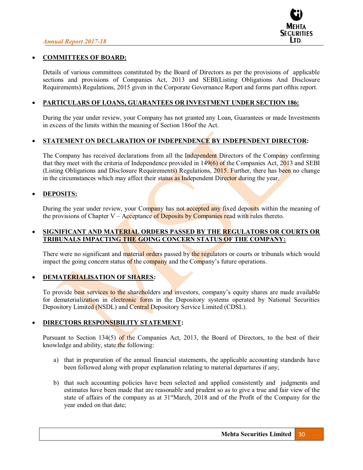

#### x **COMMITTEES OF BOARD:**

Details of various committees constituted by the Board of Directors as per the provisions of applicable sections and provisions of Companies Act, 2013 and SEBI(Listing Obligations And Disclosure Requirements) Regulations, 2015 given in the Corporate Governance Report and forms part ofthis report.

#### x **PARTICULARS OF LOANS, GUARANTEES OR INVESTMENT UNDER SECTION 186:**

During the year under review, your Company has not granted any Loan, Guarantees or made Investments in excess of the limits within the meaning of Section 186of the Act.

#### x **STATEMENT ON DECLARATION OF INDEPENDENCE BY INDEPENDENT DIRECTOR:**

The Company has received declarations from all the Independent Directors of the Company confirming that they meet with the criteria of Independence provided in 149(6) of the Companies Act, 2013 and SEBI (Listing Obligations and Disclosure Requirements) Regulations, 2015. Further, there has been no change in the circumstances which may affect their status as Independent Director during the year.

#### **• DEPOSITS:**

During the year under review, your Company has not accepted any fixed deposits within the meaning of the provisions of Chapter V – Acceptance of Deposits by Companies read with rules thereto.

## x **SIGNIFICANT AND MATERIAL ORDERS PASSED BY THE REGULATORS OR COURTS OR TRIBUNALS IMPACTING THE GOING CONCERN STATUS OF THE COMPANY:**

There were no significant and material orders passed by the regulators or courts or tribunals which would impact the going concern status of the company and the Company's future operations.

#### **DEMATERIALISATION OF SHARES:**

To provide best services to the shareholders and investors, company's equity shares are made available for dematerialization in electronic form in the Depository systems operated by National Securities Depository Limited (NSDL) and Central Depository Service Limited (CDSL).

#### **DIRECTORS RESPONSIBILITY STATEMENT:**

Pursuant to Section 134(5) of the Companies Act, 2013, the Board of Directors, to the best of their knowledge and ability, state the following:

- a) that in preparation of the annual financial statements, the applicable accounting standards have been followed along with proper explanation relating to material departures if any;
- b) that such accounting policies have been selected and applied consistently and judgments and estimates have been made that are reasonable and prudent so as to give a true and fair view of the state of affairs of the company as at 31<sup>st</sup>March, 2018 and of the Profit of the Company for the year ended on that date;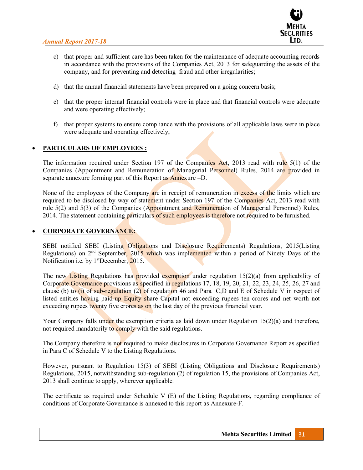

- c) that proper and sufficient care has been taken for the maintenance of adequate accounting records in accordance with the provisions of the Companies Act, 2013 for safeguarding the assets of the company, and for preventing and detecting fraud and other irregularities;
- d) that the annual financial statements have been prepared on a going concern basis;
- e) that the proper internal financial controls were in place and that financial controls were adequate and were operating effectively;
- f) that proper systems to ensure compliance with the provisions of all applicable laws were in place were adequate and operating effectively;

## x **PARTICULARS OF EMPLOYEES :**

The information required under Section 197 of the Companies Act, 2013 read with rule 5(1) of the Companies (Appointment and Remuneration of Managerial Personnel) Rules, 2014 are provided in separate annexure forming part of this Report as  $\Delta$ nnexure  $-D$ .

None of the employees of the Company are in receipt of remuneration in excess of the limits which are required to be disclosed by way of statement under Section 197 of the Companies Act, 2013 read with rule 5(2) and 5(3) of the Companies (Appointment and Remuneration of Managerial Personnel) Rules, 2014. The statement containing particulars of such employees is therefore not required to be furnished.

#### **CORPORATE GOVERNANCE:**

SEBI notified SEBI (Listing Obligations and Disclosure Requirements) Regulations, 2015(Listing Regulations) on 2<sup>nd</sup> September, 2015 which was implemented within a period of Ninety Days of the Notification i.e. by 1<sup>st</sup>December, 2015.

The new Listing Regulations has provided exemption under regulation  $15(2)(a)$  from applicability of Corporate Governance provisions as specified in regulations 17, 18, 19, 20, 21, 22, 23, 24, 25, 26, 27 and clause (b) to (i) of sub-regulation (2) of regulation 46 and Para C,D and E of Schedule V in respect of listed entities having paid-up Equity share Capital not exceeding rupees ten crores and net worth not exceeding rupees twenty five crores as on the last day of the previous financial year.

Your Company falls under the exemption criteria as laid down under Regulation  $15(2)(a)$  and therefore, not required mandatorily to comply with the said regulations.

The Company therefore is not required to make disclosures in Corporate Governance Report as specified in Para C of Schedule V to the Listing Regulations.

However, pursuant to Regulation 15(3) of SEBI (Listing Obligations and Disclosure Requirements) Regulations, 2015, notwithstanding sub-regulation (2) of regulation 15, the provisions of Companies Act, 2013 shall continue to apply, wherever applicable.

The certificate as required under Schedule V (E) of the Listing Regulations, regarding compliance of conditions of Corporate Governance is annexed to this report as Annexure-F.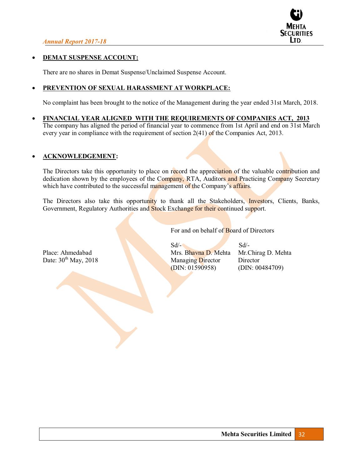

#### **DEMAT SUSPENSE ACCOUNT:**

There are no shares in Demat Suspense/Unclaimed Suspense Account.

## x **PREVENTION OF SEXUAL HARASSMENT AT WORKPLACE:**

No complaint has been brought to the notice of the Management during the year ended 31st March, 2018.

x **FINANCIAL YEAR ALIGNED WITH THE REQUIREMENTS OF COMPANIES ACT, 2013**  The company has aligned the period of financial year to commence from 1st April and end on 31st March every year in compliance with the requirement of section 2(41) of the Companies Act, 2013.

## x **ACKNOWLEDGEMENT:**

The Directors take this opportunity to place on record the appreciation of the valuable contribution and dedication shown by the employees of the Company, RTA, Auditors and Practicing Company Secretary which have contributed to the successful management of the Company's affairs.

The Directors also take this opportunity to thank all the Stakeholders, *Investors*, Clients, Banks, Government, Regulatory Authorities and Stock Exchange for their continued support.

For and on behalf of Board of Directors

 $Sd$   $\sim$   $Sd$   $\sim$ Place: Ahmedabad Mrs. Bhavna D. Mehta Mr.Chirag D. Mehta Date:  $30<sup>th</sup>$  May, 2018 Managing Director Director Director Director (DIN: 01590958) (DIN: 00484709)  $(DIN: 01590958)$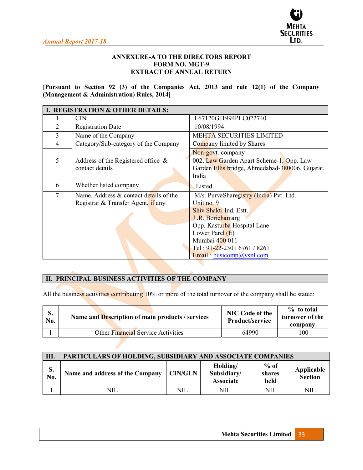

## **ANNEXURE-A TO THE DIRECTORS REPORT FORM NO. MGT-9 EXTRACT OF ANNUAL RETURN**

**[Pursuant to Section 92 (3) of the Companies Act, 2013 and rule 12(1) of the Company (Management & Administration) Rules, 2014]**

|   | I. REGISTRATION & OTHER DETAILS:                                                 |                                                                                                                                                                                                                                        |
|---|----------------------------------------------------------------------------------|----------------------------------------------------------------------------------------------------------------------------------------------------------------------------------------------------------------------------------------|
|   | <b>CIN</b>                                                                       | L67120GJ1994PLC022740                                                                                                                                                                                                                  |
| 2 | <b>Registration Date</b>                                                         | 10/08/1994                                                                                                                                                                                                                             |
| 3 | Name of the Company                                                              | <b>MEHTA SECURITIES LIMITED</b>                                                                                                                                                                                                        |
| 4 | Category/Sub-category of the Company                                             | Company limited by Shares                                                                                                                                                                                                              |
|   |                                                                                  | Non-govt. company                                                                                                                                                                                                                      |
| 5 | Address of the Registered office $\&$<br>contact details                         | 002, Law Garden Apart Scheme-1, Opp. Law<br>Garden Ellis bridge, Ahmedabad-380006. Gujarat,<br>India                                                                                                                                   |
| 6 | Whether listed company                                                           | Listed                                                                                                                                                                                                                                 |
| 7 | Name, Address $\&$ contact details of the<br>Registrar & Transfer Agent, if any. | M/s. PurvaSharegistry (India) Pvt. Ltd.<br>Unit no. $9$<br>Shiv Shakti Ind. Estt.<br>J.R. Borichamarg<br>Opp. Kasturba Hospital Lane<br>Lower Parel $(E)$<br>Mumbai 400 011<br>Tel: 91-22-2301 6761 / 8261<br>Email: busicomp@ysnl.com |

# **II. PRINCIPAL BUSINESS ACTIVITIES OF THE COMPANY**

All the business activities contributing 10% or more of the total turnover of the company shall be stated:

| S.<br>No. | Name and Description of main products / services | <b>NIC Code of the</b><br>Product/service | $\%$ to total<br>turnover of the<br>company |
|-----------|--------------------------------------------------|-------------------------------------------|---------------------------------------------|
|           | Other Financial Service Activities               | 64990                                     | 100                                         |

| III.      | PARTICULARS OF HOLDING, SUBSIDIARY AND ASSOCIATE COMPANIES |                |                                             |                          |                              |  |  |  |  |
|-----------|------------------------------------------------------------|----------------|---------------------------------------------|--------------------------|------------------------------|--|--|--|--|
| S.<br>No. | Name and address of the Company                            | <b>CIN/GLN</b> | Holding/<br>Subsidiary/<br><b>Associate</b> | $%$ of<br>shares<br>held | Applicable<br><b>Section</b> |  |  |  |  |
|           | NIL                                                        | NIL            | NIL                                         | NIL                      | NIL                          |  |  |  |  |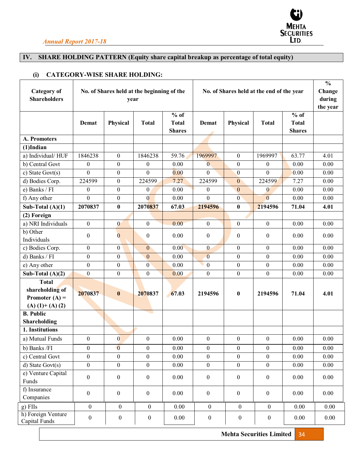

## **IV. SHARE HOLDING PATTERN (Equity share capital breakup as percentage of total equity)**

## **(i) CATEGORY-WISE SHARE HOLDING:**

| <b>Category</b> of<br><b>Shareholders</b> | No. of Shares held at the beginning of the<br>year<br>$%$ of |                  |                  |                               | No. of Shares held at the end of the year<br>$%$ of |                  |                  |                               | $\frac{0}{0}$<br>Change<br>during<br>the year |
|-------------------------------------------|--------------------------------------------------------------|------------------|------------------|-------------------------------|-----------------------------------------------------|------------------|------------------|-------------------------------|-----------------------------------------------|
|                                           | Demat                                                        | Physical         | <b>Total</b>     | <b>Total</b><br><b>Shares</b> | Demat                                               | Physical         | <b>Total</b>     | <b>Total</b><br><b>Shares</b> |                                               |
| A. Promoters                              |                                                              |                  |                  |                               |                                                     |                  |                  |                               |                                               |
| $(1)$ Indian                              |                                                              |                  |                  |                               |                                                     |                  |                  |                               |                                               |
| a) Individual/HUF                         | 1846238                                                      | $\boldsymbol{0}$ | 1846238          | 59.76                         | 1969997                                             | $\mathbf{0}$     | 1969997          | 63.77                         | 4.01                                          |
| b) Central Govt                           | $\overline{0}$                                               | $\boldsymbol{0}$ | $\boldsymbol{0}$ | 0.00                          | $\overline{0}$                                      | $\mathbf{0}$     | $\boldsymbol{0}$ | 0.00                          | 0.00                                          |
| c) State Govt $(s)$                       | $\boldsymbol{0}$                                             | $\boldsymbol{0}$ | $\theta$         | 0.00                          | $\mathbf{0}$                                        | $\mathbf{0}$     | $\overline{0}$   | 0.00                          | 0.00                                          |
| d) Bodies Corp.                           | 224599                                                       | $\mathbf{0}$     | 224599           | 7.27                          | 224599                                              | $\mathbf{0}$     | 224599           | 7.27                          | 0.00                                          |
| e) Banks / FI                             | $\theta$                                                     | $\boldsymbol{0}$ | $\boldsymbol{0}$ | 0.00                          | $\theta$                                            | $\mathbf{0}$     | $\bf{0}$         | 0.00                          | 0.00                                          |
| f) Any other                              | $\theta$                                                     | $\theta$         | $\theta$         | 0.00                          | $\theta$                                            | $\overline{0}$   | $\overline{0}$   | 0.00                          | 0.00                                          |
| Sub-Total $(A)(1)$                        | 2070837                                                      | $\bf{0}$         | 2070837          | 67.03                         | 2194596                                             | $\bf{0}$         | 2194596          | 71.04                         | 4.01                                          |
| (2) Foreign                               |                                                              |                  |                  |                               |                                                     |                  |                  |                               |                                               |
| a) NRI Individuals                        | $\boldsymbol{0}$                                             | $\bf{0}$         | $\boldsymbol{0}$ | 0.00                          | $\bf{0}$                                            | $\boldsymbol{0}$ | $\boldsymbol{0}$ | 0.00                          | 0.00                                          |
| b) Other                                  | $\theta$                                                     | $\overline{0}$   | $\theta$         | 0.00                          | $\theta$                                            | $\boldsymbol{0}$ | $\mathbf{0}$     | 0.00                          | 0.00                                          |
| Individuals                               |                                                              |                  |                  |                               |                                                     |                  |                  |                               |                                               |
| c) Bodies Corp.                           | $\overline{0}$                                               | $\overline{0}$   | $\boldsymbol{0}$ | 0.00                          | $\mathbf{0}$                                        | $\mathbf{0}$     | $\theta$         | 0.00                          | 0.00                                          |
| d) Banks / FI                             | $\boldsymbol{0}$                                             | $\boldsymbol{0}$ | $\boldsymbol{0}$ | 0.00                          | $\overline{0}$                                      | $\boldsymbol{0}$ | $\boldsymbol{0}$ | 0.00                          | 0.00                                          |
| e) Any other                              | $\boldsymbol{0}$                                             | $\boldsymbol{0}$ | $\boldsymbol{0}$ | 0.00                          | $\mathbf{0}$                                        | $\boldsymbol{0}$ | $\boldsymbol{0}$ | 0.00                          | 0.00                                          |
| Sub-Total $(A)(2)$                        | $\boldsymbol{0}$                                             | $\boldsymbol{0}$ | $\boldsymbol{0}$ | 0.00                          | $\mathbf{0}$                                        | $\boldsymbol{0}$ | $\boldsymbol{0}$ | 0.00                          | 0.00                                          |
| <b>Total</b>                              |                                                              |                  |                  |                               |                                                     |                  |                  |                               |                                               |
| shareholding of                           | 2070837                                                      | $\bf{0}$         | 2070837          | 67.03                         | 2194596                                             | $\boldsymbol{0}$ | 2194596          | 71.04                         | 4.01                                          |
| Promoter $(A)$ =<br>$(A) (1) + (A) (2)$   |                                                              |                  |                  |                               |                                                     |                  |                  |                               |                                               |
| <b>B.</b> Public                          |                                                              |                  |                  |                               |                                                     |                  |                  |                               |                                               |
| Shareholding                              |                                                              |                  |                  |                               |                                                     |                  |                  |                               |                                               |
| 1. Institutions                           |                                                              |                  |                  |                               |                                                     |                  |                  |                               |                                               |
| a) Mutual Funds                           | $\mathbf{0}$                                                 | $\overline{0}$   | $\boldsymbol{0}$ | 0.00                          | $\bf{0}$                                            | $\boldsymbol{0}$ | $\boldsymbol{0}$ | 0.00                          | 0.00                                          |
| b) Banks /FI                              | 0                                                            | $\mathbf{0}$     | 0                | 0.00                          | $\bf{0}$                                            | $\bf{0}$         | $\bf{0}$         | 0.00                          | 0.00                                          |
| c) Central Govt                           | $\overline{0}$                                               | $\overline{0}$   | $\boldsymbol{0}$ | 0.00                          | $\mathbf{0}$                                        | $\mathbf{0}$     | $\boldsymbol{0}$ | 0.00                          | 0.00                                          |
| $d)$ State Govt $(s)$                     | $\boldsymbol{0}$                                             | $\boldsymbol{0}$ | $\boldsymbol{0}$ | 0.00                          | $\boldsymbol{0}$                                    | $\boldsymbol{0}$ | $\mathbf{0}$     | $0.00\,$                      | 0.00                                          |
| e) Venture Capital<br>Funds               | $\boldsymbol{0}$                                             | $\boldsymbol{0}$ | $\boldsymbol{0}$ | 0.00                          | $\boldsymbol{0}$                                    | $\boldsymbol{0}$ | $\boldsymbol{0}$ | 0.00                          | 0.00                                          |
| f) Insurance<br>Companies                 | $\boldsymbol{0}$                                             | $\boldsymbol{0}$ | $\boldsymbol{0}$ | 0.00                          | $\boldsymbol{0}$                                    | $\boldsymbol{0}$ | $\boldsymbol{0}$ | 0.00                          | 0.00                                          |
| $g$ ) FIIs                                | $\boldsymbol{0}$                                             | $\boldsymbol{0}$ | $\boldsymbol{0}$ | 0.00                          | $\boldsymbol{0}$                                    | $\boldsymbol{0}$ | $\mathbf{0}$     | 0.00                          | 0.00                                          |
| h) Foreign Venture<br>Capital Funds       | $\boldsymbol{0}$                                             | $\boldsymbol{0}$ | $\boldsymbol{0}$ | 0.00                          | $\boldsymbol{0}$                                    | $\boldsymbol{0}$ | $\boldsymbol{0}$ | 0.00                          | 0.00                                          |

**Mehta Securities Limited** 34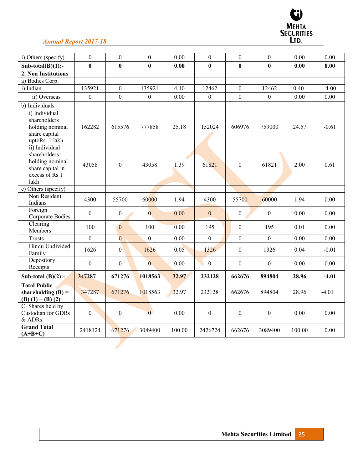

| i) Others (specify)                                                                             | $\theta$         | $\boldsymbol{0}$ | $\boldsymbol{0}$ | 0.00   | $\boldsymbol{0}$ | $\theta$         | $\theta$         | 0.00   | 0.00    |
|-------------------------------------------------------------------------------------------------|------------------|------------------|------------------|--------|------------------|------------------|------------------|--------|---------|
| Sub-total $(B)(1)$ :-                                                                           | $\bf{0}$         | $\bf{0}$         | $\bf{0}$         | 0.00   | $\bf{0}$         | $\bf{0}$         | $\bf{0}$         | 0.00   | 0.00    |
| 2. Non Institutions                                                                             |                  |                  |                  |        |                  |                  |                  |        |         |
| a) Bodies Corp.                                                                                 |                  |                  |                  |        |                  |                  |                  |        |         |
| i) Indian                                                                                       | 135921           | $\theta$         | 135921           | 4.40   | 12462            | $\Omega$         | 12462            | 0.40   | $-4.00$ |
| ii) Overseas                                                                                    | $\boldsymbol{0}$ | $\boldsymbol{0}$ | $\boldsymbol{0}$ | 0.00   | $\boldsymbol{0}$ | $\boldsymbol{0}$ | $\boldsymbol{0}$ | 0.00   | 0.00    |
| b) Individuals                                                                                  |                  |                  |                  |        |                  |                  |                  |        |         |
| i) Individual<br>shareholders<br>holding nominal<br>share capital<br>uptoRs. 1 lakh             | 162282           | 615576           | 777858           | 25.18  | 152024           | 606976           | 759000           | 24.57  | $-0.61$ |
| ii) Individual<br>shareholders<br>holding nominal<br>share capital in<br>excess of Rs 1<br>lakh | 43058            | $\boldsymbol{0}$ | 43058            | 1.39   | 61821            | $\boldsymbol{0}$ | 61821            | 2.00   | 0.61    |
| c) Others (specify)                                                                             |                  |                  |                  |        |                  |                  |                  |        |         |
| Non Resident<br>Indians                                                                         | 4300             | 55700            | 60000            | 1.94   | 4300             | 55700            | 60000            | 1.94   | 0.00    |
| Foreign<br>Corporate Bodies                                                                     | $\boldsymbol{0}$ | $\boldsymbol{0}$ | $\overline{0}$   | 0.00   | $\mathbf{0}$     | $\boldsymbol{0}$ | $\boldsymbol{0}$ | 0.00   | 0.00    |
| Clearing<br>Members                                                                             | 100              | $\overline{0}$   | 100              | 0.00   | 195              | $\boldsymbol{0}$ | 195              | 0.01   | 0.00    |
| <b>Trusts</b>                                                                                   | $\mathbf{0}$     | $\overline{0}$   | $\overline{0}$   | 0.00   | $\theta$         | $\theta$         | $\mathbf{0}$     | 0.00   | 0.00    |
| Hindu Undivided<br>Family                                                                       | 1626             | $\boldsymbol{0}$ | 1626             | 0.05   | 1326             | $\mathbf{0}$     | 1326             | 0.04   | $-0.01$ |
| Depository<br>Receipts                                                                          | $\boldsymbol{0}$ | $\boldsymbol{0}$ | $\overline{0}$   | 0.00   | $\boldsymbol{0}$ | $\boldsymbol{0}$ | $\boldsymbol{0}$ | 0.00   | 0.00    |
| Sub-total $(B)(2)$ :-                                                                           | 347287           | 671276           | 1018563          | 32.97  | 232128           | 662676           | 894804           | 28.96  | $-4.01$ |
| <b>Total Public</b><br>shareholding $(B)$ =<br>$(B) (1) + (B) (2)$                              | 347287           | 671276           | 1018563          | 32.97  | 232128           | 662676           | 894804           | 28.96  | $-4.01$ |
| C. Shares held by<br><b>Custodian for GDRs</b><br>& ADRs                                        | $\boldsymbol{0}$ | $\boldsymbol{0}$ | $\overline{0}$   | 0.00   | $\boldsymbol{0}$ | $\theta$         | $\boldsymbol{0}$ | 0.00   | 0.00    |
| <b>Grand Total</b><br>$(A+B+C)$                                                                 | 2418124          | 671276           | 3089400          | 100.00 | 2426724          | 662676           | 3089400          | 100.00 | 0.00    |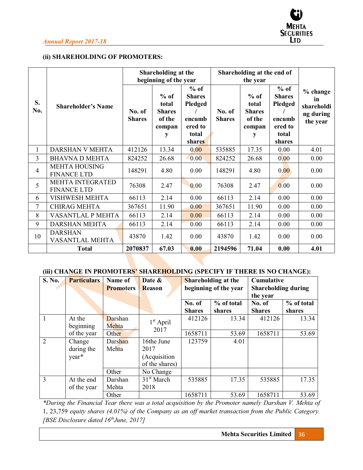

# **(ii) SHAREHOLDING OF PROMOTERS:**

|                |                                               |                         | Shareholding at the<br>beginning of the year              |                                                                                   |                         | Shareholding at the end of<br>the year                    |                                                                            |                                                       |
|----------------|-----------------------------------------------|-------------------------|-----------------------------------------------------------|-----------------------------------------------------------------------------------|-------------------------|-----------------------------------------------------------|----------------------------------------------------------------------------|-------------------------------------------------------|
| S.<br>No.      | <b>Shareholder's Name</b>                     | No. of<br><b>Shares</b> | $%$ of<br>total<br><b>Shares</b><br>of the<br>compan<br>y | $%$ of<br><b>Shares</b><br><b>Pledged</b><br>encumb<br>ered to<br>total<br>shares | No. of<br><b>Shares</b> | $%$ of<br>total<br><b>Shares</b><br>of the<br>compan<br>у | $%$ of<br><b>Shares</b><br>Pledged<br>encumb<br>ered to<br>total<br>shares | % change<br>in<br>shareholdi<br>ng during<br>the year |
| $\mathbf{1}$   | DARSHAN V MEHTA                               | 412126                  | 13.34                                                     | 0.00                                                                              | 535885                  | 17.35                                                     | 0.00                                                                       | 4.01                                                  |
| 3              | <b>BHAVNA D MEHTA</b>                         | 824252                  | 26.68                                                     | 0.00                                                                              | 824252                  | 26.68                                                     | 0.00                                                                       | 0.00                                                  |
| $\overline{4}$ | <b>MEHTA HOUSING</b><br><b>FINANCE LTD</b>    | 148291                  | 4.80                                                      | 0.00                                                                              | 148291                  | 4.80                                                      | 0.00                                                                       | 0.00                                                  |
| 5              | <b>MEHTA INTEGRATED</b><br><b>FINANCE LTD</b> | 76308                   | 2.47                                                      | 0.00                                                                              | 76308                   | 2.47                                                      | 0.00                                                                       | 0.00                                                  |
| 6              | <b>VISHWESH MEHTA</b>                         | 66113                   | 2.14                                                      | 0.00                                                                              | 66113                   | 2.14                                                      | 0.00                                                                       | 0.00                                                  |
| 7              | <b>CHIRAG MEHTA</b>                           | 367651                  | 11.90                                                     | 0.00                                                                              | 367651                  | 11.90                                                     | 0.00                                                                       | 0.00                                                  |
| 8              | VASANTLAL P MEHTA                             | 66113                   | 2.14                                                      | 0.00                                                                              | 66113                   | 2.14                                                      | 0.00                                                                       | 0.00                                                  |
| 9              | <b>DARSHAN MEHTA</b>                          | 66113                   | 2.14                                                      | 0.00                                                                              | 66113                   | 2.14                                                      | 0.00                                                                       | 0.00                                                  |
| 10             | <b>DARSHAN</b><br>VASANTLAL MEHTA             | 43870                   | 1.42                                                      | 0.00                                                                              | 43870                   | 1.42                                                      | 0.00                                                                       | 0.00                                                  |
|                | <b>Total</b>                                  | 2070837                 | 67.03                                                     | 0.00                                                                              | 2194596                 | 71.04                                                     | 0.00                                                                       | 4.01                                                  |

# (iii) **CHANGE IN PROMOTERS' SHAREHOLDING** (SPECIFY IF THERE IS NO CHANGE):

| S. No.         | <b>Particulars</b> | Name of          | Date &                 | Shareholding at the                                 |            |               |            | Cumulative |  |
|----------------|--------------------|------------------|------------------------|-----------------------------------------------------|------------|---------------|------------|------------|--|
|                |                    | <b>Promoters</b> | <b>Reason</b>          | beginning of the year<br><b>Shareholding during</b> |            |               |            |            |  |
|                |                    |                  |                        |                                                     |            | the year      |            |            |  |
|                |                    |                  |                        | No. of                                              | % of total | No. of        | % of total |            |  |
|                |                    |                  |                        | <b>Shares</b>                                       | shares     | <b>Shares</b> | shares     |            |  |
|                | At the             | Darshan          | $1st$ April            | 412126                                              | 13.34      | 412126        | 13.34      |            |  |
|                | beginning          | Mehta            | 2017                   |                                                     |            |               |            |            |  |
|                | of the year        | Other            |                        | 1658711                                             | 53.69      | 1658711       | 53.69      |            |  |
| $\overline{2}$ | Change             | Darshan          | 16the June             | 123759                                              | 4.01       |               |            |            |  |
|                | during the         | Mehta            | 2017                   |                                                     |            |               |            |            |  |
|                | year*              |                  | (Acquisition           |                                                     |            |               |            |            |  |
|                |                    |                  | of the shares)         |                                                     |            |               |            |            |  |
|                |                    | Other            | No Change              |                                                     |            |               |            |            |  |
| 3              | At the end         | Darshan          | 31 <sup>st</sup> March | 535885                                              | 17.35      | 535885        | 17.35      |            |  |
|                | of the year        | Mehta            | 2018                   |                                                     |            |               |            |            |  |
|                |                    | Other            |                        | 1658711                                             | 53.69      | 1658711       | 53.69      |            |  |

*\*During the Financial Year there was a total acquisition by the Promoter namely Darshan V. Mehta of*  1, 23,759 *equity shares (4.01%) of the Company as an off market transaction from the Public Category. [BSE Disclosure dated 16thJune, 2017]*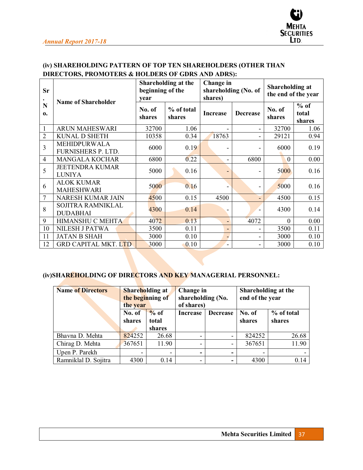

# **(iv) SHAREHOLDING PATTERN OF TOP TEN SHAREHOLDERS (OTHER THAN DIRECTORS, PROMOTERS & HOLDERS OF GDRS AND ADRS):**

| Sr                | Name of Shareholder                         | Shareholding at the<br>beginning of the<br>vear |                      | Change in<br>shareholding (No. of<br>shares) |                   | <b>Shareholding at</b><br>the end of the year |                           |
|-------------------|---------------------------------------------|-------------------------------------------------|----------------------|----------------------------------------------|-------------------|-----------------------------------------------|---------------------------|
| N<br>$\mathbf{0}$ |                                             | No. of<br>shares                                | % of total<br>shares | Increase                                     | <b>Decrease</b>   | No. of<br>shares                              | $%$ of<br>total<br>shares |
| 1                 | <b>ARUN MAHESWARI</b>                       | 32700                                           | 1.06                 |                                              | -                 | 32700                                         | 1.06                      |
| $\overline{2}$    | <b>KUNAL D SHETH</b>                        | 10358                                           | 0.34                 | 18763                                        | -                 | 29121                                         | 0.94                      |
| 3                 | <b>MEHIDPURWALA</b><br>FURNISHERS P. LTD.   | 6000                                            | 0.19                 | -                                            |                   | 6000                                          | 0.19                      |
| 4                 | <b>MANGALA KOCHAR</b>                       | 6800                                            | 0.22                 | $\overline{\phantom{0}}$                     | 6800              | $\overline{0}$                                | 0.00                      |
| 5                 | <b>JEETENDRA KUMAR</b><br><b>LUNIYA</b>     | 5000                                            | 0.16                 | -                                            | -                 | 5000                                          | 0.16                      |
| 6                 | <b>ALOK KUMAR</b><br><b>MAHESHWARI</b>      | 5000                                            | 0.16                 |                                              | -                 | 5000                                          | 0.16                      |
| 7                 | <b>NARESH KUMAR JAIN</b>                    | 4500                                            | 0.15                 | 4500                                         | -                 | 4500                                          | 0.15                      |
| 8                 | <b>SOJITRA RAMNIKLAL</b><br><b>DUDABHAI</b> | 4300                                            | 0.14                 |                                              | $\qquad \qquad -$ | 4300                                          | 0.14                      |
| 9                 | <b>HIMANSHU C MEHTA</b>                     | 4072                                            | 0.13                 | ٠                                            | 4072              | $\theta$                                      | 0.00                      |
| 10                | NILESH J PATWA                              | 3500                                            | 0.11                 | $\overline{\phantom{0}}$                     | -                 | 3500                                          | 0.11                      |
| 11                | <b>JATAN B SHAH</b>                         | 3000                                            | 0.10                 | ٠                                            | -                 | 3000                                          | 0.10                      |
| 12                | <b>GRD CAPITAL MKT. LTD</b>                 | 3000                                            | 0.10                 | ۰                                            | -                 | 3000                                          | 0.10                      |

# **(iv)SHAREHOLDING OF DIRECTORS AND KEY MANAGERIAL PERSONNEL:**

| <b>Name of Directors</b> | the year         | <b>Shareholding at</b><br>Change in<br>the beginning of<br>of shares) |                 | shareholding (No.        |                  | Shareholding at the<br>end of the year |
|--------------------------|------------------|-----------------------------------------------------------------------|-----------------|--------------------------|------------------|----------------------------------------|
|                          | No. of<br>shares | $%$ of<br>total<br>shares                                             | <b>Increase</b> | <b>Decrease</b>          | No. of<br>shares | % of total<br>shares                   |
| Bhavna D. Mehta          | 824252           | 26.68                                                                 |                 | -                        | 824252           | 26.68                                  |
| Chirag D. Mehta          | 367651           | 11.90                                                                 |                 | -                        | 367651           | 11.90                                  |
| Upen P. Parekh           |                  |                                                                       | -               | -                        |                  |                                        |
| Ramniklal D. Sojitra     | 4300             | 0.14                                                                  | -               | $\overline{\phantom{a}}$ | 4300             | 0.14                                   |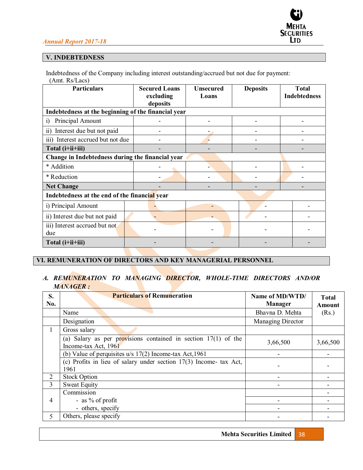# **SECURITIES** LTD.

# *Annual Report 2017-18*

# **V. INDEBTEDNESS**

Indebtedness of the Company including interest outstanding/accrued but not due for payment: (Amt. Rs/Lacs)

| <b>Particulars</b>                                  | <b>Secured Loans</b><br>excluding<br>deposits | <b>Unsecured</b><br>Loans | <b>Deposits</b> | <b>Total</b><br><b>Indebtedness</b> |
|-----------------------------------------------------|-----------------------------------------------|---------------------------|-----------------|-------------------------------------|
| Indebtedness at the beginning of the financial year |                                               |                           |                 |                                     |
| Principal Amount<br>$\ddot{1}$                      |                                               |                           |                 |                                     |
| ii) Interest due but not paid                       |                                               |                           |                 |                                     |
| iii) Interest accrued but not due                   |                                               |                           |                 |                                     |
| Total (i+ii+iii)                                    |                                               |                           |                 |                                     |
| Change in Indebtedness during the financial year    |                                               |                           |                 |                                     |
| * Addition                                          |                                               |                           |                 |                                     |
| * Reduction                                         |                                               |                           |                 |                                     |
| <b>Net Change</b>                                   |                                               |                           |                 |                                     |
| Indebtedness at the end of the financial year       |                                               |                           |                 |                                     |
| i) Principal Amount                                 |                                               |                           |                 |                                     |
| ii) Interest due but not paid                       |                                               |                           |                 |                                     |
| iii) Interest accrued but not<br>due                |                                               |                           |                 |                                     |
| Total (i+ii+iii)                                    |                                               |                           |                 |                                     |

# **VI. REMUNERATION OF DIRECTORS AND KEY MANAGERIAL PERSONNEL**

# *A. REMUNERATION TO MANAGING DIRECTOR, WHOLE-TIME DIRECTORS AND/OR MANAGER :*

| S.<br>No.      | <b>Particulars of Remuneration</b>                                                       | Name of MD/WTD/<br><b>Manager</b> | <b>Total</b><br>Amount |
|----------------|------------------------------------------------------------------------------------------|-----------------------------------|------------------------|
|                | Name                                                                                     | Bhavna D. Mehta                   | (Rs.)                  |
|                | Designation                                                                              | Managing Director                 |                        |
| 1              | Gross salary                                                                             |                                   |                        |
|                | (a) Salary as per provisions contained in section $17(1)$ of the<br>Income-tax Act, 1961 | 3,66,500                          | 3,66,500               |
|                | (b) Value of perquisites $u/s$ 17(2) Income-tax Act, 1961                                |                                   |                        |
|                | (c) Profits in lieu of salary under section $17(3)$ Income- tax Act,<br>1961             |                                   |                        |
| $\overline{2}$ | <b>Stock Option</b>                                                                      |                                   |                        |
| 3              | <b>Sweat Equity</b>                                                                      |                                   |                        |
|                | Commission                                                                               |                                   |                        |
| 4              | - as $\%$ of profit                                                                      |                                   |                        |
|                | - others, specify                                                                        |                                   |                        |
| 5              | Others, please specify                                                                   |                                   |                        |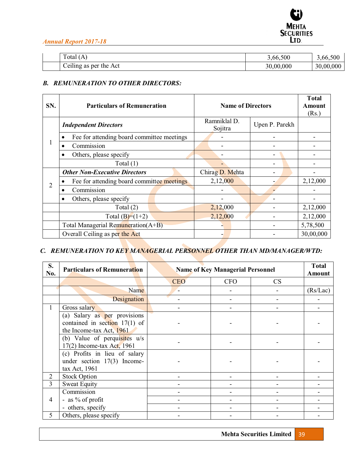

| $\mathbf{r}$<br>Total<br>(A)                            | 3,66,500  | 3,66,500  |
|---------------------------------------------------------|-----------|-----------|
| .<br>$\tilde{\phantom{a}}$<br>the Act<br>Ceiling as per | 30,00,000 | 30,00,000 |

# *B. REMUNERATION TO OTHER DIRECTORS:*

| SN. | <b>Particulars of Remuneration</b>                      | <b>Name of Directors</b> | <b>Total</b><br>Amount<br>(Rs.) |           |
|-----|---------------------------------------------------------|--------------------------|---------------------------------|-----------|
|     | <b>Independent Directors</b>                            | Ramniklal D.<br>Sojitra  | Upen P. Parekh                  |           |
|     | Fee for attending board committee meetings<br>$\bullet$ |                          |                                 |           |
| л.  | Commission                                              |                          |                                 |           |
|     | Others, please specify<br>$\bullet$                     |                          |                                 |           |
|     | Total $(1)$                                             |                          |                                 |           |
|     | <b>Other Non-Executive Directors</b>                    | Chirag D. Mehta          |                                 |           |
| 2   | Fee for attending board committee meetings              | 2,12,000                 |                                 | 2,12,000  |
|     | Commission                                              |                          |                                 |           |
|     | Others, please specify<br>٠                             |                          |                                 |           |
|     | Total $(2)$                                             | 2,12,000                 |                                 | 2,12,000  |
|     | Total $(B)=(1+2)$                                       | 2,12,000                 |                                 | 2,12,000  |
|     | Total Managerial Remuneration $(A+B)$                   |                          |                                 | 5,78,500  |
|     | Overall Ceiling as per the Act                          |                          |                                 | 30,00,000 |

# *C. REMUNERATION TO KEY MANAGERIAL PERSONNEL OTHER THAN MD/MANAGER/WTD:*

| S.<br>No.      | <b>Particulars of Remuneration</b>                                                          |            | <b>Name of Key Managerial Personnel</b> |           |          |
|----------------|---------------------------------------------------------------------------------------------|------------|-----------------------------------------|-----------|----------|
|                |                                                                                             | <b>CEO</b> | <b>CFO</b>                              | <b>CS</b> |          |
|                | Name                                                                                        |            |                                         |           | (Rs/Lac) |
|                | Designation                                                                                 |            |                                         |           |          |
|                | Gross salary                                                                                |            |                                         |           |          |
|                | (a) Salary as per provisions<br>contained in section $17(1)$ of<br>the Income-tax Act, 1961 |            |                                         |           |          |
|                | (b) Value of perquisites $u/s$<br>17(2) Income-tax Act, 1961                                |            |                                         |           |          |
|                | (c) Profits in lieu of salary<br>under section $17(3)$ Income-<br>tax Act, 1961             |            |                                         |           |          |
| 2              | <b>Stock Option</b>                                                                         |            |                                         |           |          |
| 3              | <b>Sweat Equity</b>                                                                         |            |                                         |           |          |
| $\overline{4}$ | Commission<br>- as $\%$ of profit<br>- others, specify                                      |            |                                         |           |          |
| 5              | Others, please specify                                                                      |            |                                         |           |          |

**Mehta Securities Limited** 39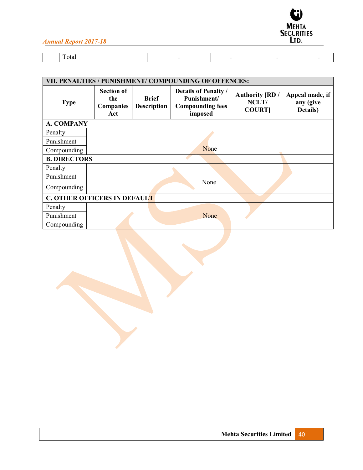

| VII. PENALTIES / PUNISHMENT/ COMPOUNDING OF OFFENCES: |                                              |                                    |                                                                                  |                                                 |                                          |  |  |
|-------------------------------------------------------|----------------------------------------------|------------------------------------|----------------------------------------------------------------------------------|-------------------------------------------------|------------------------------------------|--|--|
| <b>Type</b>                                           | <b>Section of</b><br>the<br>Companies<br>Act | <b>Brief</b><br><b>Description</b> | <b>Details of Penalty /</b><br>Punishment/<br><b>Compounding fees</b><br>imposed | <b>Authority [RD /</b><br>NCLT/<br><b>COURT</b> | Appeal made, if<br>any (give<br>Details) |  |  |
| A. COMPANY                                            |                                              |                                    |                                                                                  |                                                 |                                          |  |  |
| Penalty                                               |                                              |                                    |                                                                                  |                                                 |                                          |  |  |
| Punishment                                            |                                              |                                    |                                                                                  |                                                 |                                          |  |  |
| Compounding                                           | None                                         |                                    |                                                                                  |                                                 |                                          |  |  |
| <b>B. DIRECTORS</b>                                   |                                              |                                    |                                                                                  |                                                 |                                          |  |  |
| Penalty                                               |                                              |                                    |                                                                                  |                                                 |                                          |  |  |
| Punishment                                            |                                              |                                    |                                                                                  |                                                 |                                          |  |  |
| Compounding                                           |                                              |                                    | None                                                                             |                                                 |                                          |  |  |
|                                                       | <b>C. OTHER OFFICERS IN DEFAULT</b>          |                                    |                                                                                  |                                                 |                                          |  |  |
| Penalty                                               |                                              |                                    |                                                                                  |                                                 |                                          |  |  |
| Punishment                                            |                                              |                                    | None                                                                             |                                                 |                                          |  |  |
| Compounding                                           |                                              |                                    |                                                                                  |                                                 |                                          |  |  |
|                                                       |                                              |                                    |                                                                                  |                                                 |                                          |  |  |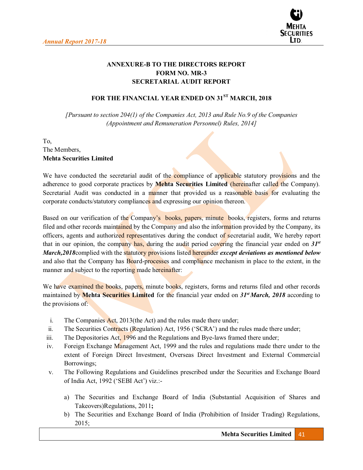

# **ANNEXURE-B TO THE DIRECTORS REPORT FORM NO. MR-3 SECRETARIAL AUDIT REPORT**

# **FOR THE FINANCIAL YEAR ENDED ON 31ST MARCH, 2018**

*[Pursuant to section 204(1) of the Companies Act, 2013 and Rule No.9 of the Companies (Appointment and Remuneration Personnel) Rules, 2014]*

# To, The Members, **Mehta Securities Limited**

We have conducted the secretarial audit of the compliance of applicable statutory provisions and the adherence to good corporate practices by **Mehta Securities Limited** (hereinafter called the Company). Secretarial Audit was conducted in a manner that provided us a reasonable basis for evaluating the corporate conducts/statutory compliances and expressing our opinion thereon.

Based on our verification of the Company's books, papers, minute books, registers, forms and returns filed and other records maintained by the Company and also the information provided by the Company, its officers, agents and authorized representatives during the conduct of secretarial audit, We hereby report that in our opinion, the company has, during the audit period covering the financial year ended on *31st March,2018*complied with the statutory provisions listed hereunder *except deviations as mentioned below*  and also that the Company has Board-processes and compliance mechanism in place to the extent, in the manner and subject to the reporting made hereinafter:

We have examined the books, papers, minute books, registers, forms and returns filed and other records maintained by **Mehta Securities Limited** for the financial year ended on *31st March, 2018* according to the provisions of:

- i. The Companies Act, 2013(the Act) and the rules made there under;
- ii. The Securities Contracts (Regulation) Act, 1956 ('SCRA') and the rules made there under;
- iii. The Depositories Act, 1996 and the Regulations and Bye-laws framed there under;
- iv. Foreign Exchange Management Act, 1999 and the rules and regulations made there under to the extent of Foreign Direct Investment, Overseas Direct Investment and External Commercial Borrowings;
- v. The Following Regulations and Guidelines prescribed under the Securities and Exchange Board of India Act, 1992 ('SEBI Act') viz.:
	- a) The Securities and Exchange Board of India (Substantial Acquisition of Shares and Takeovers)Regulations, 2011**;**
	- b) The Securities and Exchange Board of India (Prohibition of Insider Trading) Regulations, 2015;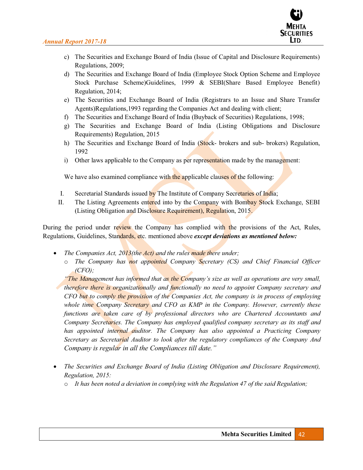

- c) The Securities and Exchange Board of India (Issue of Capital and Disclosure Requirements) Regulations, 2009;
- d) The Securities and Exchange Board of India (Employee Stock Option Scheme and Employee Stock Purchase Scheme)Guidelines, 1999 & SEBI(Share Based Employee Benefit) Regulation, 2014;
- e) The Securities and Exchange Board of India (Registrars to an Issue and Share Transfer Agents)Regulations,1993 regarding the Companies Act and dealing with client;
- f) The Securities and Exchange Board of India (Buyback of Securities) Regulations, 1998;
- g) The Securities and Exchange Board of India (Listing Obligations and Disclosure Requirements) Regulation, 2015
- h) The Securities and Exchange Board of India (Stock- brokers and sub- brokers) Regulation, 1992
- i) Other laws applicable to the Company as per representation made by the management:

We have also examined compliance with the applicable clauses of the following:

- I. Secretarial Standards issued by The Institute of Company Secretaries of India;
- II. The Listing Agreements entered into by the Company with Bombay Stock Exchange, SEBI (Listing Obligation and Disclosure Requirement), Regulation, 2015.

During the period under review the Company has complied with the provisions of the Act, Rules, Regulations, Guidelines, Standards, etc. mentioned above *except deviations as mentioned below:* 

- x *The Companies Act, 2013(the Act) and the rules made there under;* 
	- o *The Company has not appointed Company Secretary (CS) and Chief Financial Officer (CFO);*

*a<sub>7</sub> The Management has informed that as the Company's size as well as operations are very small, therefore there is organizationally and functionally no need to appoint Company secretary and CFO but to comply the provision of the Companies Act, the company is in process of employing whole time Company Secretary and CFO as KMP in the Company. However, currently these functions are taken care of by professional directors who are Chartered Accountants and Company Secretaries. The Company has employed qualified company secretary as its staff and*  has appointed internal auditor. The Company has also appointed a Practicing Company *Secretary as Secretarial Auditor to look after the regulatory compliances of the Company And Company is regular in all the Compliances till date.*"

- *The Securities and Exchange Board of India (Listing Obligation and Disclosure Requirement), Regulation, 2015:* 
	- o *It has been noted a deviation in complying with the Regulation 47 of the said Regulation;*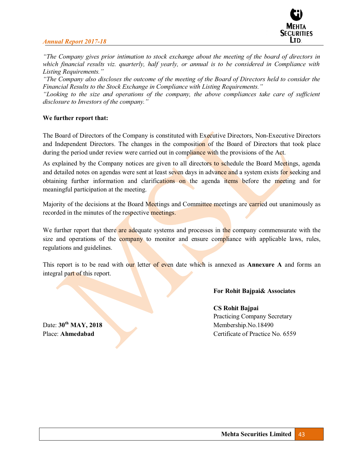

*<sup>4</sup>The Company gives prior intimation to stock exchange about the meeting of the board of directors in which financial results viz. quarterly, half yearly, or annual is to be considered in Compliance with Listing Requirements.*"

*<sup>47</sup>The Company also discloses the outcome of the meeting of the Board of Directors held to consider the Financial Results to the Stock Exchange in Compliance with Listing Requirements.*"

"Looking to the size and operations of the company, the above compliances take care of sufficient *disclosure to Investors of the company.*"

#### **We further report that:**

The Board of Directors of the Company is constituted with Executive Directors, Non-Executive Directors and Independent Directors. The changes in the composition of the Board of Directors that took place during the period under review were carried out in compliance with the provisions of the Act.

As explained by the Company notices are given to all directors to schedule the Board Meetings, agenda and detailed notes on agendas were sent at least seven days in advance and a system exists for seeking and obtaining further information and clarifications on the agenda items before the meeting and for meaningful participation at the meeting.

Majority of the decisions at the Board Meetings and Committee meetings are carried out unanimously as recorded in the minutes of the respective meetings.

We further report that there are adequate systems and processes in the company commensurate with the size and operations of the company to monitor and ensure compliance with applicable laws, rules, regulations and guidelines.

This report is to be read with our letter of even date which is annexed as **Annexure A** and forms an integral part of this report.

# **For Rohit Bajpai& Associates**

**CS Rohit Bajpai**  Practicing Company Secretary Date:  $30^{th}$  MAY, 2018 Place: **Ahmedabad Certificate of Practice No. 6559**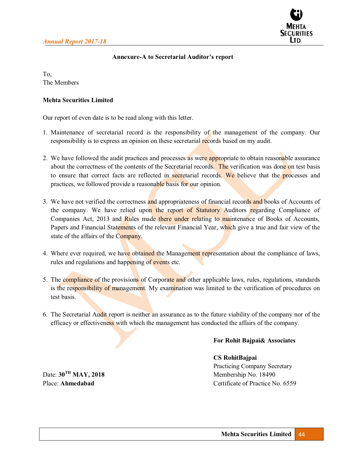

# **Annexure-A to Secretarial Auditor's report**

To, The Members

### **Mehta Securities Limited**

Our report of even date is to be read along with this letter.

- 1. Maintenance of secretarial record is the responsibility of the management of the company. Our responsibility is to express an opinion on these secretarial records based on my audit.
- 2. We have followed the audit practices and processes as were appropriate to obtain reasonable assurance about the correctness of the contents of the Secretarial records. The verification was done on test basis to ensure that correct facts are reflected in secretarial records. We believe that the processes and practices, we followed provide a reasonable basis for our opinion.
- 3. We have not verified the correctness and appropriateness of financial records and books of Accounts of the company. We have relied upon the report of Statutory Auditors regarding Compliance of Companies Act, 2013 and Rules made there under relating to maintenance of Books of Accounts, Papers and Financial Statements of the relevant Financial Year, which give a true and fair view of the state of the affairs of the Company.
- 4. Where ever required, we have obtained the Management representation about the compliance of laws, rules and regulations and happening of events etc.
- 5. The compliance of the provisions of Corporate and other applicable laws, rules, regulations, standards is the responsibility of management. My examination was limited to the verification of procedures on test basis.
- 6. The Secretarial Audit report is neither an assurance as to the future viability of the company nor of the efficacy or effectiveness with which the management has conducted the affairs of the company.

### **For Rohit Bajpai& Associates**

### **CS RohitBajpai**

Practicing Company Secretary Date:  $30^{TH}$  MAY, 2018<br>Membership No. 18490 Place: **Ahmedabad** Certificate of Practice No. 6559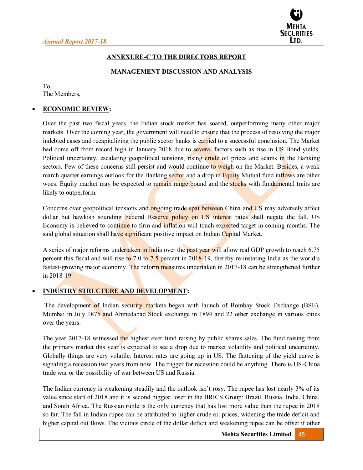

# **ANNEXURE-C TO THE DIRECTORS REPORT**

### **MANAGEMENT DISCUSSION AND ANALYSIS**

To, The Members,

# x **ECONOMIC REVIEW:**

Over the past two fiscal years, the Indian stock market has soared, outperforming many other major markets. Over the coming year, the government will need to ensure that the process of resolving the major indebted cases and recapitalizing the public sector banks is carried to a successful conclusion. The Market had come off from record high in January 2018 due to several factors such as rise in US Bond yields, Political uncertainty, escalating geopolitical tensions, rising crude oil prices and scams in the Banking sectors. Few of these concerns still persist and would continue to weigh on the Market. Besides, a weak march quarter earnings outlook for the Banking sector and a drop in Equity Mutual fund inflows are other woes. Equity market may be expected to remain range bound and the stocks with fundamental traits are likely to outperform.

Concerns over geopolitical tensions and ongoing trade spat between China and US may adversely affect dollar but hawkish sounding Federal Reserve policy on US interest rates shall negate the fall. US Economy is believed to continue to firm and inflation will touch expected target in coming months. The said global situation shall have significant positive impact on Indian Capital Market.

A series of major reforms undertaken in India over the past year will allow real GDP growth to reach 6.75 percent this fiscal and will rise to 7.0 to 7.5 percent in 2018-19, thereby re-instating India as the world's fastest-growing major economy. The reform measures undertaken in 2017-18 can be strengthened further in 2018-19.

# x **INDUSTRY STRUCTURE AND DEVELOPMENT:**

The development of Indian security markets began with launch of Bombay Stock Exchange (BSE), Mumbai in July 1875 and Ahmedabad Stock exchange in 1894 and 22 other exchange in various cities over the years.

The year 2017-18 witnessed the highest ever fund raising by public shares sales. The fund raising from the primary market this year is expected to see a drop due to market volatility and political uncertainty. Globally things are very volatile. Interest rates are going up in US. The flattening of the yield curve is signaling a recession two years from now. The trigger for recession could be anything. There is US-China trade war or the possibility of war between US and Russia.

The Indian currency is weakening steadily and the outlook isn't rosy. The rupee has lost nearly  $3\%$  of its value since start of 2018 and it is second biggest loser in the BRICS Group: Brazil, Russia, India, China, and South Africa. The Russian ruble is the only currency that has lost more value than the rupee in 2018 so far. The fall in Indian rupee can be attributed to higher crude oil prices, widening the trade deficit and higher capital out flows. The vicious circle of the dollar deficit and weakening rupee can be offset if other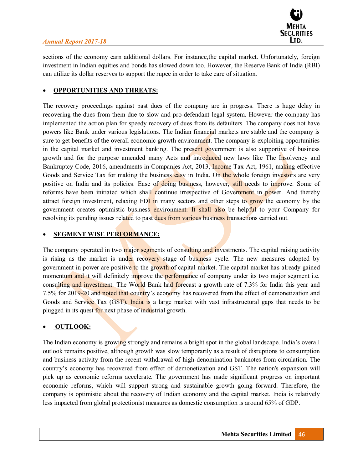

sections of the economy earn additional dollars. For instance,the capital market. Unfortunately, foreign investment in Indian equities and bonds has slowed down too. However, the Reserve Bank of India (RBI) can utilize its dollar reserves to support the rupee in order to take care of situation.

# x **OPPORTUNITIES AND THREATS:**

The recovery proceedings against past dues of the company are in progress. There is huge delay in recovering the dues from them due to slow and pro-defendant legal system. However the company has implemented the action plan for speedy recovery of dues from its defaulters. The company does not have powers like Bank under various legislations. The Indian financial markets are stable and the company is sure to get benefits of the overall economic growth environment. The company is exploiting opportunities in the capital market and investment banking. The present government is also supportive of business growth and for the purpose amended many Acts and introduced new laws like The Insolvency and Bankruptcy Code, 2016, amendments in Companies Act, 2013, Income Tax Act, 1961, making effective Goods and Service Tax for making the business easy in India. On the whole foreign investors are very positive on India and its policies. Ease of doing business, however, still needs to improve. Some of reforms have been initiated which shall continue irrespective of Government in power. And thereby attract foreign investment, relaxing  $FDI$  in many sectors and other steps to grow the economy by the government creates optimistic business environment. It shall also be helpful to your Company for resolving its pending issues related to past dues from various business transactions carried out.

# x **SEGMENT WISE PERFORMANCE:**

The company operated in two major segments of consulting and investments. The capital raising activity is rising as the market is under recovery stage of business cycle. The new measures adopted by government in power are positive to the growth of capital market. The capital market has already gained momentum and it will definitely improve the performance of company under its two major segment i.e. consulting and investment. The World Bank had forecast a growth rate of 7.3% for India this year and 7.5% for 2019-20 and noted that country's economy has recovered from the effect of demonetization and Goods and Service Tax (GST). India is a large market with vast infrastructural gaps that needs to be plugged in its quest for next phase of industrial growth.

# x **OUTLOOK:**

The Indian economy is growing strongly and remains a bright spot in the global landscape. India's overall outlook remains positive, although growth was slow temporarily as a result of disruptions to consumption and business activity from the recent withdrawal of high-denomination banknotes from circulation. The country's economy has recovered from effect of demonetization and GST. The nation's expansion will pick up as economic reforms accelerate. The government has made significant progress on important economic reforms, which will support strong and sustainable growth going forward. Therefore, the company is optimistic about the recovery of Indian economy and the capital market. India is relatively less impacted from global protectionist measures as domestic consumption is around 65% of GDP.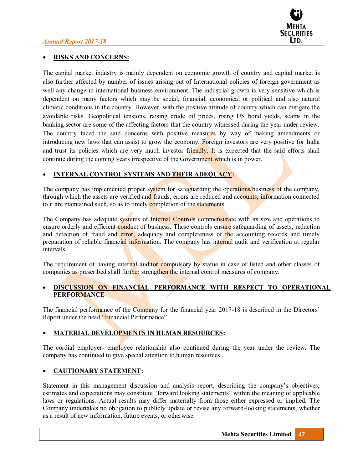

# x **RISKS AND CONCERNS:**

The capital market industry is mainly dependent on economic growth of country and capital market is also further affected by number of issues arising out of International policies of foreign government as well any change in international business environment. The industrial growth is very sensitive which is dependent on many factors which may be social, financial, economical or political and also natural climatic conditions in the country. However, with the positive attitude of country which can mitigate the avoidable risks. Geopolitical tensions, raising crude oil prices, rising US bond yields, scams in the banking sector are some of the affecting factors that the country witnessed during the year under review. The country faced the said concerns with positive measures by way of making amendments or introducing new laws that can assist to grow the economy. Foreign investors are very positive for India and trust its policies which are very much investor friendly. It is expected that the said efforts shall continue during the coming years irrespective of the Government which is in power.

# x **INTERNAL CONTROL SYSTEMS AND THEIR ADEQUACY:**

The company has implemented proper system for safeguarding the operations/business of the company, through which the assets are verified and frauds, errors are reduced and accounts, information connected to it are maintained such, so as to timely completion of the statements.

The Company has adequate systems of Internal Controls commensurate with its size and operations to ensure orderly and efficient conduct of business. These controls ensure safeguarding of assets, reduction and detection of fraud and **error**, adequacy and completeness of the accounting records and timely preparation of reliable financial information. The company has internal audit and verification at regular intervals.

The requirement of having internal auditor compulsory by statue in case of listed and other classes of companies as prescribed shall further strengthen the internal control measures of company.

# **DISCUSSION ON FINANCIAL PERFORMANCE WITH RESPECT TO OPERATIONAL PERFORMANCE**

The financial performance of the Company for the financial year 2017-18 is described in the Directors' Report under the head "Financial Performance".

# x **MATERIAL DEVELOPMENTS IN HUMAN RESOURCES:**

The cordial employer- employee relationship also continued during the year under the review. The company has continued to give special attention to human resources.

### x **CAUTIONARY STATEMENT:**

Statement in this management discussion and analysis report, describing the company's objectives, estimates and expectations may constitute "forward looking statements" within the meaning of applicable laws or regulations. Actual results may differ materially from those either expressed or implied. The Company undertakes no obligation to publicly update or revise any forward-looking statements, whether as a result of new information, future events, or otherwise.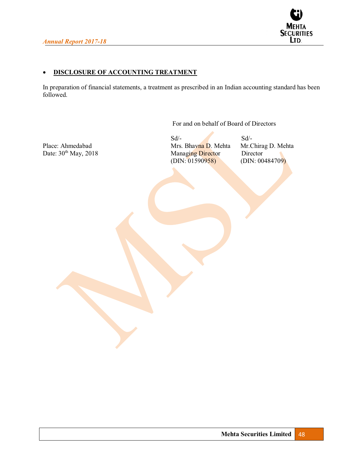

# **• DISCLOSURE OF ACCOUNTING TREATMENT**

In preparation of financial statements, a treatment as prescribed in an Indian accounting standard has been followed.

For and on behalf of Board of Directors

 $Sd$ - $Sd$ -Place: Ahmedabad Mrs. Bhavna D. Mehta Mr.Chirag D. Mehta Date:  $30^{\text{th}}$  May, 2018 Managing Director Director Date: 30<sup>th</sup> May, 2018 Managing Director Director Director Director (DIN: 01590958) (DIN: 00484709)  $(DIN: 01590958)$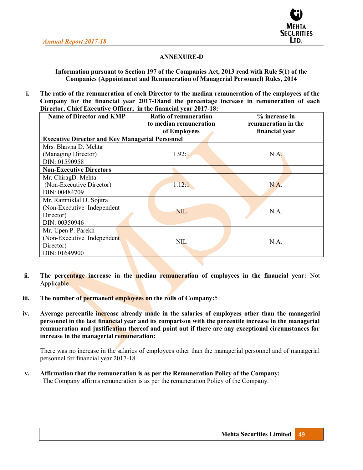

# **ANNEXURE-D**

### **Information pursuant to Section 197 of the Companies Act, 2013 read with Rule 5(1) of the Companies (Appointment and Remuneration of Managerial Personnel) Rules, 2014**

**i. The ratio of the remuneration of each Director to the median remuneration of the employees of the Company for the financial year 2017-18and the percentage increase in remuneration of each Director, Chief Executive Officer, in the financial year 2017-18:** 

| <b>Name of Director and KMP</b>                        | <b>Ratio of remuneration</b>           | % increase in                         |
|--------------------------------------------------------|----------------------------------------|---------------------------------------|
|                                                        | to median remuneration<br>of Employees | remuneration in the<br>financial year |
| <b>Executive Director and Key Managerial Personnel</b> |                                        |                                       |
| Mrs. Bhavna D. Mehta                                   |                                        |                                       |
| (Managing Director)                                    | 1.92:1                                 | N.A.                                  |
| DIN: 01590958                                          |                                        |                                       |
| <b>Non-Executive Directors</b>                         |                                        |                                       |
| Mr. ChiragD. Mehta                                     |                                        |                                       |
| (Non-Executive Director)                               | 1.12:1                                 | N.A.                                  |
| DIN: 00484709                                          |                                        |                                       |
| Mr. Ramniklal D. Sojitra                               |                                        |                                       |
| (Non-Executive Independent)                            | <b>NIL</b>                             | N.A.                                  |
| Director)                                              |                                        |                                       |
| DIN: 00350946                                          |                                        |                                       |
| Mr. Upen P. Parekh                                     |                                        |                                       |
| (Non-Executive Independent                             | <b>NIL</b>                             | N.A.                                  |
| Director)                                              |                                        |                                       |
| DIN: 01649900                                          |                                        |                                       |

- **ii. The percentage increase in the median remuneration of employees in the financial year:** Not Applicable
- **iii. The number of permanent employees on the rolls of Company:**5
- **iv. Average percentile increase already made in the salaries of employees other than the managerial personnel in the last financial year and its comparison with the percentile increase in the managerial remuneration and justification thereof and point out if there are any exceptional circumstances for increase in the managerial remuneration:**

There was no increase in the salaries of employees other than the managerial personnel and of managerial personnel for financial year 2017-18.

**v. Affirmation that the remuneration is as per the Remuneration Policy of the Company:**  The Company affirms remuneration is as per the remuneration Policy of the Company.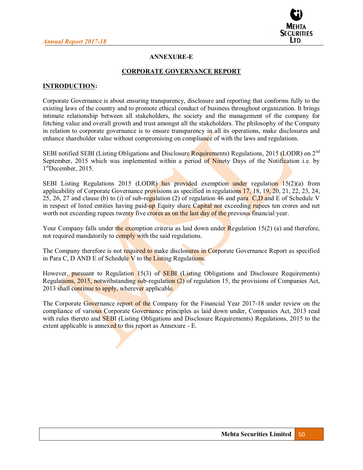

# **ANNEXURE-E**

#### **CORPORATE GOVERNANCE REPORT**

#### **INTRODUCTION:**

Corporate Governance is about ensuring transparency, disclosure and reporting that conforms fully to the existing laws of the country and to promote ethical conduct of business throughout organization. It brings intimate relationship between all stakeholders, the society and the management of the company for fetching value and overall growth and trust amongst all the stakeholders. The philosophy of the Company in relation to corporate governance is to ensure transparency in all its operations, make disclosures and enhance shareholder value without compromising on compliance of with the laws and regulations.

SEBI notified SEBI (Listing Obligations and Disclosure Requirements) Regulations, 2015 (LODR) on 2nd September, 2015 which was implemented within a period of Ninety Days of the Notification i.e. by 1<sup>st</sup>December, 2015.

SEBI Listing Regulations 2015 (LODR) has provided exemption under regulation  $15(2)(a)$  from applicability of Corporate Governance provisions as specified in regulations 17, 18, 19, 20, 21, 22, 23, 24, 25, 26, 27 and clause (b) to (i) of sub-regulation (2) of regulation 46 and para  $C$ , D and E of Schedule V in respect of listed entities having paid-up Equity share Capital not exceeding rupees ten crores and net worth not exceeding rupees twenty five crores as on the last day of the previous financial year.

Your Company falls under the exemption criteria as laid down under Regulation 15(2) (a) and therefore, not required mandatorily to comply with the said regulations.

The Company therefore is not required to make disclosures in Corporate Governance Report as specified in Para C, D AND E of Schedule V to the Listing Regulations.

However, pursuant to Regulation 15(3) of SEBI (Listing Obligations and Disclosure Requirements) Regulations, 2015, notwithstanding sub-regulation (2) of regulation 15, the provisions of Companies Act, 2013 shall continue to apply, wherever applicable.

The Corporate Governance report of the Company for the Financial Year 2017-18 under review on the compliance of various Corporate Governance principles as laid down under, Companies Act, 2013 read with rules thereto and **SEBI** (Listing Obligations and Disclosure Requirements) Regulations, 2015 to the extent applicable is annexed to this report as Annexure - E.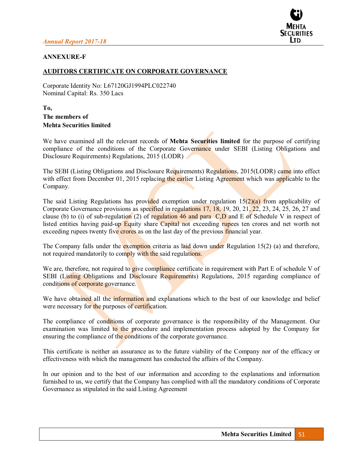

### **ANNEXURE-F**

#### **AUDITORS CERTIFICATE ON CORPORATE GOVERNANCE**

Corporate Identity No: L67120GJ1994PLC022740 Nominal Capital: Rs. 350 Lacs

# **To, The members of Mehta Securities limited**

We have examined all the relevant records of **Mehta Securities limited** for the purpose of certifying compliance of the conditions of the Corporate Governance under SEBI (Listing Obligations and Disclosure Requirements) Regulations, 2015 (LODR)

The SEBI (Listing Obligations and Disclosure Requirements) Regulations, 2015(LODR) came into effect with effect from December 01, 2015 replacing the earlier Listing Agreement which was applicable to the Company.

The said Listing Regulations has provided exemption under regulation  $15(2)(a)$  from applicability of Corporate Governance provisions as specified in regulations 17, 18, 19, 20, 21, 22, 23, 24, 25, 26, 27 and clause (b) to (i) of sub-regulation (2) of regulation 46 and para  $C, D$  and E of Schedule V in respect of listed entities having paid-up Equity share Capital not exceeding rupees ten crores and net worth not exceeding rupees twenty five crores as on the last day of the previous financial year.

The Company falls under the **exemption** criteria as laid down under Regulation 15(2) (a) and therefore, not required mandatorily to comply with the said regulations.

We are, therefore, not required to give compliance certificate in requirement with Part E of schedule V of SEBI (Listing Obligations and Disclosure Requirements) Regulations, 2015 regarding compliance of conditions of corporate governance.

We have obtained all the information and explanations which to the best of our knowledge and belief were necessary for the purposes of certification.

The compliance of conditions of corporate governance is the responsibility of the Management. Our examination was limited to the procedure and implementation process adopted by the Company for ensuring the compliance of the conditions of the corporate governance.

This certificate is neither an assurance as to the future viability of the Company nor of the efficacy or effectiveness with which the management has conducted the affairs of the Company.

In our opinion and to the best of our information and according to the explanations and information furnished to us, we certify that the Company has complied with all the mandatory conditions of Corporate Governance as stipulated in the said Listing Agreement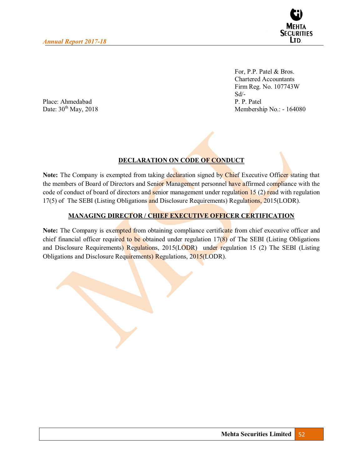

For, P.P. Patel & Bros. Chartered Accountants Firm Reg. No. 107743W Sd/-<br>P. P. Patel Membership No.: - 164080

Place: Ahmedabad<br>Date:  $30^{\text{th}}$  May, 2018

# **DECLARATION ON CODE OF CONDUCT**

**Note:** The Company is exempted from taking declaration signed by Chief Executive Officer stating that the members of Board of Directors and Senior Management personnel have affirmed compliance with the code of conduct of board of directors and senior management under regulation 15 (2) read with regulation 17(5) of The SEBI (Listing Obligations and Disclosure Requirements) Regulations, 2015(LODR).

# **MANAGING DIRECTOR / CHIEF EXECUTIVE OFFICER CERTIFICATION**

**Note:** The Company is exempted from obtaining compliance certificate from chief executive officer and chief financial officer required to be obtained under regulation 17(8) of The SEBI (Listing Obligations and Disclosure Requirements) Regulations, 2015(LODR) under regulation 15 (2) The SEBI (Listing Obligations and Disclosure Requirements) Regulations, 2015(LODR).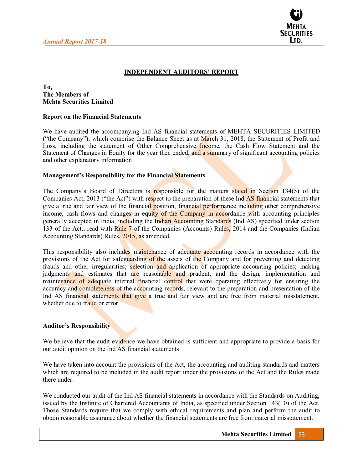

# **INDEPENDENT AUDITORS' REPORT**

#### **To, The Members of Mehta Securities Limited**

#### **Report on the Financial Statements**

We have audited the accompanying Ind AS financial statements of MEHTA SECURITIES LIMITED ("the Company"), which comprise the Balance Sheet as at March 31, 2018, the Statement of Profit and Loss, including the statement of Other Comprehensive Income, the Cash Flow Statement and the Statement of Changes in Equity for the year then ended, and a summary of significant accounting policies and other explanatory information

#### **Management's Responsibility for the Financial Statements**

The Company's Board of Directors is responsible for the matters stated in Section 134(5) of the Companies Act, 2013 ("the Act") with respect to the preparation of these Ind AS financial statements that give a true and fair view of the financial position, financial performance including other comprehensive income, cash flows and changes in equity of the Company in accordance with accounting principles generally accepted in India, including the Indian Accounting Standards (Ind AS) specified under section 133 of the Act., read with Rule 7 of the Companies (Accounts) Rules, 2014 and the Companies (Indian Accounting Standards) Rules, 2015, as amended.

This responsibility also includes maintenance of adequate accounting records in accordance with the provisions of the Act for safeguarding of the assets of the Company and for preventing and detecting frauds and other irregularities; selection and application of appropriate accounting policies; making judgments and estimates that are reasonable and prudent; and the design, implementation and maintenance of adequate internal financial control that were operating effectively for ensuring the accuracy and completeness of the accounting records, relevant to the preparation and presentation of the Ind AS financial statements that give a true and fair view and are free from material misstatement, whether due to fraud or error.

#### **Auditor's Responsibility**

We believe that the audit evidence we have obtained is sufficient and appropriate to provide a basis for our audit opinion on the Ind AS financial statements

We have taken into account the provisions of the Act, the accounting and auditing standards and matters which are required to be included in the audit report under the provisions of the Act and the Rules made there under.

We conducted our audit of the Ind AS financial statements in accordance with the Standards on Auditing, issued by the Institute of Chartered Accountants of India, as specified under Section 143(10) of the Act. Those Standards require that we comply with ethical requirements and plan and perform the audit to obtain reasonable assurance about whether the financial statements are free from material misstatement.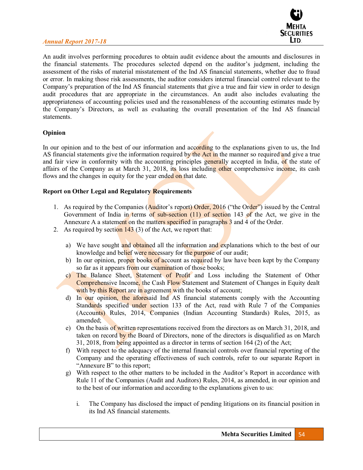

An audit involves performing procedures to obtain audit evidence about the amounts and disclosures in the financial statements. The procedures selected depend on the auditor's judgment, including the assessment of the risks of material misstatement of the Ind AS financial statements, whether due to fraud or error. In making those risk assessments, the auditor considers internal financial control relevant to the Company's preparation of the Ind AS financial statements that give a true and fair view in order to design audit procedures that are appropriate in the circumstances. An audit also includes evaluating the appropriateness of accounting policies used and the reasonableness of the accounting estimates made by the Company's Directors, as well as evaluating the overall presentation of the Ind AS financial statements.

# **Opinion**

In our opinion and to the best of our information and according to the explanations given to us, the Ind AS financial statements give the information required by the Act in the manner so required and give a true and fair view in conformity with the accounting principles generally accepted in India, of the state of affairs of the Company as at March 31, 2018, its loss including other comprehensive income, its cash flows and the changes in equity for the year ended on that date.

# **Report on Other Legal and Regulatory Requirements**

- 1. As required by the Companies (Auditor's report) Order, 2016 ("the Order") issued by the Central Government of India in terms of sub-section (11) of section 143 of the Act, we give in the Annexure A a statement on the matters specified in paragraphs 3 and 4 of the Order.
- 2. As required by section  $143$  (3) of the Act, we report that:
	- a) We have sought and obtained all the information and explanations which to the best of our knowledge and belief were necessary for the purpose of our audit;
	- b) In our opinion, proper books of account as required by law have been kept by the Company so far as it appears from our examination of those books;
	- c) The Balance Sheet, Statement of Profit and Loss including the Statement of Other Comprehensive Income, the Cash Flow Statement and Statement of Changes in Equity dealt with by this Report are in agreement with the books of account;
	- d) In our opinion, the aforesaid Ind AS financial statements comply with the Accounting Standards specified under section 133 of the Act, read with Rule 7 of the Companies (Accounts) Rules, 2014, Companies (Indian Accounting Standards) Rules, 2015, as amended;
	- e) On the basis of written representations received from the directors as on March 31, 2018, and taken on record by the Board of Directors, none of the directors is disqualified as on March 31, 2018, from being appointed as a director in terms of section 164 (2) of the Act;
	- f) With respect to the adequacy of the internal financial controls over financial reporting of the Company and the operating effectiveness of such controls, refer to our separate Report in "Annexure B" to this report;
	- g) With respect to the other matters to be included in the Auditor's Report in accordance with Rule 11 of the Companies (Audit and Auditors) Rules, 2014, as amended, in our opinion and to the best of our information and according to the explanations given to us:
		- i. The Company has disclosed the impact of pending litigations on its financial position in its Ind AS financial statements.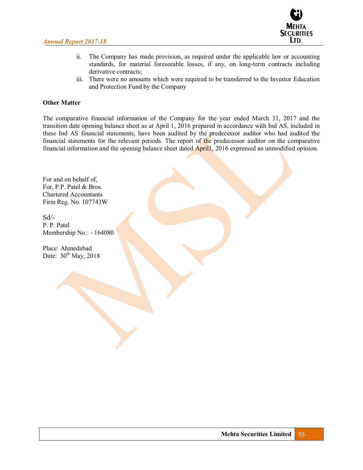

- ii. The Company has made provision, as required under the applicable law or accounting standards, for material foreseeable losses, if any, on long-term contracts including derivative contracts;
- iii. There were no amounts which were required to be transferred to the Investor Education and Protection Fund by the Company

### **Other Matter**

The comparative financial information of the Company for the year ended March 31, 2017 and the transition date opening balance sheet as at April 1, 2016 prepared in accordance with Ind AS, included in these Ind AS financial statements, have been audited by the predecessor auditor who had audited the financial statements for the relevant periods. The report of the predecessor auditor on the comparative financial information and the opening balance sheet dated April1, 2016 expressed an unmodified opinion.

For and on behalf of, For, P.P. Patel & Bros. Chartered Accountants Firm Reg. No. 107743W

 $Sd$ <sup>-</sup> P. P. Patel Membership No.: - 164080

Place: Ahmedabad Date:  $30<sup>th</sup>$  May, 2018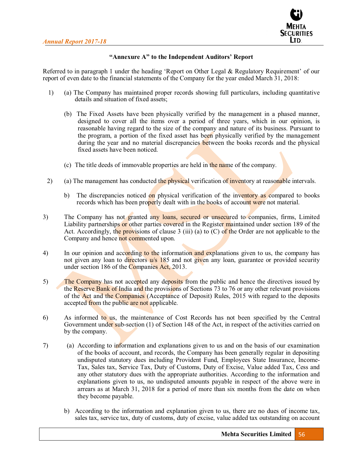

# "Annexure A" to the Independent Auditors' Report

Referred to in paragraph 1 under the heading 'Report on Other Legal & Regulatory Requirement' of our report of even date to the financial statements of the Company for the year ended March 31, 2018:

- 1) (a) The Company has maintained proper records showing full particulars, including quantitative details and situation of fixed assets;
	- (b) The Fixed Assets have been physically verified by the management in a phased manner, designed to cover all the items over a period of three years, which in our opinion, is reasonable having regard to the size of the company and nature of its business. Pursuant to the program, a portion of the fixed asset has been physically verified by the management during the year and no material discrepancies between the books records and the physical fixed assets have been noticed.
	- (c) The title deeds of immovable properties are held in the name of the company.
- 2) (a) The management has conducted the physical verification of inventory at reasonable intervals.
	- b) The discrepancies noticed on physical verification of the inventory as compared to books records which has been properly dealt with in the books of account were not material.
- 3) The Company has not granted any loans, secured or unsecured to companies, firms, Limited Liability partnerships or other parties covered in the Register maintained under section 189 of the Act. Accordingly, the provisions of clause 3 (iii) (a) to  $(C)$  of the Order are not applicable to the Company and hence not commented upon.
- 4) In our opinion and according to the information and explanations given to us, the company has not given any loan to directors  $\frac{u}{s}$  185 and not given any loan, guarantee or provided security under section 186 of the Companies Act, 2013.
- 5) The Company has not accepted any deposits from the public and hence the directives issued by the Reserve Bank of India and the provisions of Sections 73 to 76 or any other relevant provisions of the Act and the Companies (Acceptance of Deposit) Rules, 2015 with regard to the deposits accepted from the public are not applicable.
- 6) As informed to us, the maintenance of Cost Records has not been specified by the Central Government under sub-section (1) of Section 148 of the Act, in respect of the activities carried on by the company.
- 7) (a) According to information and explanations given to us and on the basis of our examination of the books of account, and records, the Company has been generally regular in depositing undisputed statutory dues including Provident Fund, Employees State Insurance, Income-Tax, Sales tax, Service Tax, Duty of Customs, Duty of Excise, Value added Tax, Cess and any other statutory dues with the appropriate authorities. According to the information and explanations given to us, no undisputed amounts payable in respect of the above were in arrears as at March 31, 2018 for a period of more than six months from the date on when they become payable.
	- b) According to the information and explanation given to us, there are no dues of income tax, sales tax, service tax, duty of customs, duty of excise, value added tax outstanding on account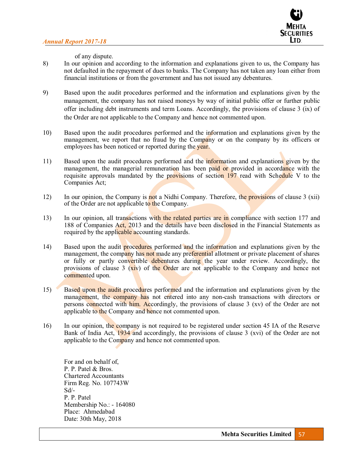

of any dispute.

- 8) In our opinion and according to the information and explanations given to us, the Company has not defaulted in the repayment of dues to banks. The Company has not taken any loan either from financial institutions or from the government and has not issued any debentures.
- 9) Based upon the audit procedures performed and the information and explanations given by the management, the company has not raised moneys by way of initial public offer or further public offer including debt instruments and term Loans. Accordingly, the provisions of clause 3 (ix) of the Order are not applicable to the Company and hence not commented upon.
- 10) Based upon the audit procedures performed and the information and explanations given by the management, we report that no fraud by the Company or on the company by its officers or employees has been noticed or reported during the year.
- 11) Based upon the audit procedures performed and the information and explanations given by the management, the managerial remuneration has been paid or provided in accordance with the requisite approvals mandated by the provisions of section 197 read with Schedule V to the Companies Act;
- 12) In our opinion, the Company is not a Nidhi Company. Therefore, the provisions of clause 3 (xii) of the Order are not applicable to the Company.
- 13) In our opinion, all transactions with the related parties are in compliance with section 177 and 188 of Companies Act, 2013 and the details have been disclosed in the Financial Statements as required by the applicable accounting standards.
- 14) Based upon the audit **procedures** performed and the information and explanations given by the management, the company has not made any preferential allotment or private placement of shares or fully or partly convertible debentures during the year under review. Accordingly, the provisions of clause 3  $(xiv)$  of the Order are not applicable to the Company and hence not commented upon.
- 15) Based upon the audit procedures performed and the information and explanations given by the management, the company has not entered into any non-cash transactions with directors or persons connected with him. Accordingly, the provisions of clause 3 (xv) of the Order are not applicable to the Company and hence not commented upon.
- 16) In our opinion, the company is not required to be registered under section 45 IA of the Reserve Bank of India Act, 1934 and accordingly, the provisions of clause 3 (xvi) of the Order are not applicable to the Company and hence not commented upon.

For and on behalf of, P. P. Patel & Bros. Chartered Accountants Firm Reg. No. 107743W  $Sd$ -P. P. Patel Membership No.: - 164080 Place: Ahmedabad Date: 30th May, 2018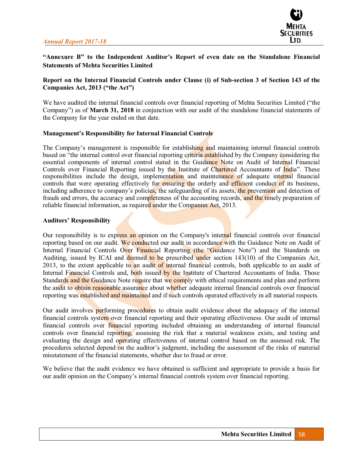

# "Annexure B" to the Independent Auditor's Report of even date on the Standalone Financial **Statements of Mehta Securities Limited**

# **Report on the Internal Financial Controls under Clause (i) of Sub-section 3 of Section 143 of the Companies Act, 2013 ("the Act")**

We have audited the internal financial controls over financial reporting of Mehta Securities Limited ("the Company") as of **March 31, 2018** in conjunction with our audit of the standalone financial statements of the Company for the year ended on that date.

#### **Management's Responsibility for Internal Financial Controls**

The Company's management is responsible for establishing and maintaining internal financial controls based on "the internal control over financial reporting criteria established by the Company considering the essential components of internal control stated in the Guidance Note on Audit of Internal Financial Controls over Financial Reporting issued by the Institute of Chartered Accountants of India". These responsibilities include the design, implementation and maintenance of adequate internal financial controls that were operating effectively for ensuring the orderly and efficient conduct of its business, including adherence to company's policies, the safeguarding of its assets, the prevention and detection of frauds and errors, the accuracy and completeness of the accounting records, and the timely preparation of reliable financial information, as required under the Companies Act, 2013.

#### **Auditors' Responsibility**

Our responsibility is to express an opinion on the Company's internal financial controls over financial reporting based on our audit. We conducted our audit in accordance with the Guidance Note on Audit of Internal Financial Controls Over Financial Reporting (the "Guidance Note") and the Standards on Auditing, issued by ICAI and deemed to be prescribed under section 143(10) of the Companies Act, 2013, to the extent applicable to an audit of internal financial controls, both applicable to an audit of Internal Financial Controls and, both issued by the Institute of Chartered Accountants of India. Those Standards and the Guidance Note require that we comply with ethical requirements and plan and perform the audit to obtain reasonable assurance about whether adequate internal financial controls over financial reporting was established and maintained and if such controls operated effectively in all material respects.

Our audit involves performing procedures to obtain audit evidence about the adequacy of the internal financial controls system over financial reporting and their operating effectiveness. Our audit of internal financial controls over financial reporting included obtaining an understanding of internal financial controls over financial reporting, assessing the risk that a material weakness exists, and testing and evaluating the design and operating effectiveness of internal control based on the assessed risk. The procedures selected depend on the auditor's judgment, including the assessment of the risks of material misstatement of the financial statements, whether due to fraud or error.

We believe that the audit evidence we have obtained is sufficient and appropriate to provide a basis for our audit opinion on the Company's internal financial controls system over financial reporting.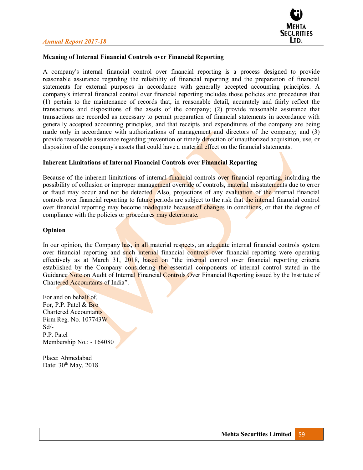

# **Meaning of Internal Financial Controls over Financial Reporting**

A company's internal financial control over financial reporting is a process designed to provide reasonable assurance regarding the reliability of financial reporting and the preparation of financial statements for external purposes in accordance with generally accepted accounting principles. A company's internal financial control over financial reporting includes those policies and procedures that (1) pertain to the maintenance of records that, in reasonable detail, accurately and fairly reflect the transactions and dispositions of the assets of the company; (2) provide reasonable assurance that transactions are recorded as necessary to permit preparation of financial statements in accordance with generally accepted accounting principles, and that receipts and expenditures of the company are being made only in accordance with authorizations of management and directors of the company; and (3) provide reasonable assurance regarding prevention or timely detection of unauthorized acquisition, use, or disposition of the company's assets that could have a material effect on the financial statements.

#### **Inherent Limitations of Internal Financial Controls over Financial Reporting**

Because of the inherent limitations of internal financial controls over financial reporting, including the possibility of collusion or improper management override of controls, material misstatements due to error or fraud may occur and not be detected. Also, projections of any evaluation of the internal financial controls over financial reporting to future periods are subject to the risk that the internal financial control over financial reporting may become inadequate because of changes in conditions, or that the degree of compliance with the policies or procedures may deteriorate.

#### **Opinion**

In our opinion, the Company has, in all material respects, an adequate internal financial controls system over financial reporting and such internal financial controls over financial reporting were operating effectively as at March 31,  $2018$ , based on "the internal control over financial reporting criteria established by the Company considering the essential components of internal control stated in the Guidance Note on Audit of Internal Financial Controls Over Financial Reporting issued by the Institute of Chartered Accountants of India".

For and on behalf of, For, P.P. Patel & Bro Chartered Accountants Firm Reg. No. 107743W Sd/- P.P. Patel Membership No.: - 164080

Place: Ahmedabad Date:  $30<sup>th</sup>$  May, 2018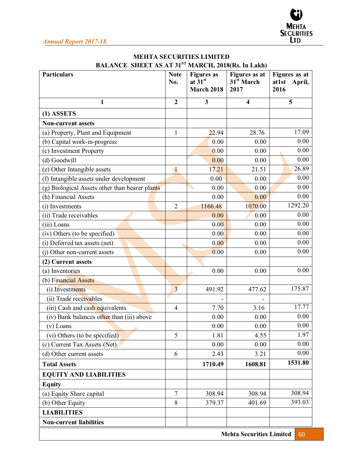| <b>MEHTA SECURITIES LIMITED</b> |                                                                     |  |  |  |
|---------------------------------|---------------------------------------------------------------------|--|--|--|
|                                 | <b>BALANCE SHEET AS AT 31<sup>ST</sup> MARCH, 2018(Rs. In Lakh)</b> |  |  |  |

| <b>Particulars</b>                             | <b>Note</b><br>No.      | <b>Figures</b> as<br>at $31^{st}$ | Figures as at<br>31 <sup>st</sup> March | Figures as at<br>at1st<br>April, |
|------------------------------------------------|-------------------------|-----------------------------------|-----------------------------------------|----------------------------------|
|                                                |                         | March 2018                        | 2017                                    | 2016                             |
| $\mathbf{1}$                                   | $\overline{2}$          | 3                                 | $\overline{\mathbf{4}}$                 | 5                                |
| $(1)$ ASSETS                                   |                         |                                   |                                         |                                  |
| <b>Non-current assets</b>                      |                         |                                   |                                         |                                  |
| (a) Property, Plant and Equipment              | $\mathbf{1}$            | 22.94                             | 28.76                                   | 17.09                            |
| (b) Capital work-in-progress                   |                         | 0.00                              | 0.00                                    | 0.00                             |
| (c) Investment Property                        |                         | 0.00                              | 0.00                                    | 0.00                             |
| (d) Goodwill                                   |                         | 0.00                              | 0.00                                    | 0.00                             |
| (e) Other Intangible assets                    | $\mathbf{I}$            | 17.21                             | 21.51                                   | 26.89                            |
| (f) Intangible assets under development        |                         | 0.00                              | 0.00                                    | 0.00                             |
| (g) Biological Assets other than bearer plants |                         | 0.00                              | 0.00                                    | 0.00                             |
| (h) Financial Assets                           |                         | 0.00                              | 0.00                                    | 0.00                             |
| (i) Investments                                | $\overline{2}$          | 1166.48                           | 1070.00                                 | 1292.20                          |
| (ii) Trade receivables                         |                         | 0.00                              | 0.00                                    | 0.00                             |
| (iii) Loans                                    |                         | 0.00                              | 0.00                                    | 0.00                             |
| (iv) Others (to be specified)                  |                         | 0.00                              | 0.00                                    | 0.00                             |
| (i) Deferred tax assets (net)                  |                         | 0.00                              | 0.00                                    | 0.00                             |
| (j) Other non-current assets                   |                         | 0.00                              | 0.00                                    | 0.00                             |
| (2) Current assets                             |                         |                                   |                                         |                                  |
| (a) Inventories                                |                         | 0.00                              | 0.00                                    | 0.00                             |
| (b) Financial Assets                           |                         |                                   |                                         |                                  |
| (i) Investments                                | $\overline{\mathbf{3}}$ | 491.92                            | 477.62                                  | 175.87                           |
| (ii) Trade receivables                         |                         |                                   |                                         |                                  |
| (iii) Cash and cash equivalents                | $\overline{4}$          | 7.70                              | 3.16                                    | 17.77                            |
| (iv) Bank balances other than (iii) above      |                         | 0.00                              | 0.00                                    | 0.00                             |
| $(v)$ Loans                                    |                         | 0.00                              | 0.00                                    | 0.00                             |
| (vi) Others (to be specified)                  | 5                       | 1.81                              | 4.55                                    | 1.97                             |
| (c) Current Tax Assets (Net)                   |                         | 0.00                              | 0.00                                    | 0.00                             |
| (d) Other current assets                       | 6                       | 2.43                              | 3.21                                    | 0.00                             |
| <b>Total Assets</b>                            |                         | 1710.49                           | 1608.81                                 | 1531.80                          |
| <b>EQUITY AND LIABILITIES</b>                  |                         |                                   |                                         |                                  |
| <b>Equity</b>                                  |                         |                                   |                                         |                                  |
| (a) Equity Share capital                       | $\overline{7}$          | 308.94                            | 308.94                                  | 308.94                           |
| (b) Other Equity                               | 8                       | 379.37                            | 401.69                                  | 393.03                           |
| <b>LIABILITIES</b>                             |                         |                                   |                                         |                                  |
| <b>Non-current liabilities</b>                 |                         |                                   |                                         |                                  |
|                                                |                         |                                   |                                         |                                  |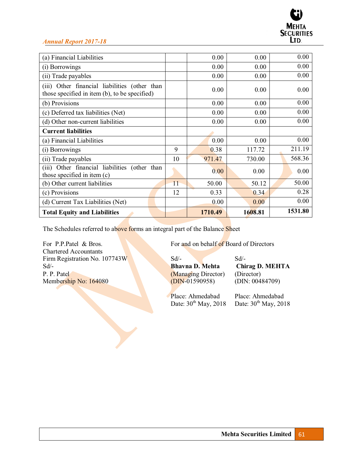| (a) Financial Liabilities                                                                      |    | 0.00    | 0.00    | 0.00    |
|------------------------------------------------------------------------------------------------|----|---------|---------|---------|
| (i) Borrowings                                                                                 |    | 0.00    | 0.00    | 0.00    |
| (ii) Trade payables                                                                            |    | 0.00    | 0.00    | 0.00    |
| (iii) Other financial liabilities (other than<br>those specified in item (b), to be specified) |    | 0.00    | 0.00    | 0.00    |
| (b) Provisions                                                                                 |    | 0.00    | 0.00    | 0.00    |
| (c) Deferred tax liabilities (Net)                                                             |    | 0.00    | 0.00    | 0.00    |
| (d) Other non-current liabilities                                                              |    | 0.00    | 0.00    | 0.00    |
| <b>Current liabilities</b>                                                                     |    |         |         |         |
| (a) Financial Liabilities                                                                      |    | 0.00    | 0.00    | 0.00    |
| (i) Borrowings                                                                                 | 9  | 0.38    | 117.72  | 211.19  |
| (ii) Trade payables                                                                            | 10 | 971.47  | 730.00  | 568.36  |
| Other financial liabilities (other than<br>(iii)<br>those specified in item (c)                |    | 0.00    | 0.00    | 0.00    |
| (b) Other current liabilities                                                                  | 11 | 50.00   | 50.12   | 50.00   |
| (c) Provisions                                                                                 | 12 | 0.33    | 0.34    | 0.28    |
| (d) Current Tax Liabilities (Net)                                                              |    | 0.00    | 0.00    | 0.00    |
| <b>Total Equity and Liabilities</b>                                                            |    | 1710.49 | 1608.81 | 1531.80 |

The Schedules referred to above forms an integral part of the Balance Sheet

Chartered Accountants Firm Registration No. 107743W Sd<sup>/-</sup><br>Sd<sup>/-</sup> Bhavna D. Mehta Chii P. P. Patel (Managing Director) (Director) (Director) (Director) (Director) (Director) (DIN: 00484709) Membership No: 164080

For P.P.Patel & Bros. For and on behalf of Board of Directors

Bhavna D. Mehta Chirag D. MEHTA

Date:  $30<sup>th</sup>$  May, 2018

Place: Ahmedabad Place: Ahmedabad<br>Date: 30<sup>th</sup> May, 2018 Date: 30<sup>th</sup> May, 2018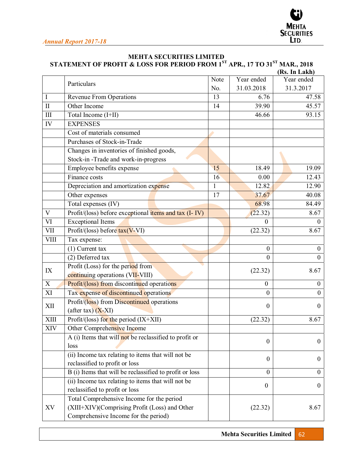

# **MEHTA SECURITIES LIMITED**

STATEMENT OF PROFIT & LOSS FOR PERIOD FROM 1<sup>st</sup> APR., 17 TO 31<sup>st</sup> MAR., 2018

|              |                                                         |              |                  | (Rs. In Lakh)    |
|--------------|---------------------------------------------------------|--------------|------------------|------------------|
|              | Particulars                                             | Note         | Year ended       | Year ended       |
|              |                                                         | No.          | 31.03.2018       | 31.3.2017        |
| I            | <b>Revenue From Operations</b>                          | 13           | 6.76             | 47.58            |
| $\mathbf{I}$ | Other Income                                            | 14           | 39.90            | 45.57            |
| III          | Total Income (I+II)                                     |              | 46.66            | 93.15            |
| IV           | <b>EXPENSES</b>                                         |              |                  |                  |
|              | Cost of materials consumed                              |              |                  |                  |
|              | Purchases of Stock-in-Trade                             |              |                  |                  |
|              | Changes in inventories of finished goods,               |              |                  |                  |
|              | Stock-in-Trade and work-in-progress                     |              |                  |                  |
|              | Employee benefits expense                               | 15           | 18.49            | 19.09            |
|              | Finance costs                                           | 16           | 0.00             | 12.43            |
|              | Depreciation and amortization expense                   | $\mathbf{1}$ | 12.82            | 12.90            |
|              | Other expenses                                          | 17           | 37.67            | 40.08            |
|              | Total expenses (IV)                                     |              | 68.98            | 84.49            |
| V            | Profit/(loss) before exceptional items and tax (I-IV)   |              | (22.32)          | 8.67             |
| VI           | <b>Exceptional Items</b>                                |              | $\Omega$         | $\Omega$         |
| <b>VII</b>   | Profit/(loss) before tax(V-VI)                          |              | (22.32)          | 8.67             |
| <b>VIII</b>  | Tax expense:                                            |              |                  |                  |
|              | $(1)$ Current tax                                       |              | $\boldsymbol{0}$ | $\boldsymbol{0}$ |
|              | (2) Deferred tax                                        |              | $\Omega$         | $\Omega$         |
|              | Profit (Loss) for the period from                       |              |                  |                  |
| IX           | continuing operations (VII-VIII)                        |              | (22.32)          | 8.67             |
| X            | <b>Profit/(loss) from discontinued operations</b>       |              | $\boldsymbol{0}$ | $\boldsymbol{0}$ |
| XI           | Tax expense of discontinued operations                  |              | $\Omega$         | $\theta$         |
|              | Profit/(loss) from Discontinued operations              |              |                  |                  |
| XII          | (after tax) $(X-XI)$                                    |              | $\boldsymbol{0}$ | $\theta$         |
| <b>XIII</b>  | Profit/(loss) for the period $(IX+XII)$                 |              | (22.32)          | 8.67             |
| XIV          | Other Comprehensive Income                              |              |                  |                  |
|              | A (i) Items that will not be reclassified to profit or  |              |                  |                  |
|              | loss                                                    |              | $\boldsymbol{0}$ | $\boldsymbol{0}$ |
|              | (ii) Income tax relating to items that will not be      |              |                  |                  |
|              | reclassified to profit or loss                          |              | $\boldsymbol{0}$ | $\boldsymbol{0}$ |
|              | B (i) Items that will be reclassified to profit or loss |              | $\boldsymbol{0}$ | $\overline{0}$   |
|              | (ii) Income tax relating to items that will not be      |              |                  |                  |
|              | reclassified to profit or loss                          |              | $\boldsymbol{0}$ | $\mathbf{0}$     |
|              | Total Comprehensive Income for the period               |              |                  |                  |
| XV           | (XIII+XIV)(Comprising Profit (Loss) and Other           |              | (22.32)          | 8.67             |
|              | Comprehensive Income for the period)                    |              |                  |                  |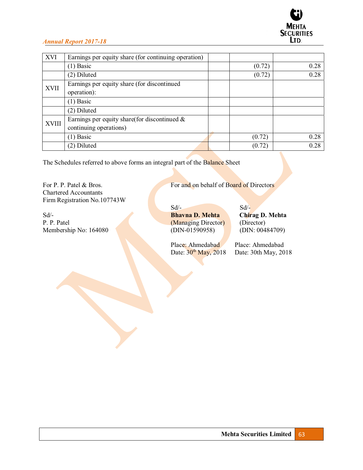

| <b>XVI</b>   | Earnings per equity share (for continuing operation)                      |        |      |
|--------------|---------------------------------------------------------------------------|--------|------|
|              | $(1)$ Basic                                                               | (0.72) | 0.28 |
|              | (2) Diluted                                                               | (0.72) | 0.28 |
| <b>XVII</b>  | Earnings per equity share (for discontinued<br>operation):                |        |      |
|              | $(1)$ Basic                                                               |        |      |
|              | (2) Diluted                                                               |        |      |
| <b>XVIII</b> | Earnings per equity share(for discontinued $\&$<br>continuing operations) |        |      |
|              | $(1)$ Basic                                                               | (0.72) | 0.28 |
|              | (2) Diluted                                                               | (0.72) | 0.28 |

The Schedules referred to above forms an integral part of the Balance Sheet

Chartered Accountants Firm Registration No.107743W

Sd<sup>/-</sup><br> **Bhavna D. Mehta** Chirag D. Mehta<br>
P. P. Patel (Managing Director) (Director) Membership No: 164080

For P. P. Patel & Bros. For and on behalf of Board of Directors

 $Sd$  -  $Sd$  -(Managing Director) (Director)<br>(DIN-01590958) (DIN: 00484709)

Place: Ahmedabad Place: Ahmedabad

Date:  $30^{th}$  May, 2018 Date: 30th May, 2018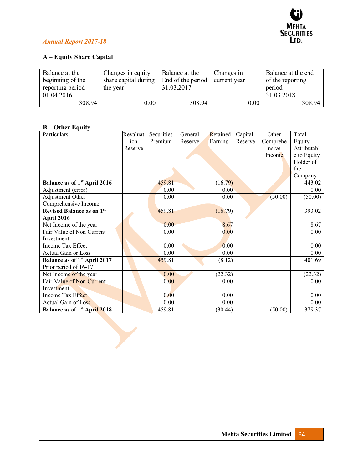# **A ± Equity Share Capital**

| Balance at the<br>beginning of the<br>reporting period | Changes in equity<br>share capital during<br>the year | Balance at the<br>End of the period<br>31.03.2017 | Changes in<br>current year | Balance at the end<br>of the reporting<br>period |
|--------------------------------------------------------|-------------------------------------------------------|---------------------------------------------------|----------------------------|--------------------------------------------------|
| 01.04.2016                                             |                                                       |                                                   |                            | 31.03.2018                                       |
| 308.94                                                 | $0.00\,$                                              | 308.94                                            | 0.00                       | 308.94                                           |

# **B ± Other Equity**

| Particulars                              | Revaluat | Securities | General | Retained | Capital | Other    | Total       |
|------------------------------------------|----------|------------|---------|----------|---------|----------|-------------|
|                                          | ion      | Premium    | Reserve | Earning  | Reserve | Comprehe | Equity      |
|                                          | Reserve  |            |         |          |         | nsive    | Attributabl |
|                                          |          |            |         |          |         | Income   | e to Equity |
|                                          |          |            |         |          |         |          | Holder of   |
|                                          |          |            |         |          |         |          | the         |
|                                          |          |            |         |          |         |          | Company     |
| Balance as of 1 <sup>st</sup> April 2016 |          | 459.81     |         | (16.79)  |         |          | 443.02      |
| Adjustment (error)                       |          | 0.00       |         | 0.00     |         |          | 0.00        |
| Adjustment Other                         |          | 0.00       |         | 0.00     |         | (50.00)  | (50.00)     |
| Comprehensive Income                     |          |            |         |          |         |          |             |
| <b>Revised Balance as on 1st</b>         |          | 459.81     |         | (16.79)  |         |          | 393.02      |
| April 2016                               |          |            |         |          |         |          |             |
| Net Income of the year                   |          | 0.00       |         | 8.67     |         |          | 8.67        |
| Fair Value of Non Current                |          | 0.00       |         | 0.00     |         |          | 0.00        |
| Investment                               |          |            |         |          |         |          |             |
| Income Tax Effect                        |          | 0.00       |         | 0.00     |         |          | 0.00        |
| <b>Actual Gain or Loss</b>               |          | 0.00       |         | 0.00     |         |          | 0.00        |
| Balance as of 1 <sup>st</sup> April 2017 |          | 459.81     |         | (8.12)   |         |          | 401.69      |
| Prior period of 16-17                    |          |            |         |          |         |          |             |
| Net Income of the year                   |          | 0.00       |         | (22.32)  |         |          | (22.32)     |
| Fair Value of Non Current                |          | 0.00       |         | 0.00     |         |          | 0.00        |
| Investment                               |          |            |         |          |         |          |             |
| Income Tax Effect                        |          | 0.00       |         | 0.00     |         |          | 0.00        |
| Actual Gain of Loss                      |          | 0.00       |         | 0.00     |         |          | 0.00        |
| <b>Balance as of 1st April 2018</b>      |          | 459.81     |         | (30.44)  |         | (50.00)  | 379.37      |

 $\blacktriangleright$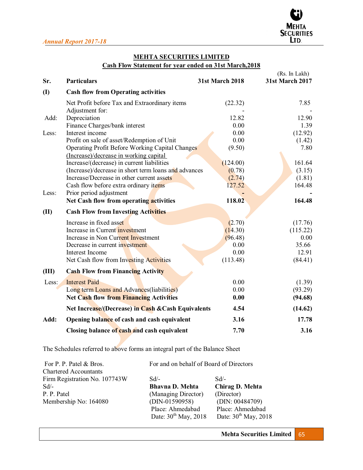

# **MEHTA SECURITIES LIMITED**

**Cash Flow Statement for year ended on 31st March,2018** 

|              |                                                      |                        | (Rs. In Lakh)          |
|--------------|------------------------------------------------------|------------------------|------------------------|
| Sr.          | <b>Particulars</b>                                   | <b>31st March 2018</b> | <b>31st March 2017</b> |
| $\mathbf{I}$ | <b>Cash flow from Operating activities</b>           |                        |                        |
|              | Net Profit before Tax and Extraordinary items        | (22.32)                | 7.85                   |
|              | Adjustment for:                                      |                        |                        |
| Add:         | Depreciation                                         | 12.82                  | 12.90                  |
|              | Finance Charges/bank interest                        | 0.00                   | 1.39                   |
| Less:        | Interest income                                      | 0.00                   | (12.92)                |
|              | Profit on sale of asset/Redemption of Unit           | 0.00                   | (1.42)                 |
|              | Operating Profit Before Working Capital Changes      | (9.50)                 | 7.80                   |
|              | (Increase)/decrease in working capital               |                        |                        |
|              | Increase/(decrease) in current liabilities           | (124.00)               | 161.64                 |
|              | (Increase)/decrease in short term loans and advances | (0.78)                 | (3.15)                 |
|              | Increase/Decrease in other current assets            | (2.74)                 | (1.81)                 |
|              | Cash flow before extra ordinary items                | 127.52                 | 164.48                 |
| Less:        | Prior period adjustment                              |                        |                        |
|              | Net Cash flow from operating activities              | 118.02                 | 164.48                 |
| (II)         | <b>Cash Flow from Investing Activities</b>           |                        |                        |
|              | Increase in fixed asset                              | (2.70)                 | (17.76)                |
|              | Increase in Current investment                       | (14.30)                | (115.22)               |
|              | Increase in Non Current Investment                   | (96.48)                | 0.00                   |
|              | Decrease in current investment                       | 0.00                   | 35.66                  |
|              | Interest Income                                      | 0.00                   | 12.91                  |
|              | Net Cash flow from Investing Activities              | (113.48)               | (84.41)                |
| (III)        | <b>Cash Flow from Financing Activity</b>             |                        |                        |
| Less:        | <b>Interest Paid</b>                                 | 0.00                   | (1.39)                 |
|              | Long term Loans and Advances (liabilities)           | 0.00                   | (93.29)                |
|              | Net Cash flow from Financing Activities              | 0.00                   | (94.68)                |
|              | Net Increase/(Decrease) in Cash & Cash Equivalents   | 4.54                   | (14.62)                |
| Add:         | Opening balance of cash and cash equivalent          | 3.16                   | 17.78                  |
|              | Closing balance of cash and cash equivalent          | 7.70                   | 3.16                   |

The Schedules referred to above forms an integral part of the Balance Sheet

| For P. P. Patel & Bros.       | For and on behalf of Board of Directors |                           |  |
|-------------------------------|-----------------------------------------|---------------------------|--|
| <b>Chartered Accountants</b>  |                                         |                           |  |
| Firm Registration No. 107743W | $Sd/-$                                  | $Sd/-$                    |  |
| Sd                            | <b>Bhavna D. Mehta</b>                  | Chirag D. Mehta           |  |
| P. P. Patel                   | (Managing Director)                     | (Director)                |  |
| Membership No: 164080         | $(DIN-01590958)$                        | (DIN: 00484709)           |  |
|                               | Place: Ahmedabad                        | Place: Ahmedabad          |  |
|                               | Date: $30^{th}$ May, 2018               | Date: $30^{th}$ May, 2018 |  |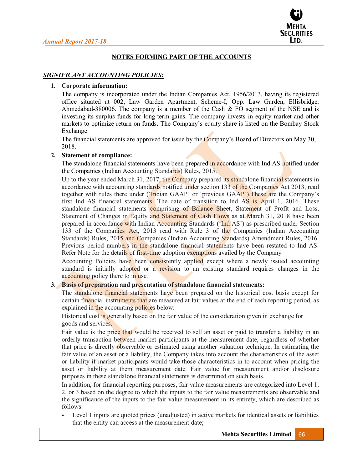

# **NOTES FORMING PART OF THE ACCOUNTS**

### *SIGNIFICANT ACCOUNTING POLICIES:*

#### **1. Corporate information:**

The company is incorporated under the Indian Companies Act, 1956/2013, having its registered office situated at 002, Law Garden Apartment, Scheme-I, Opp. Law Garden, Ellisbridge, Ahmedabad-380006. The company is a member of the Cash  $\&$  FO segment of the NSE and is investing its surplus funds for long term gains. The company invests in equity market and other markets to optimize return on funds. The Company's equity share is listed on the Bombay Stock Exchange

The financial statements are approved for issue by the Company's Board of Directors on May 30, 2018.

#### **2. Statement of compliance:**

The standalone financial statements have been prepared in accordance with Ind AS notified under the Companies (Indian Accounting Standards) Rules, 2015.

Up to the year ended March 31, 2017, the Company prepared its standalone financial statements in accordance with accounting standards notified under section 133 of the Companies Act 2013, read together with rules there under ('Indian GAAP' or 'previous GAAP'). These are the Company's first Ind AS financial statements. The date of transition to Ind AS is April 1, 2016. These standalone financial statements comprising of Balance Sheet, Statement of Profit and Loss, Statement of Changes in Equity and Statement of Cash Flows as at March 31, 2018 have been prepared in accordance with Indian Accounting Standards ('Ind AS') as prescribed under Section 133 of the Companies Act, 2013 read with Rule 3 of the Companies (Indian Accounting Standards) Rules, 2015 and Companies (Indian Accounting Standards) Amendment Rules, 2016. Previous period numbers in the standalone financial statements have been restated to Ind AS. Refer Note for the details of first-time adoption exemptions availed by the Company.

Accounting Policies have been consistently applied except where a newly issued accounting standard is initially adopted or a revision to an existing standard requires changes in the accounting policy there to in use.

# **3. Basis of preparation and presentation of standalone financial statements:**

The standalone financial statements have been prepared on the historical cost basis except for certain financial instruments that are measured at fair values at the end of each reporting period, as explained in the accounting policies below:

Historical cost is generally based on the fair value of the consideration given in exchange for goods and services.

Fair value is the price that would be received to sell an asset or paid to transfer a liability in an orderly transaction between market participants at the measurement date, regardless of whether that price is directly observable or estimated using another valuation technique. In estimating the fair value of an asset or a liability, the Company takes into account the characteristics of the asset or liability if market participants would take those characteristics in to account when pricing the asset or liability at them measurement date. Fair value for measurement and/or disclosure purposes in these standalone financial statements is determined on such basis.

In addition, for financial reporting purposes, fair value measurements are categorized into Level 1, 2, or 3 based on the degree to which the inputs to the fair value measurements are observable and the significance of the inputs to the fair value measurement in its entirety, which are described as follows:

Level 1 inputs are quoted prices (unadjusted) in active markets for identical assets or liabilities that the entity can access at the measurement date;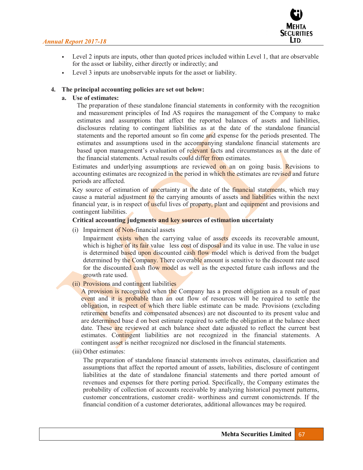

- Level 2 inputs are inputs, other than quoted prices included within Level 1, that are observable for the asset or liability, either directly or indirectly; and
- Level 3 inputs are unobservable inputs for the asset or liability.

### **4. The principal accounting policies are set out below:**

# **a. Use of estimates:**

The preparation of these standalone financial statements in conformity with the recognition and measurement principles of Ind AS requires the management of the Company to make estimates and assumptions that affect the reported balances of assets and liabilities, disclosures relating to contingent liabilities as at the date of the standalone financial statements and the reported amount so fin come and expense for the periods presented. The estimates and assumptions used in the accompanying standalone financial statements are based upon management's evaluation of relevant facts and circumstances as at the date of the financial statements. Actual results could differ from estimates.

Estimates and underlying assumptions are reviewed on an on going basis. Revisions to accounting estimates are recognized in the period in which the estimates are revised and future periods are affected.

Key source of estimation of uncertainty at the date of the financial statements, which may cause a material adjustment to the carrying amounts of assets and liabilities within the next financial year, is in respect of useful lives of property, plant and equipment and provisions and contingent liabilities.

# **Critical accounting judgments and key sources of estimation uncertainty**

(i) Impairment of Non-financial assets

Impairment exists when the carrying value of assets exceeds its recoverable amount, which is higher of its fair value less cost of disposal and its value in use. The value in use is determined based upon discounted cash flow model which is derived from the budget determined by the Company. There coverable amount is sensitive to the discount rate used for the discounted cash flow model as well as the expected future cash inflows and the growth rate used.

(ii) Provisions and contingent liabilities

A provision is recognized when the Company has a present obligation as a result of past event and it is probable than an out flow of resources will be required to settle the obligation, in respect of which there liable estimate can be made. Provisions (excluding retirement benefits and compensated absences) are not discounted to its present value and are determined base d on best estimate required to settle the obligation at the balance sheet date. These are reviewed at each balance sheet date adjusted to reflect the current best estimates. Contingent liabilities are not recognized in the financial statements. A contingent asset is neither recognized nor disclosed in the financial statements.

(iii) Other estimates:

The preparation of standalone financial statements involves estimates, classification and assumptions that affect the reported amount of assets, liabilities, disclosure of contingent liabilities at the date of standalone financial statements and there ported amount of revenues and expenses for there porting period. Specifically, the Company estimates the probability of collection of accounts receivable by analyzing historical payment patterns, customer concentrations, customer credit- worthiness and current conomictrends. If the financial condition of a customer deteriorates, additional allowances may be required.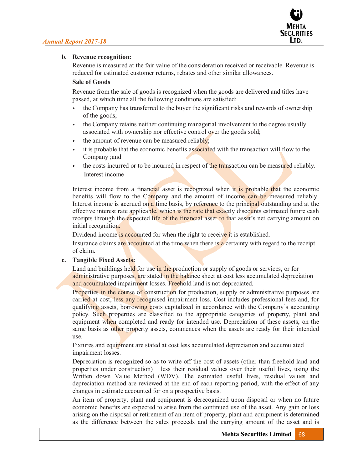

# **b. Revenue recognition:**

Revenue is measured at the fair value of the consideration received or receivable. Revenue is reduced for estimated customer returns, rebates and other similar allowances.

# **Sale of Goods**

Revenue from the sale of goods is recognized when the goods are delivered and titles have passed, at which time all the following conditions are satisfied:

- the Company has transferred to the buyer the significant risks and rewards of ownership of the goods;
- the Company retains neither continuing managerial involvement to the degree usually associated with ownership nor effective control over the goods sold;
- the amount of revenue can be measured reliably;
- it is probable that the economic benefits associated with the transaction will flow to the Company ;and
- the costs incurred or to be incurred in respect of the transaction can be measured reliably. Interest income

Interest income from a financial asset is recognized when it is probable that the economic benefits will flow to the Company and the amount of income can be measured reliably. Interest income is accrued on a time basis, by reference to the principal outstanding and at the effective interest rate applicable, which is the rate that exactly discounts estimated future cash receipts through the expected life of the financial asset to that asset's net carrying amount on initial recognition.

Dividend income is accounted for when the right to receive it is established.

Insurance claims are accounted at the time when there is a certainty with regard to the receipt of claim.

### **c. Tangible Fixed Assets:**

Land and buildings held for use in the production or supply of goods or services, or for administrative purposes, are stated in the balance sheet at cost less accumulated depreciation and accumulated impairment losses. Freehold land is not depreciated.

Properties in the course of construction for production, supply or administrative purposes are carried at cost, less any recognised impairment loss. Cost includes professional fees and, for qualifying assets, borrowing costs capitalized in accordance with the Company's accounting policy. Such properties are classified to the appropriate categories of property, plant and equipment when completed and ready for intended use. Depreciation of these assets, on the same basis as other property assets, commences when the assets are ready for their intended use.

Fixtures and equipment are stated at cost less accumulated depreciation and accumulated impairment losses.

Depreciation is recognized so as to write off the cost of assets (other than freehold land and properties under construction) less their residual values over their useful lives, using the Written down Value Method (WDV). The estimated useful lives, residual values and depreciation method are reviewed at the end of each reporting period, with the effect of any changes in estimate accounted for on a prospective basis.

An item of property, plant and equipment is derecognized upon disposal or when no future economic benefits are expected to arise from the continued use of the asset. Any gain or loss arising on the disposal or retirement of an item of property, plant and equipment is determined as the difference between the sales proceeds and the carrying amount of the asset and is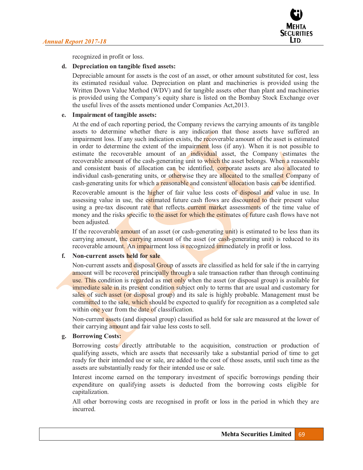

recognized in profit or loss.

# **d. Depreciation on tangible fixed assets:**

Depreciable amount for assets is the cost of an asset, or other amount substituted for cost, less its estimated residual value. Depreciation on plant and machineries is provided using the Written Down Value Method (WDV) and for tangible assets other than plant and machineries is provided using the Company's equity share is listed on the Bombay Stock Exchange over the useful lives of the assets mentioned under Companies Act,2013.

# **e. Impairment of tangible assets:**

At the end of each reporting period, the Company reviews the carrying amounts of its tangible assets to determine whether there is any indication that those assets have suffered an impairment loss. If any such indication exists, the recoverable amount of the asset is estimated in order to determine the extent of the impairment loss (if any). When it is not possible to estimate the recoverable amount of an individual asset, the Company estimates the recoverable amount of the cash-generating unit to which the asset belongs. When a reasonable and consistent basis of allocation can be identified, corporate assets are also allocated to individual cash-generating units, or otherwise they are allocated to the smallest Company of cash-generating units for which a reasonable and consistent allocation basis can be identified.

Recoverable amount is the higher of fair value less costs of disposal and value in use. In assessing value in use, the estimated future cash flows are discounted to their present value using a pre-tax discount rate that reflects current market assessments of the time value of money and the risks specific to the asset for which the estimates of future cash flows have not been adjusted.

If the recoverable amount of an asset (or cash-generating unit) is estimated to be less than its carrying amount, the carrying amount of the asset (or cash-generating unit) is reduced to its recoverable amount. An impairment loss is recognized immediately in profit or loss.

### **f. Non-current assets held for sale**

Non-current assets and disposal Group of assets are classified as held for sale if the in carrying amount will be recovered principally through a sale transaction rather than through continuing use. This condition is regarded as met only when the asset (or disposal group) is available for immediate sale in its present condition subject only to terms that are usual and customary for sales of such asset (or disposal group) and its sale is highly probable. Management must be committed to the sale, which should be expected to qualify for recognition as a completed sale within one year from the date of classification.

Non-current assets (and disposal group) classified as held for sale are measured at the lower of their carrying amount and fair value less costs to sell.

# **g. Borrowing Costs:**

Borrowing costs directly attributable to the acquisition, construction or production of qualifying assets, which are assets that necessarily take a substantial period of time to get ready for their intended use or sale, are added to the cost of those assets, until such time as the assets are substantially ready for their intended use or sale.

Interest income earned on the temporary investment of specific borrowings pending their expenditure on qualifying assets is deducted from the borrowing costs eligible for capitalization.

All other borrowing costs are recognised in profit or loss in the period in which they are incurred.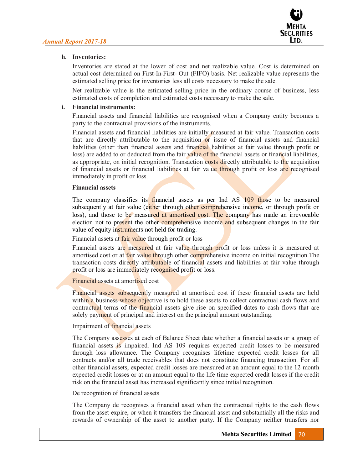

### **h. Inventories:**

Inventories are stated at the lower of cost and net realizable value. Cost is determined on actual cost determined on First-In-First- Out (FIFO) basis. Net realizable value represents the estimated selling price for inventories less all costs necessary to make the sale.

Net realizable value is the estimated selling price in the ordinary course of business, less estimated costs of completion and estimated costs necessary to make the sale.

### **i. Financial instruments:**

Financial assets and financial liabilities are recognised when a Company entity becomes a party to the contractual provisions of the instruments.

Financial assets and financial liabilities are initially measured at fair value. Transaction costs that are directly attributable to the acquisition or issue of financial assets and financial liabilities (other than financial assets and financial liabilities at fair value through profit or loss) are added to or deducted from the fair value of the financial assets or financial liabilities, as appropriate, on initial recognition. Transaction costs directly attributable to the acquisition of financial assets or financial liabilities at fair value through profit or loss are recognised immediately in profit or loss.

### **Financial assets**

The company classifies its financial assets as per Ind AS 109 those to be measured subsequently at fair value (either through other comprehensive income, or through profit or loss), and those to be measured at amortised cost. The company has made an irrevocable election not to present the other comprehensive income and subsequent changes in the fair value of equity instruments not held for trading.

Financial assets at fair value through profit or loss

Financial assets are measured at fair value through profit or loss unless it is measured at amortised cost or at fair value through other comprehensive income on initial recognition.The transaction costs directly attributable of financial assets and liabilities at fair value through profit or loss are immediately recognised profit or loss.

# Financial assets at amortised cost

Financial assets subsequently measured at amortised cost if these financial assets are held within a business whose objective is to hold these assets to collect contractual cash flows and contractual terms of the financial assets give rise on specified dates to cash flows that are solely payment of principal and interest on the principal amount outstanding.

### Impairment of financial assets

The Company assesses at each of Balance Sheet date whether a financial assets or a group of financial assets is impaired. Ind AS 109 requires expected credit losses to be measured through loss allowance. The Company recognises lifetime expected credit losses for all contracts and/or all trade receivables that does not constitute financing transaction. For all other financial assets, expected credit losses are measured at an amount equal to the 12 month expected credit losses or at an amount equal to the life time expected credit losses if the credit risk on the financial asset has increased significantly since initial recognition.

### De recognition of financial assets

The Company de recognises a financial asset when the contractual rights to the cash flows from the asset expire, or when it transfers the financial asset and substantially all the risks and rewards of ownership of the asset to another party. If the Company neither transfers nor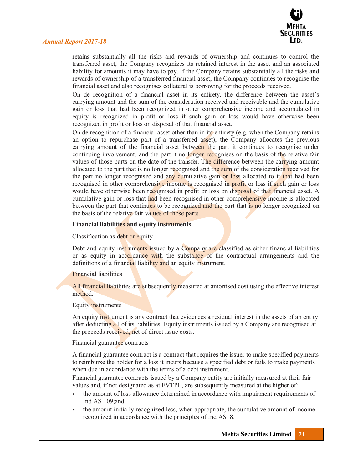

retains substantially all the risks and rewards of ownership and continues to control the transferred asset, the Company recognizes its retained interest in the asset and an associated liability for amounts it may have to pay. If the Company retains substantially all the risks and rewards of ownership of a transferred financial asset, the Company continues to recognise the financial asset and also recognises collateral is borrowing for the proceeds received.

On de recognition of a financial asset in its entirety, the difference between the asset's carrying amount and the sum of the consideration received and receivable and the cumulative gain or loss that had been recognized in other comprehensive income and accumulated in equity is recognized in profit or loss if such gain or loss would have otherwise been recognized in profit or loss on disposal of that financial asset.

On de recognition of a financial asset other than in its entirety (e.g. when the Company retains an option to repurchase part of a transferred asset), the Company allocates the previous carrying amount of the financial asset between the part it continues to recognise under continuing involvement, and the part it no longer recognises on the basis of the relative fair values of those parts on the date of the transfer. The difference between the carrying amount allocated to the part that is no longer recognised and the sum of the consideration received for the part no longer recognised and any cumulative gain or loss allocated to it that had been recognised in other comprehensive income is recognised in profit or loss if such gain or loss would have otherwise been recognised in profit or loss on disposal of that financial asset. A cumulative gain or loss that had been recognised in other comprehensive income is allocated between the part that continues to be recognized and the part that is no longer recognized on the basis of the relative fair values of those parts.

#### **Financial liabilities and equity instruments**

Classification as debt or equity

Debt and equity instruments issued by a Company are classified as either financial liabilities or as equity in accordance with the substance of the contractual arrangements and the definitions of a financial liability and an equity instrument.

#### Financial liabilities

All financial liabilities are subsequently measured at amortised cost using the effective interest method.

#### Equity instruments

An equity instrument is any contract that evidences a residual interest in the assets of an entity after deducting all of its liabilities. Equity instruments issued by a Company are recognised at the proceeds received, net of direct issue costs.

#### Financial guarantee contracts

A financial guarantee contract is a contract that requires the issuer to make specified payments to reimburse the holder for a loss it incurs because a specified debt or fails to make payments when due in accordance with the terms of a debt instrument.

Financial guarantee contracts issued by a Company entity are initially measured at their fair values and, if not designated as at FVTPL, are subsequently measured at the higher of:

- the amount of loss allowance determined in accordance with impairment requirements of Ind AS 109;and
- the amount initially recognized less, when appropriate, the cumulative amount of income recognized in accordance with the principles of Ind AS18.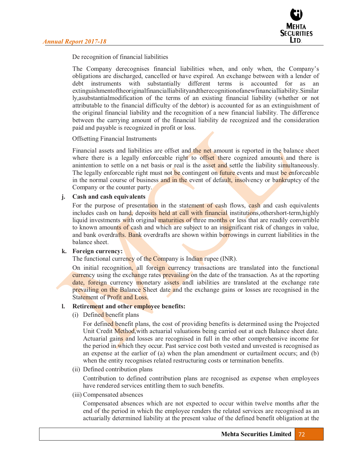

De recognition of financial liabilities

The Company derecognises financial liabilities when, and only when, the Company's obligations are discharged, cancelled or have expired. An exchange between with a lender of debt instruments with substantially different terms is accounted for as an extinguishmentoftheoriginalfinancialliabilityandtherecognitionofanewfinancialliability.Similar ly,asubstantialmodification of the terms of an existing financial liability (whether or not attributable to the financial difficulty of the debtor) is accounted for as an extinguishment of the original financial liability and the recognition of a new financial liability. The difference between the carrying amount of the financial liability de recognized and the consideration paid and payable is recognized in profit or loss.

### Offsetting Financial Instruments

Financial assets and liabilities are offset and the net amount is reported in the balance sheet where there is a legally enforceable right to offset there cognized amounts and there is anintention to settle on a net basis or real is the asset and settle the liability simultaneously. The legally enforceable right must not be contingent on future events and must be enforceable in the normal course of business and in the event of default, insolvency or bankruptcy of the Company or the counter party.

#### **j. Cash and cash equivalents**

For the purpose of presentation in the statement of cash flows, cash and cash equivalents includes cash on hand, deposits held at call with financial institutions,othershort-term,highly liquid investments with original maturities of three months or less that are readily convertible to known amounts of cash and which are subject to an insignificant risk of changes in value, and bank overdrafts. Bank overdrafts are shown within borrowings in current liabilities in the balance sheet.

#### **k. Foreign currency:**

The functional currency of the Company is Indian rupee (INR).

On initial recognition, all foreign currency transactions are translated into the functional currency using the exchange rates prevailing on the date of the transaction. As at the reporting date, foreign currency monetary assets andl iabilities are translated at the exchange rate prevailing on the Balance Sheet date and the exchange gains or losses are recognised in the Statement of Profit and Loss.

#### **l. Retirement and other employee benefits:**

(i) Defined benefit plans

For defined benefit plans, the cost of providing benefits is determined using the Projected Unit Credit Method,with actuarial valuations being carried out at each Balance sheet date. Actuarial gains and losses are recognised in full in the other comprehensive income for the period in which they occur. Past service cost both vested and unvested is recognised as an expense at the earlier of (a) when the plan amendment or curtailment occurs; and (b) when the entity recognises related restructuring costs or termination benefits.

(ii) Defined contribution plans

Contribution to defined contribution plans are recognised as expense when employees have rendered services entitling them to such benefits.

(iii) Compensated absences

Compensated absences which are not expected to occur within twelve months after the end of the period in which the employee renders the related services are recognised as an actuarially determined liability at the present value of the defined benefit obligation at the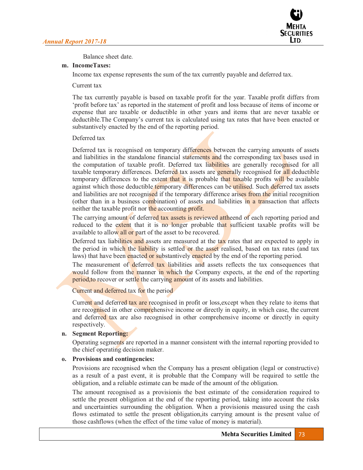

Balance sheet date.

### **m. IncomeTaxes:**

Income tax expense represents the sum of the tax currently payable and deferred tax.

### Current tax

The tax currently payable is based on taxable profit for the year. Taxable profit differs from "profit before tax" as reported in the statement of profit and loss because of items of income or expense that are taxable or deductible in other years and items that are never taxable or deductible. The Company's current tax is calculated using tax rates that have been enacted or substantively enacted by the end of the reporting period.

### Deferred tax

Deferred tax is recognised on temporary differences between the carrying amounts of assets and liabilities in the standalone financial statements and the corresponding tax bases used in the computation of taxable profit. Deferred tax liabilities are generally recognised for all taxable temporary differences. Deferred tax assets are **generally** recognised for all deductible temporary differences to the extent that it is probable that taxable profits will be available against which those deductible temporary differences can be utilised. Such deferred tax assets and liabilities are not recognised if the temporary difference arises from the initial recognition (other than in a business combination) of assets and liabilities in a transaction that affects neither the taxable profit nor the accounting profit.

The carrying amount of deferred tax assets is reviewed attheend of each reporting period and reduced to the extent that it is no longer probable that sufficient taxable profits will be available to allow all or part of the asset to be recovered.

Deferred tax liabilities and assets are measured at the tax rates that are expected to apply in the period in which the liability is settled or the asset realised, based on tax rates (and tax laws) that have been enacted or substantively enacted by the end of the reporting period.

The measurement of deferred tax liabilities and assets reflects the tax consequences that would follow from the manner in which the Company expects, at the end of the reporting period,to recover or settle the carrying amount of its assets and liabilities.

# Current and deferred tax for the period

Current and deferred tax are recognised in profit or loss, except when they relate to items that are recognised in other comprehensive income or directly in equity, in which case, the current and deferred tax are also recognised in other comprehensive income or directly in equity respectively.

# **n. Segment Reporting:**

Operating segments are reported in a manner consistent with the internal reporting provided to the chief operating decision maker.

### **o. Provisions and contingencies:**

Provisions are recognised when the Company has a present obligation (legal or constructive) as a result of a past event, it is probable that the Company will be required to settle the obligation, and a reliable estimate can be made of the amount of the obligation.

The amount recognised as a provisionis the best estimate of the consideration required to settle the present obligation at the end of the reporting period, taking into account the risks and uncertainties surrounding the obligation. When a provisionis measured using the cash flows estimated to settle the present obligation,its carrying amount is the present value of those cashflows (when the effect of the time value of money is material).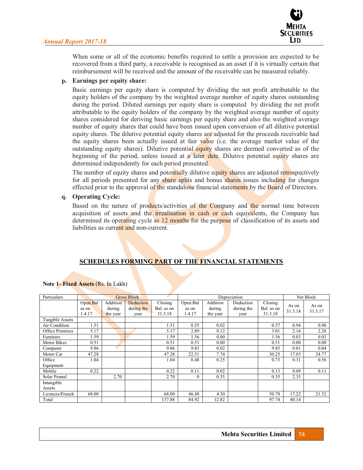

When some or all of the economic benefits required to settle a provision are expected to be recovered from a third party, a receivable is recognised as an asset if it is virtually certain that reimbursement will be received and the amount of the receivable can be measured reliably.

#### **p. Earnings per equity share:**

Basic earnings per equity share is computed by dividing the net profit attributable to the equity holders of the company by the weighted average number of equity shares outstanding during the period. Diluted earnings per equity share is computed by dividing the net profit attributable to the equity holders of the company by the weighted average number of equity shares considered for deriving basic earnings per equity share and also the weighted average number of equity shares that could have been issued upon conversion of all dilutive potential equity shares. The dilutive potential equity shares are adjusted for the proceeds receivable had the equity shares been actually issued at fair value (i.e. the average market value of the outstanding equity shares). Dilutive potential equity shares are deemed converted as of the beginning of the period, unless issued at a later date. Dilutive potential equity shares are determined independently for each period presented.

The number of equity shares and potentially dilutive equity shares are adjusted retrospectively for all periods presented for any share splits and bonus shares issues including for changes effected prior to the approval of the standalone financial statements by the Board of Directors.

#### **q. Operating Cycle:**

Based on the nature of products/activities of the Company and the normal time between acquisition of assets and the irrealisation in cash or cash equivalents, the Company has determined its operating cycle as 12 months for the purpose of classification of its assets and liabilities as current and non-current.

# **SCHEDULES FORMING PART OF THE FINANCIAL STATEMENTS**

| Particulars          |                             |                                | <b>Gross Block</b>              |                                  |                             |                                | Depreciation                    |                                  |                  | Net Block        |
|----------------------|-----------------------------|--------------------------------|---------------------------------|----------------------------------|-----------------------------|--------------------------------|---------------------------------|----------------------------------|------------------|------------------|
|                      | Open.Bal<br>as on<br>1.4.17 | Addition<br>during<br>the year | Deduction<br>during the<br>year | Closing<br>Bal. as on<br>31.3.18 | Open.Bal<br>as on<br>1.4.17 | Addition<br>during<br>the year | Deduction<br>during the<br>year | Closing<br>Bal. as on<br>31.3.18 | As on<br>31.3.18 | As on<br>31.3.17 |
| Tangible Assets      |                             |                                |                                 |                                  |                             |                                |                                 |                                  |                  |                  |
| Air Condition        | 1.51                        |                                |                                 | 1.51                             | 0.55                        | 0.02                           |                                 | 0.57                             | 0.94             | 0.96             |
| Office Premises      | 5.17                        |                                |                                 | 5.17                             | 2.89                        | 0.12                           |                                 | 3.01                             | 2.16             | 2.28             |
| Furniture            | 1.59                        |                                |                                 | 1.59                             | 1.56                        | 0.00                           |                                 | 1.56                             | 0.03             | 0.03             |
| Motor Bikes          | 0.51                        |                                |                                 | 0.51                             | 0.51                        | 0.00                           |                                 | 0.51                             | 0.00             | 0.00             |
| Computer             | 9.86                        |                                |                                 | 9.86                             | 9.83                        | 0.02                           |                                 | 9.85                             | 0.01             | 0.04             |
| Motor Car            | 47.28                       |                                |                                 | 47.28                            | 22.51                       | 7.74                           |                                 | 30.25                            | 17.03            | 24.77            |
| Office<br>Equipment  | 1.04                        |                                |                                 | 1.04                             | 0.48                        | 0.25                           |                                 | 0.73                             | 0.31             | 0.56             |
| Mobile               | 0.22                        |                                |                                 | 0.22                             | 0.11                        | 0.02                           |                                 | 0.13                             | 0.09             | 0.11             |
| Solar Pennal         |                             | 2.70                           |                                 | 2.70                             | $\mathbf{0}$                | 0.35                           |                                 | 0.35                             | 2.35             |                  |
| Intangible<br>Assets |                             |                                |                                 |                                  |                             |                                |                                 |                                  |                  |                  |
| Licences/Franch      | 68.00                       |                                |                                 | 68.00                            | 46.48                       | 4.30                           |                                 | 50.78                            | 17.22            | 21.52            |
| Total                |                             |                                |                                 | 137.88                           | 84.92                       | 12.82                          |                                 | 97.74                            | 40.14            |                  |

#### **Note 1- Fixed Assets** (Rs. In Lakh)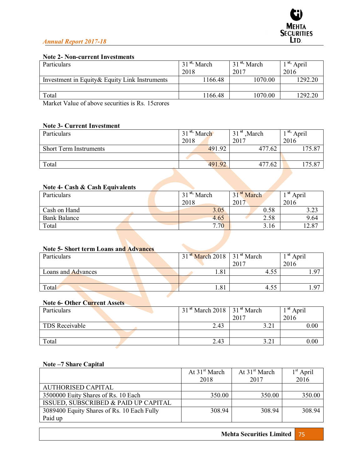# **Note 2- Non-current Investments**

| Particulars                                    | 31 <sup>st,</sup> March | 31 <sup>st,</sup> March | <sup>st,</sup> April |  |
|------------------------------------------------|-------------------------|-------------------------|----------------------|--|
|                                                | 2018                    | 2017                    | 2016                 |  |
| Investment in Equity & Equity Link Instruments | 1166.48                 | 1070.00                 | 1292.20              |  |
|                                                |                         |                         |                      |  |
| Total                                          | 1166.48                 | 1070.00                 | 1292.20              |  |
| .<br>___<br>_ _ _<br>- -                       |                         |                         |                      |  |

Market Value of above securities is Rs. 15crores

### **Note 3- Current Investment**

| Particulars                   | 31 <sup>st,</sup> March | 31 <sup>st</sup> , March | <sup>st,</sup> April |
|-------------------------------|-------------------------|--------------------------|----------------------|
|                               | 2018                    | 2017                     | 2016                 |
| <b>Short Term Instruments</b> | 491.92                  | 477.62                   | 175.87               |
|                               |                         |                          |                      |
| Total                         | 491.92                  | 477.62                   | 175.87               |
|                               |                         |                          |                      |

# **Note 4- Cash & Cash Equivalents**

| Particulars         |  | 31 <sup>st,</sup> March | 31 <sup>st</sup> March | <sup>st</sup> April |            |
|---------------------|--|-------------------------|------------------------|---------------------|------------|
|                     |  |                         | 2018                   | 2017                | 2016       |
| Cash on Hand        |  |                         | 3.05                   | 0.58                | ົາ<br>ر∠.د |
| <b>Bank Balance</b> |  |                         | 4.65                   | 2.58                | 9.64       |
| Total               |  |                         | 7.70                   | 3.16                | 12.87      |

### **Note 5- Short term Loans and Advances**

| Particulars        | $31st$ March 2018 31 <sup>st</sup> March |      | <sup>st</sup> April |
|--------------------|------------------------------------------|------|---------------------|
|                    |                                          | 2017 | 2016                |
| Loans and Advances | 1.81                                     |      | $\Omega$            |
|                    |                                          |      |                     |
| Total              | 1.81                                     |      | 07                  |

# **Note 6- Other Current Assets**

| Particulars    | $31st$ March 2018 31 <sup>st</sup> March |                                  | st<br>April |
|----------------|------------------------------------------|----------------------------------|-------------|
|                |                                          | 2017                             | 2016        |
| TDS Receivable | 2.43                                     | $2 \Omega$<br>$J \cdot \angle 1$ | 0.00        |
|                |                                          |                                  |             |
| Total          | 2.43                                     | 3.21<br>$J \cdot \angle 1$       | 0.00        |

### **Note ±7 Share Capital**

|                                            | At $31st$ March | At $31st$ March | $1st$ April |
|--------------------------------------------|-----------------|-----------------|-------------|
|                                            | 2018            | 2017            | 2016        |
| AUTHORISED CAPITAL                         |                 |                 |             |
| 3500000 Euity Shares of Rs. 10 Each        | 350.00          | 350.00          | 350.00      |
| ISSUED, SUBSCRIBED & PAID UP CAPITAL       |                 |                 |             |
| 3089400 Equity Shares of Rs. 10 Each Fully | 308.94          | 308.94          | 308.94      |
| Paid up                                    |                 |                 |             |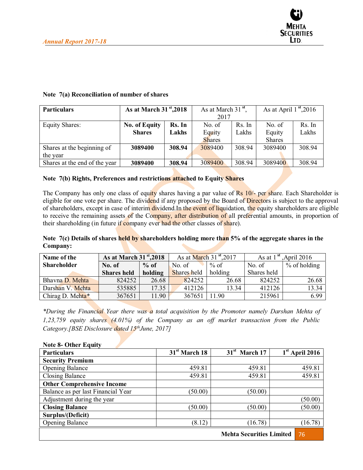

| <b>Particulars</b>            | As at March $31st$ , 2018 |        | As at March $31st$ , |        | As at April $1st$ , 2016 |        |
|-------------------------------|---------------------------|--------|----------------------|--------|--------------------------|--------|
|                               |                           |        | 2017                 |        |                          |        |
| <b>Equity Shares:</b>         | <b>No. of Equity</b>      | Rs. In | No. of               | Rs. In | No. of                   | Rs. In |
|                               | <b>Shares</b>             | Lakhs  | Equity               | Lakhs  | Equity                   | Lakhs  |
|                               |                           |        | <b>Shares</b>        |        | <b>Shares</b>            |        |
| Shares at the beginning of    | 3089400                   | 308.94 | 3089400              | 308.94 | 3089400                  | 308.94 |
| the year                      |                           |        |                      |        |                          |        |
| Shares at the end of the year | 3089400                   | 308.94 | 3089400              | 308.94 | 3089400                  | 308.94 |

### **Note 7(a) Reconciliation of number of shares**

#### **Note 7(b) Rights, Preferences and restrictions attached to Equity Shares**

The Company has only one class of equity shares having a par value of Rs 10/- per share. Each Shareholder is eligible for one vote per share. The dividend if any proposed by the Board of Directors is subject to the approval of shareholders, except in case of interim dividend.In the event of liquidation, the equity shareholders are eligible to receive the remaining assets of the Company, after distribution of all preferential amounts, in proportion of their shareholding (in future if company ever had the other classes of share).

### **Note 7(c) Details of shares held by shareholders holding more than 5% of the aggregate shares in the Company:**

| Name of the        | As at March $31st$ , 2018 |         | As at March $31$ <sup>st</sup> , 2017 |         | As at $1^{st}$ , April 2016 |                |
|--------------------|---------------------------|---------|---------------------------------------|---------|-----------------------------|----------------|
| <b>Shareholder</b> | No. of                    | $%$ of  | No. of                                | $%$ of  | No. of                      | $%$ of holding |
|                    | <b>Shares held</b>        | holding | Shares held                           | holding | Shares held                 |                |
| Bhavna D. Mehta    | 824252                    | 26.68   | 824252                                | 26.68   | 824252                      | 26.68          |
| Darshan V. Mehta   | 535885                    | 17.35   | 412126                                | 13.34   | 412126                      | 13.34          |
| Chirag D. Mehta*   | 367651                    | 11.90   | 367651                                | 11.90   | 215961                      | 6.99           |

*\*During the Financial Year there was a total acquisition by the Promoter namely Darshan Mehta of 1,23,759 equity shares (4.01%) of the Company as an off market transaction from the Public Category.[BSE Disclosure dated 15thJune, 2017]* 

| <b>Note 8- Other Equity</b>           |                 |                 |                  |  |
|---------------------------------------|-----------------|-----------------|------------------|--|
| <b>Particulars</b>                    | $31st$ March 18 | $31st$ March 17 | $1st$ April 2016 |  |
| <b>Security Premium</b>               |                 |                 |                  |  |
| <b>Opening Balance</b>                | 459.81          | 459.81          | 459.81           |  |
| <b>Closing Balance</b>                | 459.81          | 459.81          | 459.81           |  |
| <b>Other Comprehensive Income</b>     |                 |                 |                  |  |
| Balance as per last Financial Year    | (50.00)         | (50.00)         |                  |  |
| Adjustment during the year            |                 |                 | (50.00)          |  |
| <b>Closing Balance</b>                | (50.00)         | (50.00)         | (50.00)          |  |
| Surplus/(Deficit)                     |                 |                 |                  |  |
| <b>Opening Balance</b>                | (8.12)          | (16.78)         | (16.78)          |  |
| <b>Mehta Securities Limited</b><br>76 |                 |                 |                  |  |

#### **Note 8- Other Equity**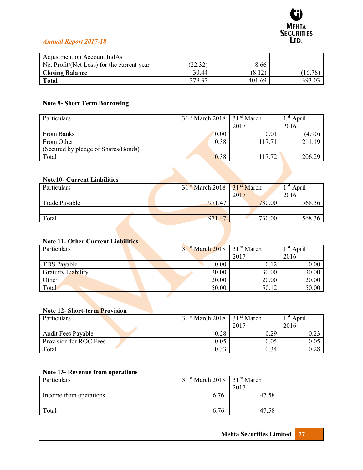

| Adjustment on Account IndAs                |         |        |         |
|--------------------------------------------|---------|--------|---------|
| Net Profit/(Net Loss) for the current year | (22.32) | 8.66   |         |
| <b>Closing Balance</b>                     | 30.44   | (8.12) | (16.78) |
| <b>Total</b>                               | 379.37  | 401.69 | 393.03  |

# **Note 9- Short Term Borrowing**

| Particulars                         | $31st$ March 2018 |      | 31 <sup>st</sup> March | <sup>st</sup> April |
|-------------------------------------|-------------------|------|------------------------|---------------------|
|                                     |                   |      | 2017                   | 2016                |
| From Banks                          |                   | 0.00 | 0.01                   | (4.90)              |
| From Other                          |                   | 0.38 | 117.71                 | 211.19              |
| (Secured by pledge of Shares/Bonds) |                   |      |                        |                     |
| Total                               |                   | 0.38 | 117.72                 | 206.29              |

### **Note10- Current Liabilities**

| Particulars   |  | $31st$ March 2018 | 31 <sup>st</sup> March | <sup>st</sup> April |
|---------------|--|-------------------|------------------------|---------------------|
|               |  |                   | 2017                   | 2016                |
| Trade Payable |  | 971.47            | 730.00                 | 568.36              |
|               |  |                   |                        |                     |
| Total         |  | 971.47            | 730.00                 | 568.36              |

### **Note 11- Other Current Liabilities**

| Particulars        | $31st$ March 2018 | $131$ <sup>st</sup> March | <sup>st</sup> April |  |
|--------------------|-------------------|---------------------------|---------------------|--|
|                    |                   | 2017                      | 2016                |  |
| TDS Payable        | 0.00              | 0.12                      | 0.00                |  |
| Gratuity Liability | 30.00             | 30.00                     | 30.00               |  |
| Other              | 20.00             | 20.00                     | 20.00               |  |
| Total              | 50.00             | 50.12                     | 50.00               |  |

### **Note 12- Short-term Provision**

| Particulars               | $31st$ March 2018 | 31 <sup>st</sup> March | <sup>st</sup> April |
|---------------------------|-------------------|------------------------|---------------------|
|                           |                   | 2017                   | 2016                |
| <b>Audit Fees Payable</b> | 0.28              | 0.29                   |                     |
| Provision for ROC Fees    | 0.05              | $\rm 0.05$             | 0.05                |
| Total                     | 0.33              | 0.34                   | 0.28                |

### **Note 13- Revenue from operations**

| Particulars            | $31st$ March 2018   31 <sup>st</sup> March |      |
|------------------------|--------------------------------------------|------|
|                        |                                            | 2017 |
| Income from operations | 6.76                                       |      |
|                        |                                            |      |
| `otal                  | 6.76                                       |      |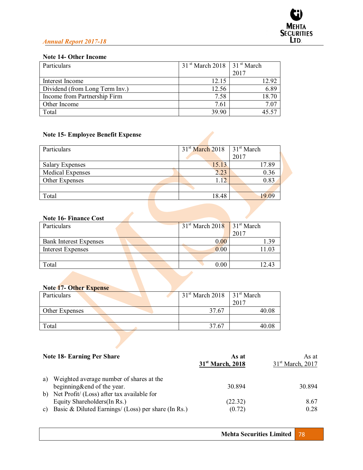# **Note 14- Other Income**

| Particulars                    | $31st$ March 2018   31 <sup>st</sup> March |       |
|--------------------------------|--------------------------------------------|-------|
|                                |                                            | 2017  |
| Interest Income                | 12.15                                      | 12.92 |
| Dividend (from Long Term Inv.) | 12.56                                      | 6.89  |
| Income from Partnership Firm   | 7.58                                       | 18.70 |
| Other Income                   | 7.61                                       | 7.07  |
| Total                          | 39.90                                      | 45.57 |

# **Note 15- Employee Benefit Expense**

| Particulars            | $31st$ March 2018 | 31 <sup>st</sup> March |
|------------------------|-------------------|------------------------|
|                        |                   | 2017                   |
| <b>Salary Expenses</b> | 15.13             | 17.89                  |
| Medical Expenses       | 2.23              | 0.36                   |
| Other Expenses         | 1.12.             | 0.83                   |
|                        |                   |                        |
| Total                  | 18.48             | 19 09                  |

### **Note 16- Finance Cost**

| Particulars                   | $31st$ March 2018 31 <sup>st</sup> March |       |
|-------------------------------|------------------------------------------|-------|
|                               |                                          | 2017  |
| <b>Bank Interest Expenses</b> | 0.00                                     | .39   |
| <b>Interest Expenses</b>      | 0.00                                     | 11.03 |
|                               |                                          |       |
| Total                         | 0.00                                     | 12.43 |

# **Note 17- Other Expense**

| Particulars    | $31st$ March 2018   31 <sup>st</sup> March |       |
|----------------|--------------------------------------------|-------|
|                |                                            | 2017  |
| Other Expenses | 37.67                                      | 40.08 |
|                |                                            |       |
| Total          | 37.67                                      |       |

|                | <b>Note 18- Earning Per Share</b>                                                                                                    | As at<br>$31st$ March, 2018 | As at<br>31 <sup>st</sup> March, 2017 |
|----------------|--------------------------------------------------------------------------------------------------------------------------------------|-----------------------------|---------------------------------------|
| a)             | Weighted average number of shares at the<br>beginning&end of the year.                                                               | 30.894                      | 30.894                                |
| $\mathbf{c}$ ) | b) Net Profit/ (Loss) after tax available for<br>Equity Shareholders (In Rs.)<br>Basic & Diluted Earnings/ (Loss) per share (In Rs.) | (22.32)<br>(0.72)           | 8.67<br>0.28                          |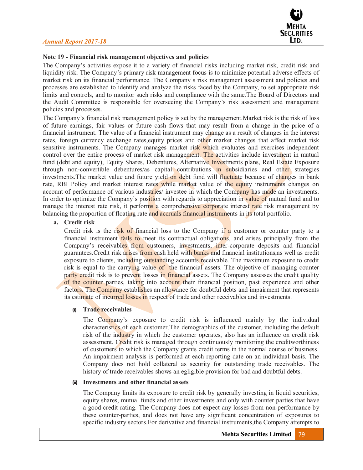

### **Note 19 - Financial risk management objectives and policies**

The Company's activities expose it to a variety of financial risks including market risk, credit risk and liquidity risk. The Company's primary risk management focus is to minimize potential adverse effects of market risk on its financial performance. The Company's risk management assessment and policies and processes are established to identify and analyze the risks faced by the Company, to set appropriate risk limits and controls, and to monitor such risks and compliance with the same.The Board of Directors and the Audit Committee is responsible for overseeing the Company's risk assessment and management policies and processes.

The Company's financial risk management policy is set by the management.Market risk is the risk of loss of future earnings, fair values or future cash flows that may result from a change in the price of a financial instrument. The value of a financial instrument may change as a result of changes in the interest rates, foreign currency exchange rates, equity prices and other market changes that affect market risk sensitive instruments. The Company manages market risk which evaluates and exercises independent control over the entire process of market risk management. The activities include investment in mutual fund (debt and equity), Equity Shares, Debentures, Alternative Investments plans, Real Estate Exposure through non-convertible debentures/as capital contributions in subsidiaries and other strategies investments. The market value and future yield on debt fund will fluctuate because of changes in bank rate, RBI Policy and market interest rates while market value of the equity instruments changes on account of performance of various industries/ investee in which the Company has made an investments. In order to optimize the Company's position with regards to appreciation in value of mutual fund and to manage the interest rate risk, it performs a comprehensive corporate interest rate risk management by balancing the proportion of floating rate and accruals financial instruments in its total portfolio.

#### **a. Credit risk**

Credit risk is the risk of financial loss to the Company if a customer or counter party to a financial instrument fails to meet its contractual obligations, and arises principally from the Company's receivables from customers, investments, inter-corporate deposits and financial guarantees.Credit risk arises from cash held with banks and financial institutions,as well as credit exposure to clients, including outstanding accounts receivable. The maximum exposure to credit risk is equal to the carrying value of the financial assets. The objective of managing counter party credit risk is to prevent losses in financial assets. The Company assesses the credit quality of the counter parties, taking into account their financial position, past experience and other factors. The Company establishes an allowance for doubtful debts and impairment that represents its estimate of incurred losses in respect of trade and other receivables and investments.

#### **(i) Trade receivables**

The Company's exposure to credit risk is influenced mainly by the individual characteristics of each customer.The demographics of the customer, including the default risk of the industry in which the customer operates, also has an influence on credit risk assessment. Credit risk is managed through continuously monitoring the creditworthiness of customers to which the Company grants credit terms in the normal course of business. An impairment analysis is performed at each reporting date on an individual basis. The Company does not hold collateral as security for outstanding trade receivables. The history of trade receivables shows an egligible provision for bad and doubtful debts.

#### **(ii) Investments and other financial assets**

The Company limits its exposure to credit risk by generally investing in liquid securities, equity shares, mutual funds and other investments and only with counter parties that have a good credit rating. The Company does not expect any losses from non-performance by these counter-parties, and does not have any significant concentration of exposures to specific industry sectors.For derivative and financial instruments,the Company attempts to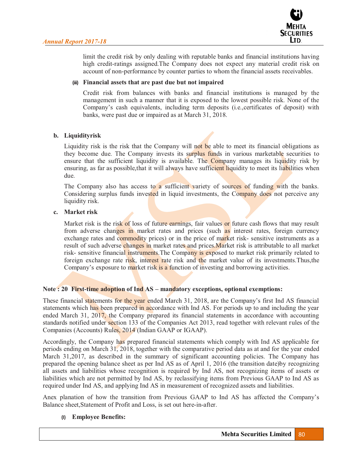

limit the credit risk by only dealing with reputable banks and financial institutions having high credit-ratings assigned.The Company does not expect any material credit risk on account of non-performance by counter parties to whom the financial assets receivables.

### **(iii) Financial assets that are past due but not impaired**

Credit risk from balances with banks and financial institutions is managed by the management in such a manner that it is exposed to the lowest possible risk. None of the Company's cash equivalents, including term deposits (i.e.,certificates of deposit) with banks, were past due or impaired as at March 31, 2018.

### **b. Liquidityrisk**

Liquidity risk is the risk that the Company will not be able to meet its financial obligations as they become due. The Company invests its surplus funds in various marketable securities to ensure that the sufficient liquidity is available. The Company manages its liquidity risk by ensuring, as far as possible, that it will always have sufficient liquidity to meet its liabilities when due.

The Company also has access to a sufficient variety of sources of funding with the banks. Considering surplus funds invested in liquid investments, the Company does not perceive any liquidity risk.

### **c. Market risk**

Market risk is the risk of loss of future earnings, fair values or future cash flows that may result from adverse changes in market rates and prices (such as interest rates, foreign currency exchange rates and commodity prices) or in the price of market risk- sensitive instruments as a result of such adverse changes in market rates and prices. Market risk is attributable to all market risk- sensitive financial instruments. The Company is exposed to market risk primarily related to foreign exchange rate risk, interest rate risk and the market value of its investments. Thus, the Company's exposure to market risk is a function of investing and borrowing activities.

# Note : 20 First-time adoption of Ind AS – mandatory exceptions, optional exemptions:

These financial statements for the year ended March 31, 2018, are the Company's first Ind AS financial statements which has been prepared in accordance with Ind AS. For periods up to and including the year ended March 31, 2017, the Company prepared its financial statements in accordance with accounting standards notified under section 133 of the Companies Act 2013, read together with relevant rules of the Companies (Accounts) Rules, 2014 (Indian GAAP or IGAAP).

Accordingly, the Company has prepared financial statements which comply with Ind AS applicable for periods ending on March 31, 2018, together with the comparative period data as at and for the year ended March 31,2017, as described in the summary of significant accounting policies. The Company has prepared the opening balance sheet as per Ind AS as of April 1, 2016 (the transition date)by recognizing all assets and liabilities whose recognition is required by Ind AS, not recognizing items of assets or liabilities which are not permitted by Ind AS, by reclassifying items from Previous GAAP to Ind AS as required under Ind AS, and applying Ind AS in measurement of recognized assets and liabilities.

Anex planation of how the transition from Previous GAAP to Ind AS has affected the Company's Balance sheet,Statement of Profit and Loss, is set out here-in-after.

#### **(I) Employee Benefits:**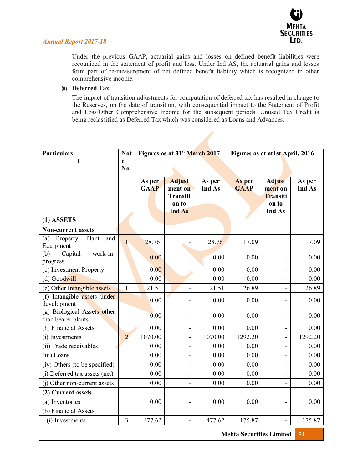

Under the previous GAAP, actuarial gains and losses on defined benefit liabilities were recognized in the statement of profit and loss. Under Ind AS, the actuarial gains and losses form part of re-measurement of net defined benefit liability which is recognized in other comprehensive income.

### **(II) Deferred Tax:**

The impact of transition adjustments for computation of deferred tax has resulted in change to the Reserves, on the date of transition, with consequential impact to the Statement of Profit and Loss/Other Comprehensive Income for the subsequent periods. Unused Tax Credit is being reclassified as Deferred Tax which was considered as Loans and Advances.

| <b>Particulars</b>                                | <b>Not</b>     |                       | Figures as at 31 <sup>st</sup> March 2017 |                  | Figures as at at1st April, 2016 |                          |                  |
|---------------------------------------------------|----------------|-----------------------|-------------------------------------------|------------------|---------------------------------|--------------------------|------------------|
| 1                                                 | e              |                       |                                           |                  |                                 |                          |                  |
|                                                   | No.            |                       |                                           |                  |                                 |                          |                  |
|                                                   |                | As per<br><b>GAAP</b> | <b>Adjust</b><br>ment on                  | As per<br>Ind As | As per<br><b>GAAP</b>           | <b>Adjust</b><br>ment on | As per<br>Ind As |
|                                                   |                |                       | <b>Transiti</b>                           |                  |                                 | <b>Transiti</b>          |                  |
|                                                   |                |                       | on to                                     |                  |                                 | on to                    |                  |
|                                                   |                |                       | <b>Ind As</b>                             |                  |                                 | Ind As                   |                  |
| $(1)$ ASSETS                                      |                |                       |                                           |                  |                                 |                          |                  |
| <b>Non-current assets</b>                         |                |                       |                                           |                  |                                 |                          |                  |
| Property,<br>Plant<br>(a)<br>and<br>Equipment     | $\mathbf{L}$   | 28.76                 |                                           | 28.76            | 17.09                           |                          | 17.09            |
| work-in-<br>Capital<br>(b)<br>progress            |                | 0.00                  |                                           | 0.00             | 0.00                            |                          | 0.00             |
| (c) Investment Property                           |                | 0.00                  |                                           | 0.00             | 0.00                            |                          | 0.00             |
| (d) Goodwill                                      |                | 0.00                  | Ξ                                         | 0.00             | 0.00                            |                          | 0.00             |
| (e) Other Intangible assets                       | 1              | 21.51                 | $\overline{\phantom{0}}$                  | 21.51            | 26.89                           |                          | 26.89            |
| (f) Intangible assets under<br>development        |                | 0.00                  |                                           | 0.00             | 0.00                            |                          | 0.00             |
| (g) Biological Assets other<br>than bearer plants |                | 0.00                  | $\overline{\phantom{a}}$                  | 0.00             | 0.00                            |                          | 0.00             |
| (h) Financial Assets                              |                | 0.00                  |                                           | 0.00             | 0.00                            |                          | 0.00             |
| (i) Investments                                   | $\overline{2}$ | 1070.00               | $\overline{a}$                            | 1070.00          | 1292.20                         |                          | 1292.20          |
| (ii) Trade receivables                            |                | 0.00                  | L,                                        | 0.00             | 0.00                            |                          | 0.00             |
| (iii) Loans                                       |                | 0.00                  | $\overline{\phantom{0}}$                  | 0.00             | 0.00                            |                          | 0.00             |
| (iv) Others (to be specified)                     |                | 0.00                  | $\overline{a}$                            | 0.00             | 0.00                            |                          | 0.00             |
| (i) Deferred tax assets (net)                     |                | 0.00                  |                                           | 0.00             | 0.00                            |                          | 0.00             |
| (j) Other non-current assets                      |                | 0.00                  |                                           | 0.00             | 0.00                            |                          | 0.00             |
| (2) Current assets                                |                |                       |                                           |                  |                                 |                          |                  |
| (a) Inventories                                   |                | 0.00                  | $\overline{a}$                            | 0.00             | 0.00                            |                          | 0.00             |
| (b) Financial Assets                              |                |                       |                                           |                  |                                 |                          |                  |
| (i) Investments                                   | 3              | 477.62                |                                           | 477.62           | 175.87                          |                          | 175.87           |
| <b>Mehta Securities Limited</b><br>81             |                |                       |                                           |                  |                                 |                          |                  |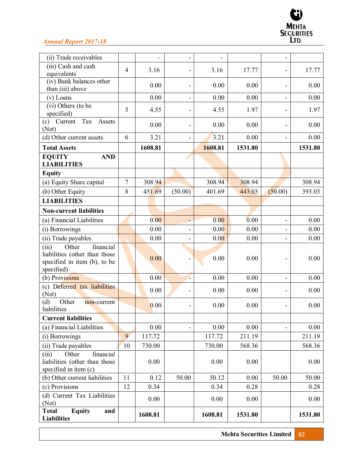

| (ii) Trade receivables                                                                                     |                |         |                          |         |         |                          |         |
|------------------------------------------------------------------------------------------------------------|----------------|---------|--------------------------|---------|---------|--------------------------|---------|
| (iii) Cash and cash                                                                                        | $\overline{4}$ | 3.16    |                          | 3.16    | 17.77   |                          | 17.77   |
| equivalents<br>(iv) Bank balances other                                                                    |                |         |                          |         |         |                          |         |
| than (iii) above                                                                                           |                | 0.00    |                          | 0.00    | 0.00    |                          | 0.00    |
| $(v)$ Loans                                                                                                |                | 0.00    |                          | 0.00    | 0.00    | $\overline{\phantom{0}}$ | 0.00    |
| (vi) Others (to be                                                                                         | 5              | 4.55    |                          | 4.55    | 1.97    |                          | 1.97    |
| specified)                                                                                                 |                |         | $\overline{\phantom{a}}$ |         |         | $\overline{\phantom{0}}$ |         |
| Tax<br>$(c)$ Current<br>Assets<br>(Net)                                                                    |                | 0.00    | $\overline{\phantom{0}}$ | 0.00    | 0.00    |                          | 0.00    |
| (d) Other current assets                                                                                   | 6              | 3.21    | $\overline{\phantom{a}}$ | 3.21    | 0.00    | -                        | 0.00    |
| <b>Total Assets</b>                                                                                        |                | 1608.81 |                          | 1608.81 | 1531.80 |                          | 1531.80 |
| EQUITY<br><b>AND</b>                                                                                       |                |         |                          |         |         |                          |         |
| <b>LIABILITIES</b>                                                                                         |                |         |                          |         |         |                          |         |
| <b>Equity</b>                                                                                              |                |         |                          |         |         |                          |         |
| (a) Equity Share capital                                                                                   | $\overline{7}$ | 308.94  |                          | 308.94  | 308.94  |                          | 308.94  |
| (b) Other Equity                                                                                           | 8              | 451.69  | (50.00)                  | 401.69  | 443.03  | (50.00)                  | 393.03  |
| <b>LIABILITIES</b>                                                                                         |                |         |                          |         |         |                          |         |
| <b>Non-current liabilities</b>                                                                             |                |         |                          |         |         |                          |         |
| (a) Financial Liabilities                                                                                  |                | 0.00    |                          | 0.00    | 0.00    | $\overline{\phantom{0}}$ | 0.00    |
| (i) Borrowings                                                                                             |                | 0.00    |                          | 0.00    | 0.00    |                          | 0.00    |
| (ii) Trade payables                                                                                        |                | 0.00    |                          | 0.00    | 0.00    |                          | 0.00    |
| financial<br>Other<br>(iii)<br>liabilities (other than those<br>specified in item (b), to be<br>specified) |                | 0.00    |                          | 0.00    | 0.00    |                          | 0.00    |
| (b) Provisions                                                                                             |                | 0.00    | L.                       | 0.00    | 0.00    |                          | 0.00    |
| (c) Deferred tax liabilities<br>(Net)                                                                      |                | 0.00    |                          | 0.00    | 0.00    |                          | 0.00    |
| (d)<br>Other<br>non-current<br>liabilities                                                                 |                | 0.00    | $\overline{\phantom{a}}$ | 0.00    | 0.00    |                          | 0.00    |
| <b>Current liabilities</b>                                                                                 |                |         |                          |         |         |                          |         |
| (a) Financial Liabilities                                                                                  |                | 0.00    | $\blacksquare$           | 0.00    | 0.00    |                          | 0.00    |
| (i) Borrowings                                                                                             | 9              | 117.72  |                          | 117.72  | 211.19  |                          | 211.19  |
| (ii) Trade payables                                                                                        | 10             | 730.00  |                          | 730.00  | 568.36  |                          | 568.36  |
| Other<br>financial<br>(iii)<br>liabilities (other than those<br>specified in item (c)                      |                | 0.00    |                          | 0.00    | 0.00    |                          | 0.00    |
| (b) Other current liabilities                                                                              | 11             | 0.12    | 50.00                    | 50.12   | 0.00    | 50.00                    | 50.00   |
| (c) Provisions                                                                                             | 12             | 0.34    |                          | 0.34    | 0.28    |                          | 0.28    |
| (d) Current Tax Liabilities<br>(Net)                                                                       |                | 0.00    |                          | 0.00    | 0.00    |                          | 0.00    |
| <b>Equity</b><br><b>Total</b><br>and<br><b>Liabilities</b>                                                 |                | 1608.81 |                          | 1608.81 | 1531.80 |                          | 1531.80 |

**Mehta Securities Limited** 82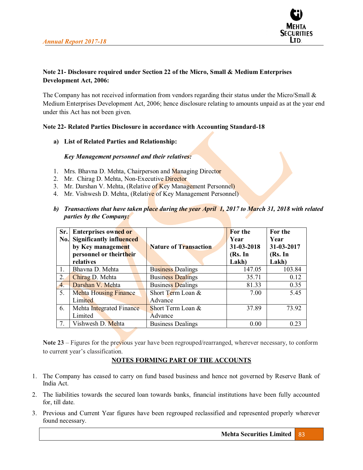

# **Note 21- Disclosure required under Section 22 of the Micro, Small & Medium Enterprises Development Act, 2006:**

The Company has not received information from vendors regarding their status under the Micro/Small & Medium Enterprises Development Act, 2006; hence disclosure relating to amounts unpaid as at the year end under this Act has not been given.

### **Note 22- Related Parties Disclosure in accordance with Accounting Standard-18**

**a) List of Related Parties and Relationship:** 

*Key Management personnel and their relatives:* 

- 1. Mrs. Bhavna D. Mehta, Chairperson and Managing Director
- 2. Mr. Chirag D. Mehta, Non-Executive Director
- 3. Mr. Darshan V. Mehta, (Relative of Key Management Personnel)
- 4. Mr. Vishwesh D. Mehta, (Relative of Key Management Personnel)
- *b) Transactions that have taken place during the year April 1, 2017 to March 31, 2018 with related parties by the Company:*

| Sr.              | <b>Enterprises owned or</b>     |                              | <b>For the</b> | For the    |
|------------------|---------------------------------|------------------------------|----------------|------------|
| No.              | <b>Significantly influenced</b> |                              | Year           | Year       |
|                  | by Key management               | <b>Nature of Transaction</b> | 31-03-2018     | 31-03-2017 |
|                  | personnel or theirtheir         |                              | (Rs. In        | (Rs. In    |
|                  | relatives                       |                              | Lakh)          | Lakh)      |
| 1.               | Bhavna D. Mehta                 | <b>Business Dealings</b>     | 147.05         | 103.84     |
| 2.               | Chirag D. Mehta                 | <b>Business Dealings</b>     | 35.71          | 0.12       |
| $\overline{4}$ . | Darshan V. Mehta                | <b>Business Dealings</b>     | 81.33          | 0.35       |
| 5.               | <b>Mehta Housing Finance</b>    | Short Term Loan &            | 7.00           | 5.45       |
|                  | Limited                         | Advance                      |                |            |
| 6.               | Mehta Integrated Finance        | Short Term Loan &            | 37.89          | 73.92      |
|                  | Limited                         | Advance                      |                |            |
| $7_{\cdot}$      | Vishwesh D. Mehta               | <b>Business Dealings</b>     | 0.00           | 0.23       |

Note 23 – Figures for the previous year have been regrouped/rearranged, wherever necessary, to conform to current year's classification.

# **NOTES FORMING PART OF THE ACCOUNTS**

- 1. The Company has ceased to carry on fund based business and hence not governed by Reserve Bank of India Act.
- 2. The liabilities towards the secured loan towards banks, financial institutions have been fully accounted for, till date.
- 3. Previous and Current Year figures have been regrouped reclassified and represented properly wherever found necessary.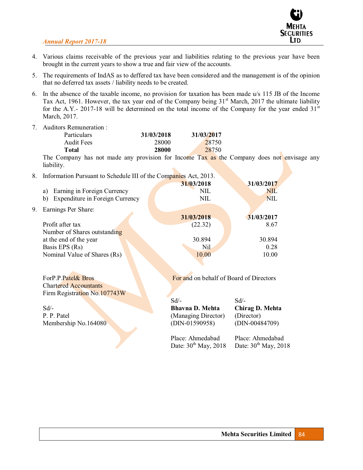

- 4. Various claims receivable of the previous year and liabilities relating to the previous year have been brought in the current years to show a true and fair view of the accounts.
- 5. The requirements of IndAS as to deffered tax have been considered and the management is of the opinion that no deferred tax assets / liability needs to be created.
- 6. In the absence of the taxable income, no provision for taxation has been made u/s 115 JB of the Income Tax Act, 1961. However, the tax year end of the Company being 31<sup>st</sup> March, 2017 the ultimate liability for the A.Y.- 2017-18 will be determined on the total income of the Company for the year ended  $31<sup>st</sup>$ March, 2017.
- 7. Auditors Remuneration :

|    | <b>Particulars</b> | 31/03/2018                      | 31/03/2017               |
|----|--------------------|---------------------------------|--------------------------|
|    | Audit Fees         | 28000                           | 28750                    |
|    | Total              | 28000                           | 28750                    |
| -- | $\sim$             | $\cdot$ $\cdot$ $\cdot$ $\cdot$ | $\overline{\phantom{a}}$ |

The Company has not made any provision for Income Tax as the Company does not envisage any liability.

| 8. | Information Pursuant to Schedule III of the Companies Act, 2013. |            |            |
|----|------------------------------------------------------------------|------------|------------|
|    |                                                                  | 31/03/2018 | 31/03/2017 |
|    | Earning in Foreign Currency<br>a)                                | <b>NIL</b> | <b>NIL</b> |
|    | Expenditure in Foreign Currency<br>b)                            | <b>NIL</b> | <b>NIL</b> |
| 9. | Earnings Per Share:                                              |            |            |
|    |                                                                  | 31/03/2018 | 31/03/2017 |
|    | Profit after tax                                                 | (22.32)    | 8.67       |
|    | Number of Shares outstanding                                     |            |            |
|    | at the end of the year                                           | 30.894     | 30.894     |
|    | Basis EPS (Rs)                                                   | Nil        | 0.28       |
|    | Nominal Value of Shares (Rs)                                     | 10.00      | 10.00      |
|    |                                                                  |            |            |

| ForP.P.Patel& Bros           | For and on behalf of Board of Directors |                  |  |
|------------------------------|-----------------------------------------|------------------|--|
| <b>Chartered Accountants</b> |                                         |                  |  |
| Firm Registration No.107743W |                                         |                  |  |
|                              | $Sd/-$                                  | $Sd/-$           |  |
| $Sd/-$                       | <b>Bhavna D. Mehta</b>                  | Chirag D. Mehta  |  |
| P. P. Patel                  | (Managing Director)                     | (Director)       |  |
| Membership No.164080         | $(DIN-01590958)$                        | $(DIN-00484709)$ |  |

Place: Ahmedabad Place: Ahmedabad Date:  $30^{th}$  May,  $2018$  Date:  $30^{th}$  May,  $2018$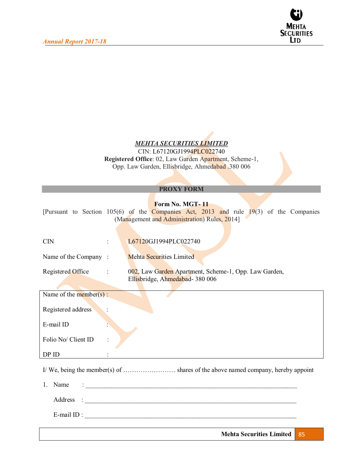

# *MEHTA SECURITIES LIMITED*

CIN: L67120GJ1994PLC022740 **Registered Office**: 02, Law Garden Apartment, Scheme-1, Opp. Law Garden, Ellisbridge, Ahmedabad .380 006

|                            | <b>PROXY FORM</b>                                                                                                                                         |  |
|----------------------------|-----------------------------------------------------------------------------------------------------------------------------------------------------------|--|
|                            | Form No. MGT-11<br>[Pursuant to Section 105(6) of the Companies Act, 2013 and rule 19(3) of the Companies<br>(Management and Administration) Rules, 2014] |  |
| $\overline{\text{CN}}$     | L67120GJ1994PLC022740                                                                                                                                     |  |
| Name of the Company:       | <b>Mehta Securities Limited</b>                                                                                                                           |  |
| Registered Office          | 002, Law Garden Apartment, Scheme-1, Opp. Law Garden,<br>Ellisbridge, Ahmedabad- 380 006                                                                  |  |
| Name of the member( $s$ ): |                                                                                                                                                           |  |
| Registered address         |                                                                                                                                                           |  |
| E-mail ID                  |                                                                                                                                                           |  |
| Folio No/ Client ID        |                                                                                                                                                           |  |
| DP ID                      |                                                                                                                                                           |  |
|                            |                                                                                                                                                           |  |
| Name<br>$1_{-}$            |                                                                                                                                                           |  |
| Address                    |                                                                                                                                                           |  |
|                            | E-mail ID : $\qquad \qquad$                                                                                                                               |  |
|                            | <b>Mehta Securities Limited</b><br>85                                                                                                                     |  |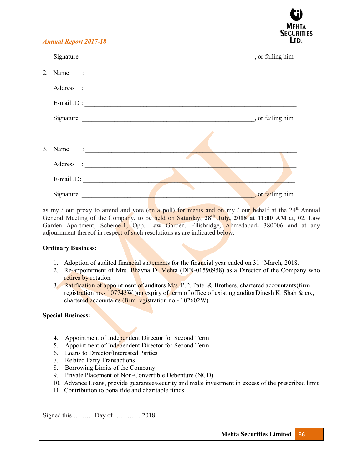|            | Signature:<br>, or failing him |
|------------|--------------------------------|
|            | 2. Name $\qquad \qquad :$      |
|            |                                |
|            | E-mail ID : $\qquad \qquad$    |
|            | Signature:<br>or failing him   |
|            |                                |
|            | 3. Name $\qquad \qquad :$      |
|            |                                |
|            | E-mail ID:                     |
| Signature: | , or failing him               |

as my / our proxy to attend and vote (on a poll) for me/us and on my / our behalf at the  $24<sup>th</sup>$  Annual General Meeting of the Company, to be held on Saturday, **28th July, 2018 at 11:00 AM** at, 02, Law Garden Apartment, Scheme-1, Opp. Law Garden, Ellisbridge, Ahmedabad- 380006 and at any adjournment thereof in respect of such resolutions as are indicated below:

#### **Ordinary Business:**

- 1. Adoption of audited financial statements for the financial year ended on  $31<sup>st</sup>$  March, 2018.
- 2. Re-appointment of Mrs. Bhavna D. Mehta (DIN-01590958) as a Director of the Company who retires by rotation.
- 3. Ratification of appointment of auditors M/s. P.P. Patel & Brothers, chartered accountants(firm registration no.-  $107743W$  )on expiry of term of office of existing auditorDinesh K. Shah & co., chartered accountants (firm registration no.- 102602W)

#### **Special Business:**

- 4. Appointment of Independent Director for Second Term
- 5. Appointment of Independent Director for Second Term
- 6. Loans to Director/Interested Parties
- 7. Related Party Transactions
- 8. Borrowing Limits of the Company
- 9. Private Placement of Non-Convertible Debenture (NCD)
- 10. Advance Loans, provide guarantee/security and make investment in excess of the prescribed limit
- 11. Contribution to bona fide and charitable funds

Signed this ...........Day of ............. 2018.

**SECURITIES** LTD.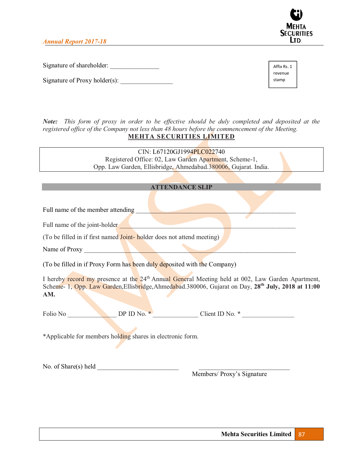

Signature of shareholder:

Signature of Proxy holder $(s)$ :

Affix Rs. 1 revenue stamp

*Note: This form of proxy in order to be effective should be duly completed and deposited at the registered office of the Company not less than 48 hours before the commencement of the Meeting.*  **MEHTA SECURITIES LIMITED** 

> CIN: L67120GJ1994PLC022740 Registered Office: 02, Law Garden Apartment, Scheme-1, Opp. Law Garden, Ellisbridge, Ahmedabad.380006, Gujarat. India.

|                                   | <b>ATTENDANCE SLIP</b> |  |
|-----------------------------------|------------------------|--|
|                                   |                        |  |
| Full name of the member attending |                        |  |

Full name of the joint-holder

(To be filled in if first named Joint- holder does not attend meeting)

Name of Proxy

(To be filled in if Proxy Form has been duly deposited with the Company)

I hereby record my presence at the 24<sup>th</sup> Annual General Meeting held at 002, Law Garden Apartment, Scheme- 1, Opp. Law Garden, Ellisbridge, Ahmedabad. 380006, Gujarat on Day, 28<sup>th</sup> July, 2018 at 11:00 **AM.** 

Folio No **DP ID No. \*** Client ID No. \*

\*Applicable for members holding shares in electronic form.

No. of Share(s) held  $\overline{\phantom{a}}$ 

Members/ Proxy's Signature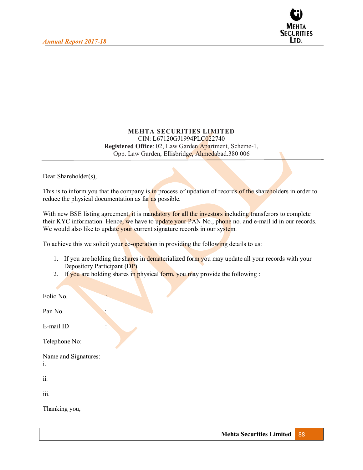

### **MEHTA SECURITIES LIMITED**  CIN: L67120GJ1994PLC022740 **Registered Office**: 02, Law Garden Apartment, Scheme-1, Opp. Law Garden, Ellisbridge, Ahmedabad.380 006

Dear Shareholder(s),

This is to inform you that the company is in process of updation of records of the shareholders in order to reduce the physical documentation as far as possible.

With new BSE listing agreement, it is mandatory for all the investors including transferors to complete their KYC information. Hence, we have to update your PAN No., phone no. and e-mail id in our records. We would also like to update your current signature records in our system.

To achieve this we solicit your co-operation in providing the following details to us:

- 1. If you are holding the shares in dematerialized form you may update all your records with your Depository Participant (DP).
- 2. If you are holding shares in physical form, you may provide the following :

| Folio No.                  |
|----------------------------|
| Pan No.                    |
| E-mail ID                  |
| Telephone No:              |
| Name and Signatures:<br>i. |
| ii.                        |
| iii.                       |
| Thanking you,              |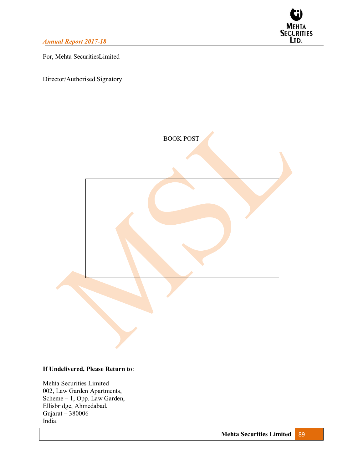

For, Mehta SecuritiesLimited

Director/Authorised Signatory



### **If Undelivered, Please Return to**:

Mehta Securities Limited 002, Law Garden Apartments,  $Scheme - 1$ , Opp. Law Garden, Ellisbridge, Ahmedabad. Gujarat  $-380006$ India.